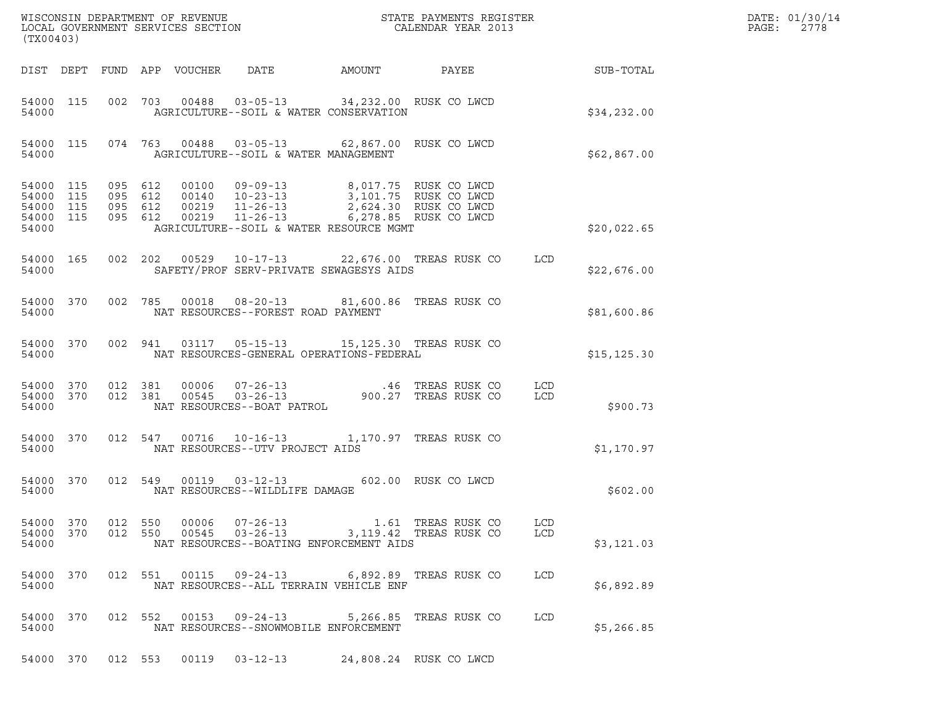| (TX00403)                                                 |           |                                          |                            |                                                                      |                                                                                         | $\tt WISCONSIM DEPARTMENT OF REVENUE$ $\tt WISCONBINS REGISTER$<br>LOCAL GOVERNMENT SERVICES SECTION $\tt CALENDAR YEAR$ 2013 |                   | DATE: 01/30/14<br>PAGE:<br>2778 |  |
|-----------------------------------------------------------|-----------|------------------------------------------|----------------------------|----------------------------------------------------------------------|-----------------------------------------------------------------------------------------|-------------------------------------------------------------------------------------------------------------------------------|-------------------|---------------------------------|--|
|                                                           |           |                                          | DIST DEPT FUND APP VOUCHER | DATE                                                                 | AMOUNT                                                                                  | <b>PAYEE Example 20</b>                                                                                                       |                   | SUB-TOTAL                       |  |
| 54000 115<br>54000                                        |           |                                          |                            |                                                                      | 002 703 00488 03-05-13 34,232.00 RUSK CO LWCD<br>AGRICULTURE--SOIL & WATER CONSERVATION |                                                                                                                               |                   | \$34,232.00                     |  |
| 54000 115<br>54000                                        |           |                                          |                            |                                                                      | 074 763 00488 03-05-13 62,867.00 RUSK CO LWCD<br>AGRICULTURE--SOIL & WATER MANAGEMENT   |                                                                                                                               |                   | \$62,867.00                     |  |
| 54000 115<br>54000 115<br>54000 115<br>54000 115<br>54000 |           | 095 612<br>095 612<br>095 612<br>095 612 | 00140<br>00219<br>00219    | 00100 09-09-13<br>$10 - 23 - 13$<br>$11 - 26 - 13$<br>$11 - 26 - 13$ | AGRICULTURE--SOIL & WATER RESOURCE MGMT                                                 | 8,017.75 RUSK CO LWCD<br>3,101.75 RUSK CO LWCD<br>2,624.30 RUSK CO LWCD<br>6,278.85 RUSK CO LWCD                              |                   | \$20,022.65                     |  |
| 54000 165<br>54000                                        |           |                                          |                            |                                                                      | SAFETY/PROF SERV-PRIVATE SEWAGESYS AIDS                                                 | 002 202 00529 10-17-13 22,676.00 TREAS RUSK CO                                                                                | LCD               | \$22,676.00                     |  |
| 54000 370<br>54000                                        |           | 002 785                                  | 00018                      | $08 - 20 - 13$<br>NAT RESOURCES--FOREST ROAD PAYMENT                 | 81,600.86 TREAS RUSK CO                                                                 |                                                                                                                               |                   | \$81,600.86                     |  |
| 54000 370<br>54000                                        |           | 002 941                                  | 03117                      | $05 - 15 - 13$                                                       | 15,125.30 TREAS RUSK CO<br>NAT RESOURCES-GENERAL OPERATIONS-FEDERAL                     |                                                                                                                               |                   | \$15, 125.30                    |  |
| 54000 370<br>54000 370<br>54000                           |           | 012 381<br>012 381                       | 00006<br>00545             | NAT RESOURCES--BOAT PATROL                                           |                                                                                         |                                                                                                                               | LCD<br>LCD        | \$900.73                        |  |
| 54000                                                     | 54000 370 | 012 547                                  |                            | NAT RESOURCES--UTV PROJECT AIDS                                      | 00716  10-16-13  1,170.97 TREAS RUSK CO                                                 |                                                                                                                               |                   | \$1,170.97                      |  |
| 54000 370<br>54000                                        |           | 012 549                                  |                            | 00119  03-12-13<br>NAT RESOURCES--WILDLIFE DAMAGE                    |                                                                                         | 602.00 RUSK CO LWCD                                                                                                           |                   | \$602.00                        |  |
| 54000 370<br>54000 370<br>54000                           |           | 012 550                                  | 012 550 00006<br>00545     | $07 - 26 - 13$                                                       | 03-26-13 3,119.42 TREAS RUSK CO<br>NAT RESOURCES--BOATING ENFORCEMENT AIDS              | 1.61 TREAS RUSK CO                                                                                                            | LCD<br><b>LCD</b> | \$3,121.03                      |  |
| 54000 370<br>54000                                        |           |                                          |                            |                                                                      | 012 551 00115 09-24-13 6,892.89 TREAS RUSK CO<br>NAT RESOURCES--ALL TERRAIN VEHICLE ENF |                                                                                                                               | LCD               | \$6,892.89                      |  |
| 54000 370<br>54000                                        |           | 012 552                                  | 00153                      | $09 - 24 - 13$                                                       | NAT RESOURCES--SNOWMOBILE ENFORCEMENT                                                   | 5,266.85 TREAS RUSK CO                                                                                                        | LCD               | \$5,266.85                      |  |
|                                                           | 54000 370 | 012 553                                  | 00119                      |                                                                      | 03-12-13 24,808.24 RUSK CO LWCD                                                         |                                                                                                                               |                   |                                 |  |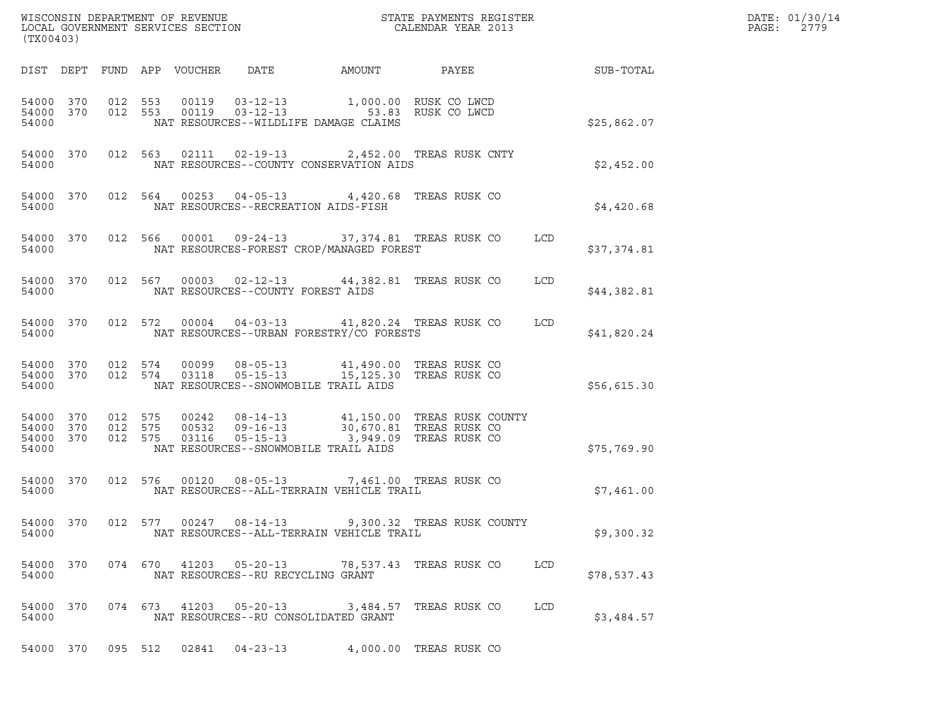| (TX00403)                                    |         |                                 |                        |                                                                                                                                                                                               |                           |            |             | DATE: 01/30/14<br>PAGE: 2779 |
|----------------------------------------------|---------|---------------------------------|------------------------|-----------------------------------------------------------------------------------------------------------------------------------------------------------------------------------------------|---------------------------|------------|-------------|------------------------------|
|                                              |         | DIST DEPT FUND APP VOUCHER DATE |                        | AMOUNT PAYEE SUB-TOTAL                                                                                                                                                                        |                           |            |             |                              |
| 54000                                        |         |                                 |                        | 54000 370 012 553 00119 03-12-13 1,000.00 RUSK CO LWCD<br>54000 370 012 553 00119 03-12-13 53.83 RUSK CO LWCD<br>NAT RESOURCES--WILDLIFE DAMAGE CLAIMS                                        |                           |            | \$25,862.07 |                              |
| 54000                                        |         |                                 |                        | 54000 370 012 563 02111 02-19-13 2,452.00 TREAS RUSK CNTY<br>NAT RESOURCES--COUNTY CONSERVATION AIDS                                                                                          |                           |            | \$2,452.00  |                              |
|                                              |         |                                 |                        | 54000 370 012 564 00253 04-05-13 4,420.68 TREAS RUSK CO<br>54000 NAT RESOURCES--RECREATION AIDS-FISH                                                                                          |                           |            | \$4,420.68  |                              |
| 54000                                        |         |                                 |                        | 54000 370 012 566 00001 09-24-13 37,374.81 TREAS RUSK CO<br>NAT RESOURCES-FOREST CROP/MANAGED FOREST                                                                                          |                           | LCD        | \$37,374.81 |                              |
|                                              |         |                                 |                        | 54000 370 012 567 00003 02-12-13 44,382.81 TREAS RUSK CO<br>54000 NAT RESOURCES--COUNTY FOREST AIDS                                                                                           |                           | LCD        | \$44,382.81 |                              |
| 54000                                        |         |                                 |                        | 54000 370 012 572 00004 04-03-13 41,820.24 TREAS RUSK CO<br>NAT RESOURCES--URBAN FORESTRY/CO FORESTS                                                                                          |                           | LCD        | \$41,820.24 |                              |
| 54000                                        |         |                                 |                        | 54000 370 012 574 00099 08-05-13 41,490.00 TREAS RUSK CO<br>54000 370 012 574 03118 05-15-13 15,125.30 TREAS RUSK CO<br>NAT RESOURCES--SNOWMOBILE TRAIL AIDS                                  |                           |            | \$56,615.30 |                              |
| 54000 370<br>54000 370<br>54000 370<br>54000 |         |                                 |                        | 012 575 00242 08-14-13 41,150.00 TREAS RUSK COUNTY<br>012 575 00532 09-16-13 30,670.81 TREAS RUSK CO<br>012 575 03116 05-15-13 3,949.09 TREAS RUSK CO<br>NAT RESOURCES--SNOWMOBILE TRAIL AIDS |                           |            | \$75,769.90 |                              |
| 54000 370<br>54000                           |         |                                 |                        | 012 576 00120 08-05-13 7,461.00 TREAS RUSK CO<br>NAT RESOURCES--ALL-TERRAIN VEHICLE TRAIL                                                                                                     |                           |            | \$7,461.00  |                              |
| 54000 370<br>54000                           |         |                                 |                        | 012 577 00247 08-14-13 9,300.32 TREAS RUSK COUNTY<br>NAT RESOURCES--ALL-TERRAIN VEHICLE TRAIL                                                                                                 |                           |            | \$9,300.32  |                              |
| 54000 370<br>54000                           |         |                                 | 074 670 41203 05-20-13 | NAT RESOURCES--RU RECYCLING GRANT                                                                                                                                                             | 78,537.43   TREAS RUSK CO | <b>LCD</b> | \$78,537.43 |                              |
| 54000 370<br>54000                           |         | 074 673 41203                   | 05-20-13               | NAT RESOURCES--RU CONSOLIDATED GRANT                                                                                                                                                          | 3,484.57 TREAS RUSK CO    | LCD        | \$3,484.57  |                              |
| 54000 370                                    | 095 512 | 02841                           | $04 - 23 - 13$         |                                                                                                                                                                                               | 4,000.00 TREAS RUSK CO    |            |             |                              |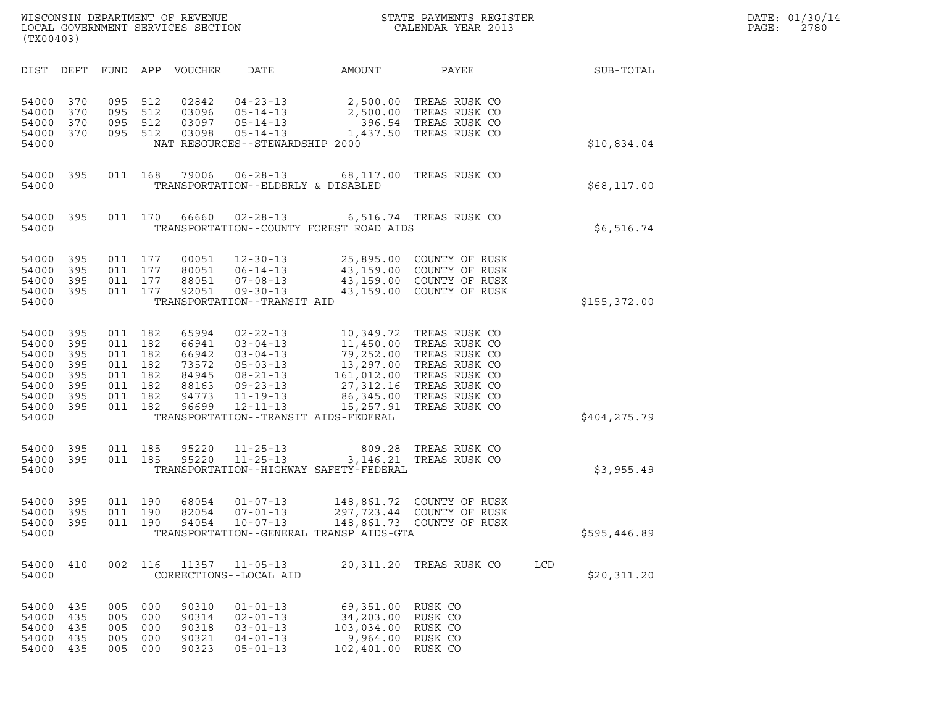|       | DATE: 01/30/14 |
|-------|----------------|
| PAGE: | 2780           |

| (TX00403)                                                                     |                                                      |                                 |                                                                              | WISCONSIN DEPARTMENT OF REVENUE<br>LOCAL GOVERNMENT SERVICES SECTION |                                                                                                                                  |                                                                                                        | STATE PAYMENTS REGISTER<br>CALENDAR YEAR 2013                                                                                                                                           |     | DATE: 01/30/14<br>PAGE:<br>2780 |  |
|-------------------------------------------------------------------------------|------------------------------------------------------|---------------------------------|------------------------------------------------------------------------------|----------------------------------------------------------------------|----------------------------------------------------------------------------------------------------------------------------------|--------------------------------------------------------------------------------------------------------|-----------------------------------------------------------------------------------------------------------------------------------------------------------------------------------------|-----|---------------------------------|--|
| DIST DEPT                                                                     |                                                      |                                 |                                                                              | FUND APP VOUCHER                                                     | DATE                                                                                                                             | AMOUNT                                                                                                 | PAYEE                                                                                                                                                                                   |     | SUB-TOTAL                       |  |
| 54000<br>54000<br>54000<br>54000<br>54000                                     | 370<br>370<br>370<br>370                             | 095<br>095<br>095               | 512<br>512<br>512<br>095 512                                                 | 02842<br>03096<br>03097<br>03098                                     | $04 - 23 - 13$<br>$05 - 14 - 13$<br>$05 - 14 - 13$<br>$05 - 14 - 13$<br>NAT RESOURCES--STEWARDSHIP 2000                          | 2,500.00<br>1,437.50                                                                                   | 2,500.00 TREAS RUSK CO<br>TREAS RUSK CO<br>396.54 TREAS RUSK CO<br>TREAS RUSK CO                                                                                                        |     | \$10,834.04                     |  |
| 54000<br>54000                                                                | 395                                                  |                                 | 011 168                                                                      | 79006                                                                | $06 - 28 - 13$<br>TRANSPORTATION--ELDERLY & DISABLED                                                                             |                                                                                                        | 68,117.00 TREAS RUSK CO                                                                                                                                                                 |     | \$68,117.00                     |  |
| 54000<br>54000                                                                | 395                                                  |                                 | 011 170                                                                      | 66660                                                                | $02 - 28 - 13$                                                                                                                   | TRANSPORTATION--COUNTY FOREST ROAD AIDS                                                                | 6,516.74 TREAS RUSK CO                                                                                                                                                                  |     | \$6,516.74                      |  |
| 54000<br>54000<br>54000<br>54000<br>54000                                     | 395<br>395<br>395<br>395                             |                                 | 011 177<br>011 177<br>011 177<br>011 177                                     | 00051<br>80051<br>88051<br>92051                                     | $12 - 30 - 13$<br>$06 - 14 - 13$<br>$07 - 08 - 13$<br>$09 - 30 - 13$<br>TRANSPORTATION--TRANSIT AID                              |                                                                                                        | 25,895.00 COUNTY OF RUSK<br>43,159.00 COUNTY OF RUSK<br>43,159.00 COUNTY OF RUSK<br>43,159.00 COUNTY OF RUSK                                                                            |     | \$155,372.00                    |  |
| 54000<br>54000<br>54000<br>54000<br>54000<br>54000<br>54000<br>54000<br>54000 | 395<br>395<br>395<br>395<br>395<br>395<br>395<br>395 | 011<br>011                      | 011 182<br>182<br>011 182<br>011 182<br>011 182<br>182<br>011 182<br>011 182 | 65994<br>66941<br>66942<br>73572<br>84945<br>88163<br>94773<br>96699 | $02 - 22 - 13$<br>$03 - 04 - 13$<br>$03 - 04 - 13$<br>$05 - 03 - 13$<br>08-21-13<br>$09 - 23 - 13$<br>$11 - 19 - 13$<br>12-11-13 | 13,297.00<br>27,312.16<br>15,257.91<br>TRANSPORTATION--TRANSIT AIDS-FEDERAL                            | 10,349.72 TREAS RUSK CO<br>11,450.00 TREAS RUSK CO<br>79,252.00 TREAS RUSK CO<br>TREAS RUSK CO<br>161,012.00 TREAS RUSK CO<br>TREAS RUSK CO<br>86,345.00 TREAS RUSK CO<br>TREAS RUSK CO |     | \$404,275.79                    |  |
| 54000<br>54000<br>54000                                                       | 395<br>395                                           | 011                             | 185<br>011 185                                                               | 95220<br>95220                                                       | $11 - 25 - 13$<br>$11 - 25 - 13$                                                                                                 | 809.28<br>3,146.21<br>TRANSPORTATION--HIGHWAY SAFETY-FEDERAL                                           | TREAS RUSK CO<br>TREAS RUSK CO                                                                                                                                                          |     | \$3,955.49                      |  |
| 54000<br>54000<br>54000<br>54000                                              | 395<br>395<br>395                                    | 011                             | 011 190<br>190<br>011 190                                                    | 68054<br>82054<br>94054                                              | $01 - 07 - 13$<br>$07 - 01 - 13$<br>$10 - 07 - 13$                                                                               | TRANSPORTATION--GENERAL TRANSP AIDS-GTA                                                                | 148,861.72 COUNTY OF RUSK<br>297,723.44 COUNTY OF RUSK<br>148,861.73 COUNTY OF RUSK                                                                                                     |     | \$595,446.89                    |  |
| 54000<br>54000                                                                | 410                                                  |                                 | 002 116                                                                      | 11357                                                                | $11 - 05 - 13$<br>CORRECTIONS--LOCAL AID                                                                                         |                                                                                                        | 20,311.20 TREAS RUSK CO                                                                                                                                                                 | LCD | \$20,311.20                     |  |
| 54000 435<br>54000<br>54000<br>54000<br>54000                                 | 435<br>435<br>435<br>435                             | 005<br>005<br>005<br>005<br>005 | 000<br>000<br>000<br>000<br>000                                              | 90310<br>90314<br>90318<br>90321<br>90323                            | $01 - 01 - 13$<br>$02 - 01 - 13$<br>$03 - 01 - 13$<br>$04 - 01 - 13$<br>$05 - 01 - 13$                                           | 69,351.00 RUSK CO<br>34,203.00 RUSK CO<br>103,034.00 RUSK CO<br>9,964.00 RUSK CO<br>102,401.00 RUSK CO |                                                                                                                                                                                         |     |                                 |  |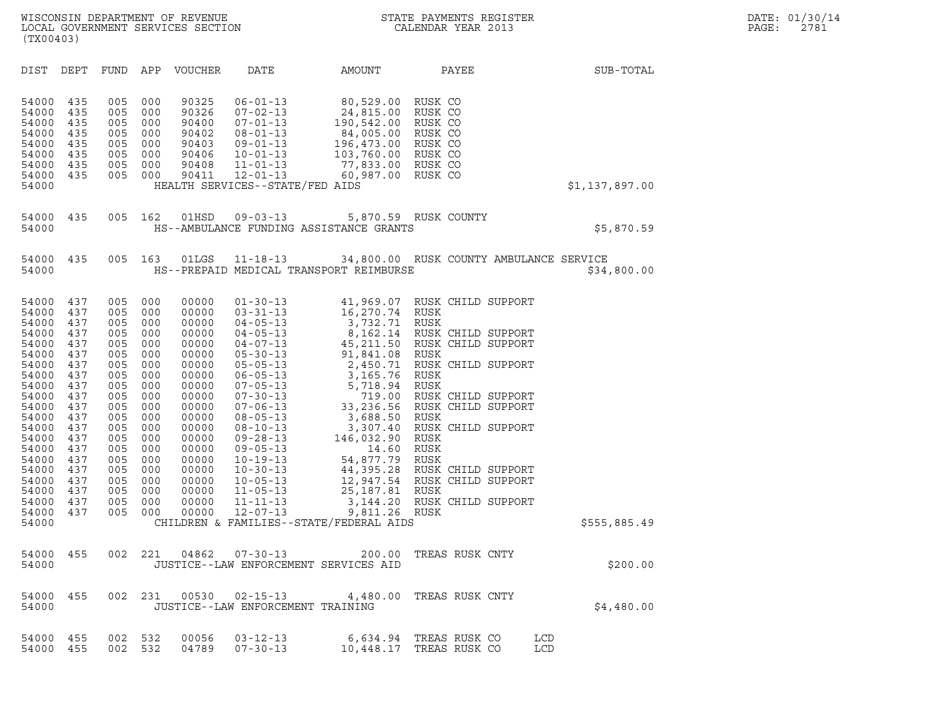| (TX00403)                                                                                                                                                                                          |                                                                                                                                                 |                                                                                                                                                 |                                                                                                                                                 |                                                                                                                                                                                           |                                                                                                                                                                                                                                                                                                                                                                                        |                                                                                                                                                                                                                                                 |                                                                                                                                                                                                                                                                                                                                     |                   |                |
|----------------------------------------------------------------------------------------------------------------------------------------------------------------------------------------------------|-------------------------------------------------------------------------------------------------------------------------------------------------|-------------------------------------------------------------------------------------------------------------------------------------------------|-------------------------------------------------------------------------------------------------------------------------------------------------|-------------------------------------------------------------------------------------------------------------------------------------------------------------------------------------------|----------------------------------------------------------------------------------------------------------------------------------------------------------------------------------------------------------------------------------------------------------------------------------------------------------------------------------------------------------------------------------------|-------------------------------------------------------------------------------------------------------------------------------------------------------------------------------------------------------------------------------------------------|-------------------------------------------------------------------------------------------------------------------------------------------------------------------------------------------------------------------------------------------------------------------------------------------------------------------------------------|-------------------|----------------|
| DIST                                                                                                                                                                                               | DEPT                                                                                                                                            | FUND                                                                                                                                            | APP                                                                                                                                             | VOUCHER                                                                                                                                                                                   | DATE                                                                                                                                                                                                                                                                                                                                                                                   | AMOUNT                                                                                                                                                                                                                                          | PAYEE                                                                                                                                                                                                                                                                                                                               |                   | SUB-TOTAL      |
| 54000<br>54000<br>54000<br>54000<br>54000<br>54000<br>54000<br>54000<br>54000                                                                                                                      | 435<br>435<br>435<br>435<br>435<br>435<br>435<br>435                                                                                            | 005<br>005<br>005<br>005<br>005<br>005<br>005<br>005                                                                                            | 000<br>000<br>000<br>000<br>000<br>000<br>000<br>000                                                                                            | 90325<br>90326<br>90400<br>90402<br>90403<br>90406<br>90408<br>90411                                                                                                                      | $06 - 01 - 13$<br>$07 - 02 - 13$<br>$07 - 01 - 13$<br>$08 - 01 - 13$<br>$09 - 01 - 13$<br>$10 - 01 - 13$<br>$11 - 01 - 13$<br>$12 - 01 - 13$<br>HEALTH SERVICES--STATE/FED AIDS                                                                                                                                                                                                        | 80,529.00<br>24,815.00<br>190,542.00<br>84,005.00<br>196,473.00<br>103,760.00 RUSK CO<br>77,833.00 RUSK CO<br>60,987.00 RUSK CO                                                                                                                 | RUSK CO<br>RUSK CO<br>RUSK CO<br>RUSK CO<br>RUSK CO                                                                                                                                                                                                                                                                                 |                   | \$1,137,897.00 |
| 54000<br>54000                                                                                                                                                                                     | 435                                                                                                                                             | 005                                                                                                                                             | 162                                                                                                                                             | 01HSD                                                                                                                                                                                     | $09 - 03 - 13$                                                                                                                                                                                                                                                                                                                                                                         | HS--AMBULANCE FUNDING ASSISTANCE GRANTS                                                                                                                                                                                                         | 5,870.59 RUSK COUNTY                                                                                                                                                                                                                                                                                                                |                   | \$5,870.59     |
| 54000<br>54000                                                                                                                                                                                     | 435                                                                                                                                             | 005                                                                                                                                             | 163                                                                                                                                             | 01LGS                                                                                                                                                                                     | $11 - 18 - 13$                                                                                                                                                                                                                                                                                                                                                                         | HS--PREPAID MEDICAL TRANSPORT REIMBURSE                                                                                                                                                                                                         | 34,800.00 RUSK COUNTY AMBULANCE SERVICE                                                                                                                                                                                                                                                                                             |                   | \$34,800.00    |
| 54000<br>54000<br>54000<br>54000<br>54000<br>54000<br>54000<br>54000<br>54000<br>54000<br>54000<br>54000<br>54000<br>54000<br>54000<br>54000<br>54000<br>54000<br>54000<br>54000<br>54000<br>54000 | 437<br>437<br>437<br>437<br>437<br>437<br>437<br>437<br>437<br>437<br>437<br>437<br>437<br>437<br>437<br>437<br>437<br>437<br>437<br>437<br>437 | 005<br>005<br>005<br>005<br>005<br>005<br>005<br>005<br>005<br>005<br>005<br>005<br>005<br>005<br>005<br>005<br>005<br>005<br>005<br>005<br>005 | 000<br>000<br>000<br>000<br>000<br>000<br>000<br>000<br>000<br>000<br>000<br>000<br>000<br>000<br>000<br>000<br>000<br>000<br>000<br>000<br>000 | 00000<br>00000<br>00000<br>00000<br>00000<br>00000<br>00000<br>00000<br>00000<br>00000<br>00000<br>00000<br>00000<br>00000<br>00000<br>00000<br>00000<br>00000<br>00000<br>00000<br>00000 | $01 - 30 - 13$<br>$03 - 31 - 13$<br>$04 - 05 - 13$<br>$04 - 05 - 13$<br>$04 - 07 - 13$<br>$05 - 30 - 13$<br>$05 - 05 - 13$<br>$06 - 05 - 13$<br>$07 - 05 - 13$<br>$07 - 30 - 13$<br>$07 - 06 - 13$<br>$08 - 05 - 13$<br>$08 - 10 - 13$<br>$09 - 28 - 13$<br>$09 - 05 - 13$<br>$10 - 19 - 13$<br>$10 - 30 - 13$<br>$10 - 05 - 13$<br>$11 - 05 - 13$<br>$11 - 11 - 13$<br>$12 - 07 - 13$ | 41,969.07<br>16,270.74 RUSK<br>3,732.71 RUSK<br>91,841.08 RUSK<br>2,450.71<br>3,165.76<br>5,718.94<br>719.00<br>3,688.50 RUSK<br>146,032.90<br>14.60<br>54,877.79<br>25,187.81 RUSK<br>9,811.26 RUSK<br>CHILDREN & FAMILIES--STATE/FEDERAL AIDS | RUSK CHILD SUPPORT<br>8,162.14 RUSK CHILD SUPPORT<br>45,211.50 RUSK CHILD SUPPORT<br>RUSK CHILD SUPPORT<br>RUSK<br>RUSK<br>RUSK CHILD SUPPORT<br>33,236.56 RUSK CHILD SUPPORT<br>3,307.40 RUSK CHILD SUPPORT<br>RUSK<br>RUSK<br>RUSK<br>44,395.28 RUSK CHILD SUPPORT<br>12,947.54 RUSK CHILD SUPPORT<br>3,144.20 RUSK CHILD SUPPORT |                   | \$555,885.49   |
| 54000<br>54000                                                                                                                                                                                     | 455                                                                                                                                             | 002                                                                                                                                             | 221                                                                                                                                             | 04862                                                                                                                                                                                     | $07 - 30 - 13$<br>JUSTICE--LAW ENFORCEMENT SERVICES AID                                                                                                                                                                                                                                                                                                                                | 200.00                                                                                                                                                                                                                                          | TREAS RUSK CNTY                                                                                                                                                                                                                                                                                                                     |                   | \$200.00       |
| 54000 455<br>54000                                                                                                                                                                                 |                                                                                                                                                 | 002                                                                                                                                             | 231                                                                                                                                             |                                                                                                                                                                                           | JUSTICE--LAW ENFORCEMENT TRAINING                                                                                                                                                                                                                                                                                                                                                      | 00530  02-15-13  4,480.00 TREAS RUSK CNTY                                                                                                                                                                                                       |                                                                                                                                                                                                                                                                                                                                     |                   | \$4,480.00     |
| 54000<br>54000                                                                                                                                                                                     | 455<br>455                                                                                                                                      | 002<br>002                                                                                                                                      | 532<br>532                                                                                                                                      | 00056<br>04789                                                                                                                                                                            | $03 - 12 - 13$<br>$07 - 30 - 13$                                                                                                                                                                                                                                                                                                                                                       |                                                                                                                                                                                                                                                 | 6,634.94 TREAS RUSK CO<br>10,448.17 TREAS RUSK CO                                                                                                                                                                                                                                                                                   | <b>LCD</b><br>LCD |                |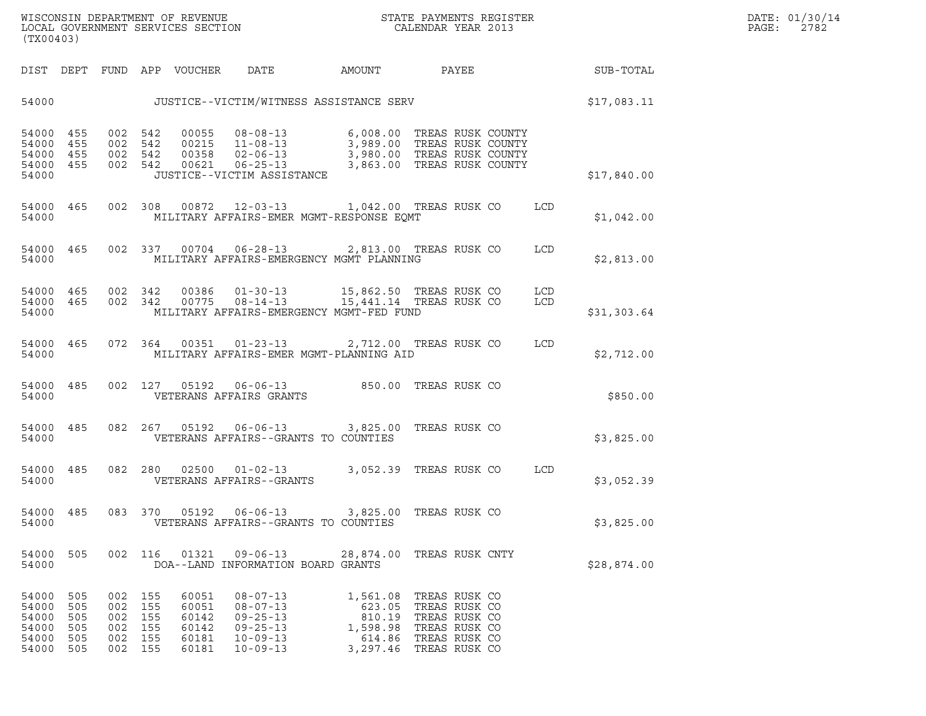| (TX00403)                                          |                                        |                                        |                                        |                                                    |                                                                                                          |                                                                                                |                                                                                                    |            |             |
|----------------------------------------------------|----------------------------------------|----------------------------------------|----------------------------------------|----------------------------------------------------|----------------------------------------------------------------------------------------------------------|------------------------------------------------------------------------------------------------|----------------------------------------------------------------------------------------------------|------------|-------------|
| DIST                                               | DEPT                                   |                                        |                                        | FUND APP VOUCHER                                   | DATE                                                                                                     | <b>AMOUNT</b>                                                                                  | PAYEE                                                                                              |            | SUB-TOTAL   |
| 54000                                              |                                        |                                        |                                        |                                                    |                                                                                                          | JUSTICE--VICTIM/WITNESS ASSISTANCE SERV                                                        |                                                                                                    |            | \$17,083.11 |
| 54000<br>54000<br>54000<br>54000<br>54000          | 455<br>455<br>455<br>455               | 002<br>002<br>002<br>002               | 542<br>542<br>542<br>542               | 00055<br>00215<br>00358                            | $08 - 08 - 13$<br>$11 - 08 - 13$<br>$02 - 06 - 13$<br>$00621$ $06-25-13$<br>JUSTICE--VICTIM ASSISTANCE   | 6,008.00<br>3,863.00                                                                           | TREAS RUSK COUNTY<br>3,989.00 TREAS RUSK COUNTY<br>3,980.00 TREAS RUSK COUNTY<br>TREAS RUSK COUNTY |            | \$17,840.00 |
| 54000<br>54000                                     | 465                                    | 002                                    | 308                                    |                                                    | 00872 12-03-13                                                                                           | MILITARY AFFAIRS-EMER MGMT-RESPONSE EQMT                                                       | 1,042.00 TREAS RUSK CO                                                                             | <b>LCD</b> | \$1,042.00  |
| 54000<br>54000                                     | 465                                    | 002                                    | 337                                    | 00704                                              | $06 - 28 - 13$                                                                                           | MILITARY AFFAIRS-EMERGENCY MGMT PLANNING                                                       | 2,813.00 TREAS RUSK CO                                                                             | LCD        | \$2,813.00  |
| 54000<br>54000<br>54000                            | 465<br>465                             | 002<br>002                             | 342<br>342                             | 00386                                              | $01 - 30 - 13$<br>$00775$ $08-14-13$                                                                     | 15,862.50 TREAS RUSK CO<br>15,441.14 TREAS RUSK CO<br>MILITARY AFFAIRS-EMERGENCY MGMT-FED FUND |                                                                                                    | LCD<br>LCD | \$31,303.64 |
| 54000<br>54000                                     | 465                                    | 072                                    | 364                                    | 00351                                              | $01 - 23 - 13$                                                                                           | 2,712.00 TREAS RUSK CO<br>MILITARY AFFAIRS-EMER MGMT-PLANNING AID                              |                                                                                                    | LCD        | \$2,712.00  |
| 54000<br>54000                                     | 485                                    | 002                                    | 127                                    | 05192                                              | $06 - 06 - 13$<br>VETERANS AFFAIRS GRANTS                                                                | 850.00                                                                                         | TREAS RUSK CO                                                                                      |            | \$850.00    |
| 54000<br>54000                                     | 485                                    | 082                                    | 267                                    | 05192                                              | $06 - 06 - 13$                                                                                           | 3,825.00<br>VETERANS AFFAIRS--GRANTS TO COUNTIES                                               | TREAS RUSK CO                                                                                      |            | \$3,825.00  |
| 54000<br>54000                                     | 485                                    | 082                                    | 280                                    | 02500                                              | $01 - 02 - 13$<br>VETERANS AFFAIRS--GRANTS                                                               |                                                                                                | 3,052.39 TREAS RUSK CO                                                                             | LCD        | \$3,052.39  |
| 54000<br>54000                                     | 485                                    | 083                                    | 370                                    | 05192                                              | $06 - 06 - 13$                                                                                           | 3,825.00<br>VETERANS AFFAIRS--GRANTS TO COUNTIES                                               | TREAS RUSK CO                                                                                      |            | \$3,825.00  |
| 54000<br>54000                                     | 505                                    | 002                                    | 116                                    | 01321                                              | $09 - 06 - 13$<br>DOA--LAND INFORMATION BOARD GRANTS                                                     | 28,874.00                                                                                      | TREAS RUSK CNTY                                                                                    |            | \$28,874.00 |
| 54000<br>54000<br>54000<br>54000<br>54000<br>54000 | 505<br>505<br>505<br>505<br>505<br>505 | 002<br>002<br>002<br>002<br>002<br>002 | 155<br>155<br>155<br>155<br>155<br>155 | 60051<br>60051<br>60142<br>60142<br>60181<br>60181 | $08 - 07 - 13$<br>$08 - 07 - 13$<br>$09 - 25 - 13$<br>$09 - 25 - 13$<br>$10 - 09 - 13$<br>$10 - 09 - 13$ | 1,561.08<br>623.05<br>810.19<br>1,598.98<br>614.86<br>3,297.46                                 | TREAS RUSK CO<br>TREAS RUSK CO<br>TREAS RUSK CO<br>TREAS RUSK CO<br>TREAS RUSK CO<br>TREAS RUSK CO |            |             |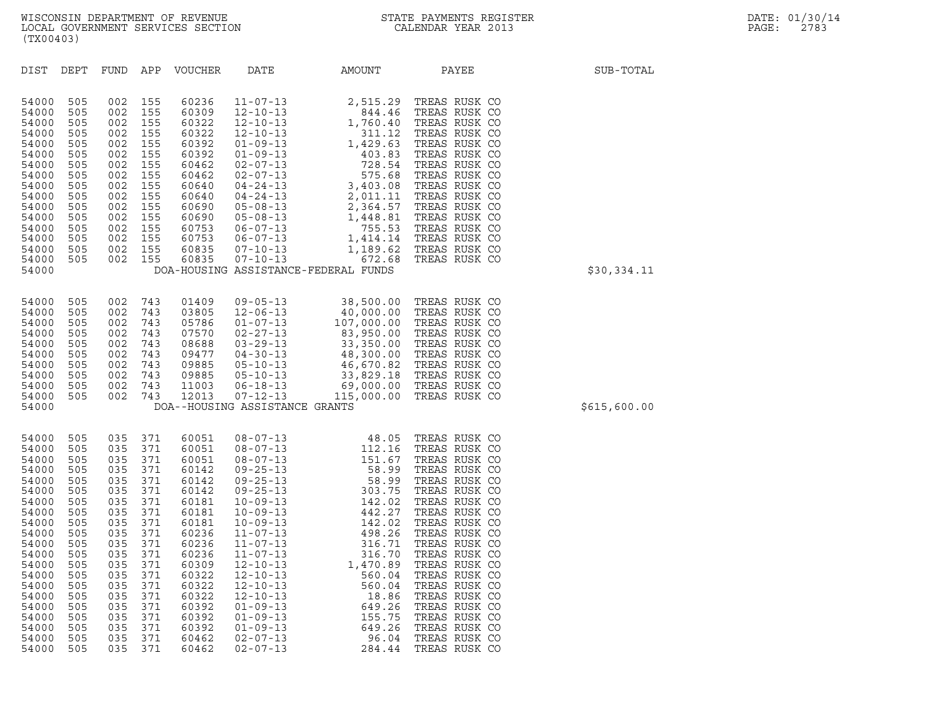|                                                                                                                                                                                           | (TX00403)                                                                                                                                       |                                                                                                                                                 |                                                                                                                                                 |                                                                                                                                                                                           |                                                                                                                                                                                                                                                                                                                                                                                        |                                                                                                                                                                                                                        |                                                                                                                                                                                                                                                                                                                                                                   |              |  |  |  |
|-------------------------------------------------------------------------------------------------------------------------------------------------------------------------------------------|-------------------------------------------------------------------------------------------------------------------------------------------------|-------------------------------------------------------------------------------------------------------------------------------------------------|-------------------------------------------------------------------------------------------------------------------------------------------------|-------------------------------------------------------------------------------------------------------------------------------------------------------------------------------------------|----------------------------------------------------------------------------------------------------------------------------------------------------------------------------------------------------------------------------------------------------------------------------------------------------------------------------------------------------------------------------------------|------------------------------------------------------------------------------------------------------------------------------------------------------------------------------------------------------------------------|-------------------------------------------------------------------------------------------------------------------------------------------------------------------------------------------------------------------------------------------------------------------------------------------------------------------------------------------------------------------|--------------|--|--|--|
| DIST                                                                                                                                                                                      | DEPT                                                                                                                                            | FUND                                                                                                                                            | APP                                                                                                                                             | <b>VOUCHER</b>                                                                                                                                                                            | DATE                                                                                                                                                                                                                                                                                                                                                                                   | AMOUNT                                                                                                                                                                                                                 | PAYEE                                                                                                                                                                                                                                                                                                                                                             | SUB-TOTAL    |  |  |  |
| 54000<br>54000<br>54000<br>54000<br>54000<br>54000<br>54000<br>54000<br>54000<br>54000<br>54000<br>54000<br>54000<br>54000<br>54000<br>54000<br>54000                                     | 505<br>505<br>505<br>505<br>505<br>505<br>505<br>505<br>505<br>505<br>505<br>505<br>505<br>505<br>505<br>505                                    | 002<br>002<br>002<br>002<br>002<br>002<br>002<br>002<br>002<br>002<br>002<br>002<br>002<br>002<br>002<br>002                                    | 155<br>155<br>155<br>155<br>155<br>155<br>155<br>155<br>155<br>155<br>155<br>155<br>155<br>155<br>155<br>155                                    | 60236<br>60309<br>60322<br>60322<br>60392<br>60392<br>60462<br>60462<br>60640<br>60640<br>60690<br>60690<br>60753<br>60753<br>60835<br>60835                                              | $11 - 07 - 13$<br>$12 - 10 - 13$<br>$12 - 10 - 13$<br>$12 - 10 - 13$<br>$01 - 09 - 13$<br>$01 - 09 - 13$<br>$02 - 07 - 13$<br>$02 - 07 - 13$<br>$04 - 24 - 13$<br>$04 - 24 - 13$<br>$05 - 08 - 13$<br>$05 - 08 - 13$<br>$06 - 07 - 13$<br>$06 - 07 - 13$<br>$07 - 10 - 13$<br>$07 - 10 - 13$                                                                                           | 2,515.29<br>844.46<br>1,760.40<br>311.12<br>1,429.63<br>403.83<br>728.54<br>575.68<br>3,403.08<br>2,011.11<br>2,364.57<br>1,448.81<br>755.53<br>1,414.14<br>1,189.62<br>672.68<br>DOA-HOUSING ASSISTANCE-FEDERAL FUNDS | TREAS RUSK CO<br>TREAS RUSK CO<br>TREAS RUSK CO<br>TREAS RUSK CO<br>TREAS RUSK CO<br>TREAS RUSK CO<br>TREAS RUSK CO<br>TREAS RUSK CO<br>TREAS RUSK CO<br>TREAS RUSK CO<br>TREAS RUSK CO<br>TREAS RUSK CO<br>TREAS RUSK CO<br>TREAS RUSK CO<br>TREAS RUSK CO<br>TREAS RUSK CO                                                                                      | \$30,334.11  |  |  |  |
| 54000<br>54000<br>54000<br>54000<br>54000<br>54000<br>54000<br>54000<br>54000<br>54000<br>54000                                                                                           | 505<br>505<br>505<br>505<br>505<br>505<br>505<br>505<br>505<br>505                                                                              | 002<br>002<br>002<br>002<br>002<br>002<br>002<br>002<br>002<br>002                                                                              | 743<br>743<br>743<br>743<br>743<br>743<br>743<br>743<br>743<br>743                                                                              | 01409<br>03805<br>05786<br>07570<br>08688<br>09477<br>09885<br>09885<br>11003<br>12013                                                                                                    | $09 - 05 - 13$<br>$12 - 06 - 13$<br>$01 - 07 - 13$<br>$02 - 27 - 13$<br>$03 - 29 - 13$<br>$04 - 30 - 13$<br>$05 - 10 - 13$<br>$05 - 10 - 13$<br>$06 - 18 - 13$<br>$07 - 12 - 13$<br>DOA--HOUSING ASSISTANCE GRANTS                                                                                                                                                                     | 38,500.00<br>40,000.00<br>107,000.00<br>83,950.00<br>33,350.00<br>48,300.00<br>46,670.82<br>115,000.00                                                                                                                 | TREAS RUSK CO<br>TREAS RUSK CO<br>TREAS RUSK CO<br>TREAS RUSK CO<br>TREAS RUSK CO<br>TREAS RUSK CO<br>TREAS RUSK CO<br>33,829.18 TREAS RUSK CO<br>69,000.00 TREAS RUSK CO<br>TREAS RUSK CO                                                                                                                                                                        | \$615,600.00 |  |  |  |
| 54000<br>54000<br>54000<br>54000<br>54000<br>54000<br>54000<br>54000<br>54000<br>54000<br>54000<br>54000<br>54000<br>54000<br>54000<br>54000<br>54000<br>54000<br>54000<br>54000<br>54000 | 505<br>505<br>505<br>505<br>505<br>505<br>505<br>505<br>505<br>505<br>505<br>505<br>505<br>505<br>505<br>505<br>505<br>505<br>505<br>505<br>505 | 035<br>035<br>035<br>035<br>035<br>035<br>035<br>035<br>035<br>035<br>035<br>035<br>035<br>035<br>035<br>035<br>035<br>035<br>035<br>035<br>035 | 371<br>371<br>371<br>371<br>371<br>371<br>371<br>371<br>371<br>371<br>371<br>371<br>371<br>371<br>371<br>371<br>371<br>371<br>371<br>371<br>371 | 60051<br>60051<br>60051<br>60142<br>60142<br>60142<br>60181<br>60181<br>60181<br>60236<br>60236<br>60236<br>60309<br>60322<br>60322<br>60322<br>60392<br>60392<br>60392<br>60462<br>60462 | $08 - 07 - 13$<br>$08 - 07 - 13$<br>$08 - 07 - 13$<br>$09 - 25 - 13$<br>$09 - 25 - 13$<br>$09 - 25 - 13$<br>$10 - 09 - 13$<br>$10 - 09 - 13$<br>$10 - 09 - 13$<br>$11 - 07 - 13$<br>$11 - 07 - 13$<br>$11 - 07 - 13$<br>$12 - 10 - 13$<br>$12 - 10 - 13$<br>$12 - 10 - 13$<br>$12 - 10 - 13$<br>$01 - 09 - 13$<br>$01 - 09 - 13$<br>$01 - 09 - 13$<br>$02 - 07 - 13$<br>$02 - 07 - 13$ | 48.05<br>112.16<br>151.67<br>58.99<br>58.99<br>303.75<br>142.02<br>442.27<br>142.02<br>498.26<br>316.71<br>316.70<br>1,470.89<br>560.04<br>560.04<br>18.86<br>649.26<br>155.75<br>649.26<br>96.04<br>284.44            | TREAS RUSK CO<br>TREAS RUSK CO<br>TREAS RUSK CO<br>TREAS RUSK CO<br>TREAS RUSK CO<br>TREAS RUSK CO<br>TREAS RUSK CO<br>TREAS RUSK CO<br>TREAS RUSK CO<br>TREAS RUSK CO<br>TREAS RUSK CO<br>TREAS RUSK CO<br>TREAS RUSK CO<br>TREAS RUSK CO<br>TREAS RUSK CO<br>TREAS RUSK CO<br>TREAS RUSK CO<br>TREAS RUSK CO<br>TREAS RUSK CO<br>TREAS RUSK CO<br>TREAS RUSK CO |              |  |  |  |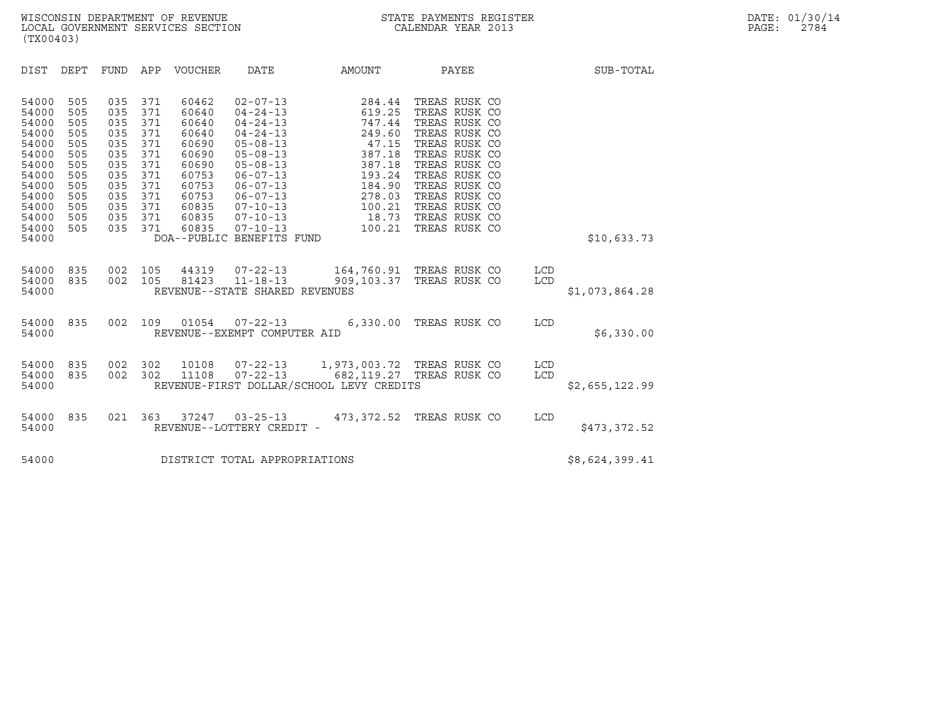| (TX00403)                                                                                                                  |                                                                                         |                                                                                         |                                                                                         |                                                                                                                   |                                                                                                                                                                                                                                                                     |                                                                                                                               |                                                                                                                                                                                                                                        |            |                |  |
|----------------------------------------------------------------------------------------------------------------------------|-----------------------------------------------------------------------------------------|-----------------------------------------------------------------------------------------|-----------------------------------------------------------------------------------------|-------------------------------------------------------------------------------------------------------------------|---------------------------------------------------------------------------------------------------------------------------------------------------------------------------------------------------------------------------------------------------------------------|-------------------------------------------------------------------------------------------------------------------------------|----------------------------------------------------------------------------------------------------------------------------------------------------------------------------------------------------------------------------------------|------------|----------------|--|
| DIST                                                                                                                       | DEPT                                                                                    | FUND APP                                                                                |                                                                                         | VOUCHER                                                                                                           | DATE                                                                                                                                                                                                                                                                | AMOUNT                                                                                                                        | PAYEE                                                                                                                                                                                                                                  |            | SUB-TOTAL      |  |
| 54000<br>54000<br>54000<br>54000<br>54000<br>54000<br>54000<br>54000<br>54000<br>54000<br>54000<br>54000<br>54000<br>54000 | 505<br>505<br>505<br>505<br>505<br>505<br>505<br>505<br>505<br>505<br>505<br>505<br>505 | 035<br>035<br>035<br>035<br>035<br>035<br>035<br>035<br>035<br>035<br>035<br>035<br>035 | 371<br>371<br>371<br>371<br>371<br>371<br>371<br>371<br>371<br>371<br>371<br>371<br>371 | 60462<br>60640<br>60640<br>60640<br>60690<br>60690<br>60690<br>60753<br>60753<br>60753<br>60835<br>60835<br>60835 | $02 - 07 - 13$<br>$04 - 24 - 13$<br>$04 - 24 - 13$<br>$04 - 24 - 13$<br>$05 - 08 - 13$<br>$05 - 08 - 13$<br>$05 - 08 - 13$<br>$06 - 07 - 13$<br>$06 - 07 - 13$<br>$06 - 07 - 13$<br>$07 - 10 - 13$<br>$07 - 10 - 13$<br>$07 - 10 - 13$<br>DOA--PUBLIC BENEFITS FUND | 284.44<br>619.25<br>747.44<br>249.60<br>47.15<br>387.18<br>387.18<br>193.24<br>184.90<br>278.03<br>100.21                     | TREAS RUSK CO<br>TREAS RUSK CO<br>TREAS RUSK CO<br>TREAS RUSK CO<br>TREAS RUSK CO<br>TREAS RUSK CO<br>TREAS RUSK CO<br>TREAS RUSK CO<br>TREAS RUSK CO<br>TREAS RUSK CO<br>TREAS RUSK CO<br>18.73 TREAS RUSK CO<br>100.21 TREAS RUSK CO |            | \$10,633.73    |  |
| 54000<br>54000<br>54000                                                                                                    | 835<br>835                                                                              | 002<br>002                                                                              | 105<br>105                                                                              |                                                                                                                   | 44319 07-22-13<br>81423 11-18-13<br>REVENUE--STATE SHARED REVENUES                                                                                                                                                                                                  |                                                                                                                               | 164,760.91 TREAS RUSK CO<br>909,103.37 TREAS RUSK CO                                                                                                                                                                                   | LCD<br>LCD | \$1,073,864.28 |  |
| 54000<br>54000                                                                                                             | 835                                                                                     | 002                                                                                     | 109                                                                                     | 01054                                                                                                             | REVENUE--EXEMPT COMPUTER AID                                                                                                                                                                                                                                        | 07-22-13 6,330.00 TREAS RUSK CO                                                                                               |                                                                                                                                                                                                                                        | LCD        | \$6,330.00     |  |
| 54000<br>54000<br>54000                                                                                                    | 835<br>835                                                                              | 002<br>002                                                                              | 302<br>302                                                                              | 11108                                                                                                             |                                                                                                                                                                                                                                                                     | 10108  07-22-13  1,973,003.72  TREAS RUSK CO<br>07-22-13 682,119.27 TREAS RUSK CO<br>REVENUE-FIRST DOLLAR/SCHOOL LEVY CREDITS |                                                                                                                                                                                                                                        | LCD<br>LCD | \$2,655,122.99 |  |
| 54000<br>54000                                                                                                             | 835                                                                                     | 021 363                                                                                 |                                                                                         | 37247                                                                                                             | $03 - 25 - 13$<br>REVENUE--LOTTERY CREDIT -                                                                                                                                                                                                                         |                                                                                                                               | 473,372.52 TREAS RUSK CO                                                                                                                                                                                                               | LCD        | \$473,372.52   |  |
| 54000                                                                                                                      |                                                                                         |                                                                                         |                                                                                         |                                                                                                                   | DISTRICT TOTAL APPROPRIATIONS                                                                                                                                                                                                                                       |                                                                                                                               |                                                                                                                                                                                                                                        |            | \$8,624,399.41 |  |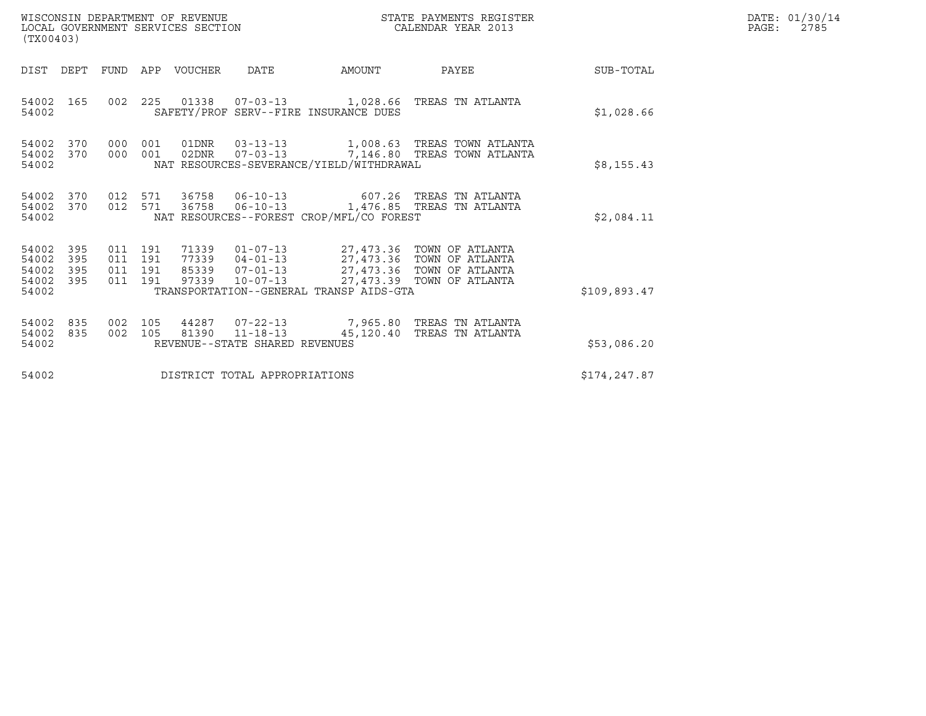| (TX00403)                                 |                          |                                          | WISCONSIN DEPARTMENT OF REVENUE<br>LOCAL GOVERNMENT SERVICES SECTION |                                                                                                |                                          | DATE: 01/30/14<br>PAGE:<br>2785                                                                                                                                                                                       |              |  |
|-------------------------------------------|--------------------------|------------------------------------------|----------------------------------------------------------------------|------------------------------------------------------------------------------------------------|------------------------------------------|-----------------------------------------------------------------------------------------------------------------------------------------------------------------------------------------------------------------------|--------------|--|
|                                           |                          |                                          | DIST DEPT FUND APP VOUCHER                                           | DATE                                                                                           | AMOUNT                                   | PAYEE                                                                                                                                                                                                                 | SUB-TOTAL    |  |
| 54002 165<br>54002                        |                          |                                          |                                                                      |                                                                                                | SAFETY/PROF SERV--FIRE INSURANCE DUES    | 002  225  01338  07-03-13  1,028.66  TREAS TN ATLANTA                                                                                                                                                                 | \$1,028.66   |  |
| 54002 370<br>54002                        | 54002 370                | 000 001<br>000 001                       |                                                                      | 01DNR  03-13-13  1,008.63  TREAS TOWN ATLANTA<br>NAT RESOURCES-SEVERANCE/YIELD/WITHDRAWAL      | \$8,155.43                               |                                                                                                                                                                                                                       |              |  |
| 54002<br>54002                            | 54002 370<br>370         | 012 571<br>012 571                       | 36758                                                                |                                                                                                | NAT RESOURCES--FOREST CROP/MFL/CO FOREST | 36758  06-10-13  607.26  TREAS TN ATLANTA<br>06-10-13 1,476.85 TREAS TN ATLANTA                                                                                                                                       | \$2,084.11   |  |
| 54002<br>54002<br>54002<br>54002<br>54002 | 395<br>395<br>395<br>395 | 011 191<br>011 191<br>011 191<br>011 191 | 97339                                                                | $10 - 07 - 13$                                                                                 | TRANSPORTATION--GENERAL TRANSP AIDS-GTA  | 71339  01-07-13  27,473.36  TOWN OF ATLANTA<br>77339  04-01-13  27,473.36  TOWN OF ATLANTA<br>85339  07-01-13  27,473.36  TOWN OF ATLANTA<br>97339  10-07-13  27,473.39  TOWN OF ATLANTA<br>27,473.39 TOWN OF ATLANTA | \$109,893.47 |  |
| 54002 835<br>54002 835<br>54002           |                          | 002 105<br>002 105                       | 81390                                                                | 44287  07-22-13  7,965.80 TREAS TN ATLANTA<br>$11 - 18 - 13$<br>REVENUE--STATE SHARED REVENUES | \$53,086.20                              |                                                                                                                                                                                                                       |              |  |
| 54002                                     |                          |                                          |                                                                      | DISTRICT TOTAL APPROPRIATIONS                                                                  | \$174,247.87                             |                                                                                                                                                                                                                       |              |  |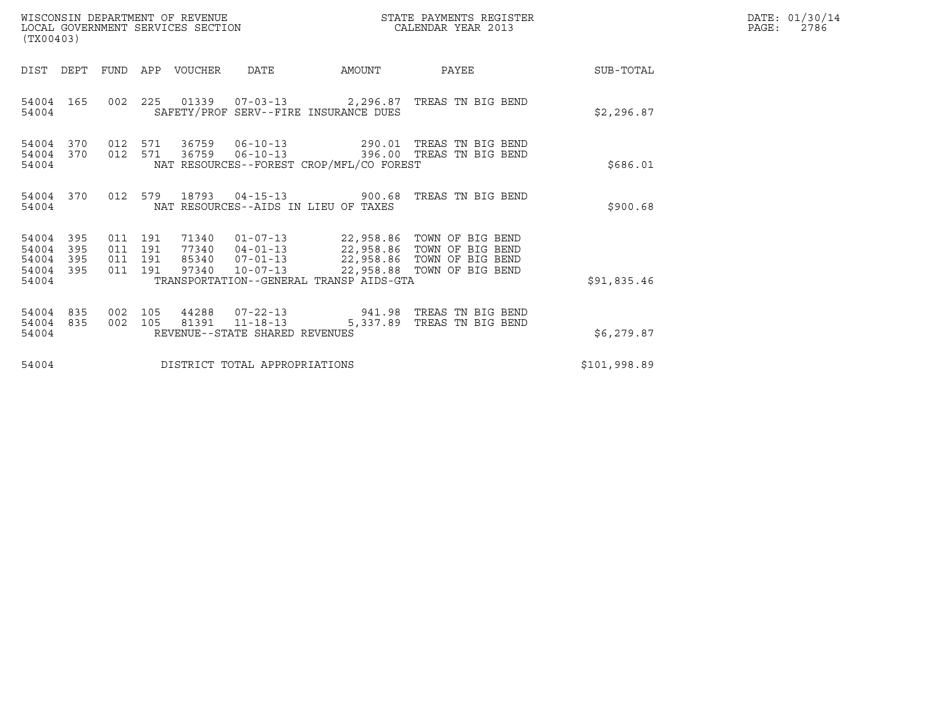| (TX00403)                                 |                          |                                  |            | WISCONSIN DEPARTMENT OF REVENUE<br>LOCAL GOVERNMENT SERVICES SECTION |                                                        |                                                               | DATE: 01/30/14<br>PAGE:<br>2786                                                                                               |              |  |
|-------------------------------------------|--------------------------|----------------------------------|------------|----------------------------------------------------------------------|--------------------------------------------------------|---------------------------------------------------------------|-------------------------------------------------------------------------------------------------------------------------------|--------------|--|
| DIST                                      | DEPT                     | FUND                             |            | APP VOUCHER                                                          | DATE                                                   | AMOUNT                                                        | PAYEE                                                                                                                         | SUB-TOTAL    |  |
| 54004 165<br>54004                        |                          | 002 225                          |            |                                                                      |                                                        | SAFETY/PROF SERV--FIRE INSURANCE DUES                         |                                                                                                                               | \$2,296.87   |  |
| 54004<br>54004<br>54004                   | 370<br>370               | 012<br>012 571                   | 571        | 36759<br>36759                                                       | $06 - 10 - 13$<br>$06 - 10 - 13$                       | NAT RESOURCES--FOREST CROP/MFL/CO FOREST                      | 290.01 TREAS TN BIG BEND<br>396.00 TREAS TN BIG BEND                                                                          | \$686.01     |  |
| 54004 370<br>54004                        |                          | 012 579                          |            | 18793                                                                |                                                        | $04 - 15 - 13$ 900.68<br>NAT RESOURCES--AIDS IN LIEU OF TAXES | TREAS TN BIG BEND                                                                                                             | \$900.68     |  |
| 54004<br>54004<br>54004<br>54004<br>54004 | 395<br>395<br>395<br>395 | 011 191<br>011<br>011<br>011 191 | 191<br>191 | 71340<br>85340<br>97340                                              | $77340$ $04-01-13$<br>$07 - 01 - 13$<br>$10 - 07 - 13$ | TRANSPORTATION--GENERAL TRANSP AIDS-GTA                       | 01-07-13 22,958.86 TOWN OF BIG BEND<br>22,958.86 TOWN OF BIG BEND<br>22,958.86 TOWN OF BIG BEND<br>22,958.88 TOWN OF BIG BEND | \$91,835.46  |  |
| 54004<br>54004<br>54004                   | 835<br>835               | 002<br>002                       | 105<br>105 | 44288<br>81391                                                       | $11 - 18 - 13$<br>REVENUE--STATE SHARED REVENUES       | $07 - 22 - 13$ 941.98<br>5,337.89                             | TREAS TN BIG BEND<br>TREAS TN BIG BEND                                                                                        | \$6,279.87   |  |
| 54004                                     |                          |                                  |            |                                                                      | DISTRICT TOTAL APPROPRIATIONS                          |                                                               |                                                                                                                               | \$101,998.89 |  |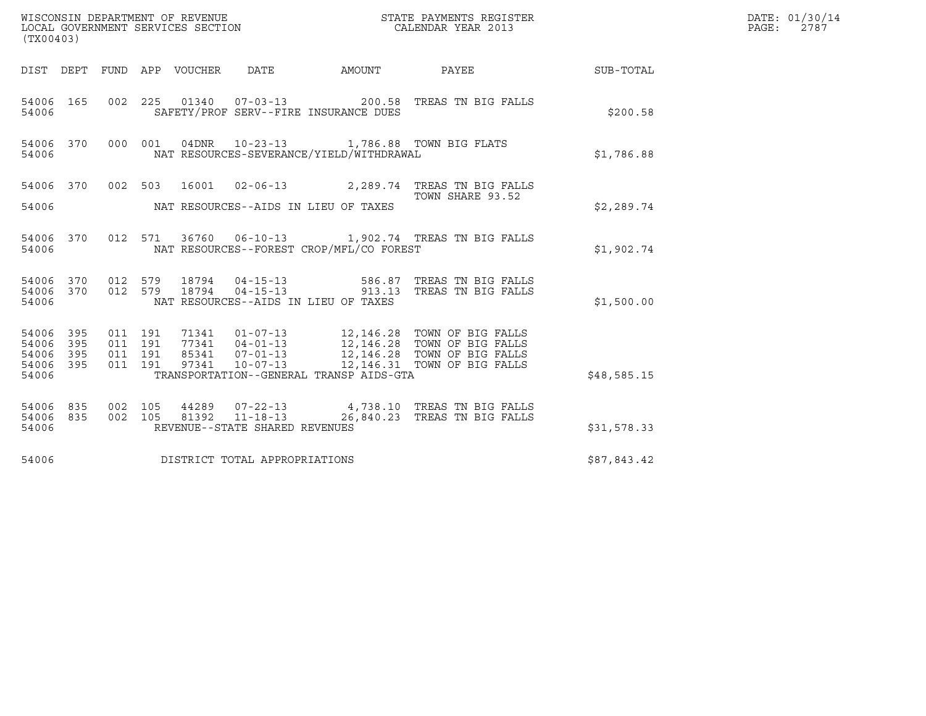| WISCONSIN DEPARTMENT OF REVENUE<br>LOCAL GOVERNMENT SERVICES SECTION<br>(TX00403)                                                                                     | $\begin{tabular}{c} \bf STATE \texttt{ PAYMENTS \texttt{REGISTER} }\\ \texttt{CALENNAR \texttt{YFAP} } \end{tabular}$                                                                   |             | DATE: 01/30/14<br>PAGE:<br>2787 |
|-----------------------------------------------------------------------------------------------------------------------------------------------------------------------|-----------------------------------------------------------------------------------------------------------------------------------------------------------------------------------------|-------------|---------------------------------|
| FUND APP VOUCHER DATE AMOUNT<br>DIST DEPT                                                                                                                             | PAYEE SUB-TOTAL                                                                                                                                                                         |             |                                 |
| 54006 165<br>SAFETY/PROF SERV--FIRE INSURANCE DUES<br>54006                                                                                                           | 002  225  01340  07-03-13  200.58  TREAS TN BIG FALLS                                                                                                                                   | \$200.58    |                                 |
| 54006 370<br>000 001<br>NAT RESOURCES-SEVERANCE/YIELD/WITHDRAWAL<br>54006                                                                                             | 04DNR  10-23-13  1,786.88  TOWN BIG FLATS                                                                                                                                               | \$1,786.88  |                                 |
| 54006 370 002 503 16001 02-06-13 2,289.74 TREAS TN BIG FALLS<br>NAT RESOURCES--AIDS IN LIEU OF TAXES<br>54006                                                         | TOWN SHARE 93.52                                                                                                                                                                        | \$2,289.74  |                                 |
| 54006 370<br>NAT RESOURCES--FOREST CROP/MFL/CO FOREST<br>54006                                                                                                        | 012 571 36760 06-10-13 1,902.74 TREAS TN BIG FALLS                                                                                                                                      | \$1,902.74  |                                 |
| 54006 370<br>012 579<br>18794<br>$04 - 15 - 13$<br>012 579<br>54006 370<br>18794<br>NAT RESOURCES--AIDS IN LIEU OF TAXES<br>54006                                     | $04 - 15 - 13$ 586.87<br>TREAS TN BIG FALLS<br>913.13 TREAS TN BIG FALLS                                                                                                                | \$1,500.00  |                                 |
| 54006 395<br>011 191<br>54006<br>395<br>011 191<br>011 191<br>54006 395<br>011 191<br>97341 10-07-13<br>54006 395<br>TRANSPORTATION--GENERAL TRANSP AIDS-GTA<br>54006 | 71341   01-07-13   12,146.28   TOWN OF BIG FALLS<br>77341   04-01-13   12,146.28   TOWN OF BIG FALLS<br>85341   07-01-13   12,146.28   TOWN OF BIG FALLS<br>12,146.31 TOWN OF BIG FALLS | \$48,585.15 |                                 |
| 54006 835<br>002 105<br>54006 835<br>002 105<br>54006<br>REVENUE--STATE SHARED REVENUES                                                                               | 44289  07-22-13  4,738.10 TREAS TN BIG FALLS<br>81392  11-18-13  26,840.23 TREAS TN BIG FALLS                                                                                           | \$31,578.33 |                                 |
| DISTRICT TOTAL APPROPRIATIONS<br>54006                                                                                                                                |                                                                                                                                                                                         | \$87,843.42 |                                 |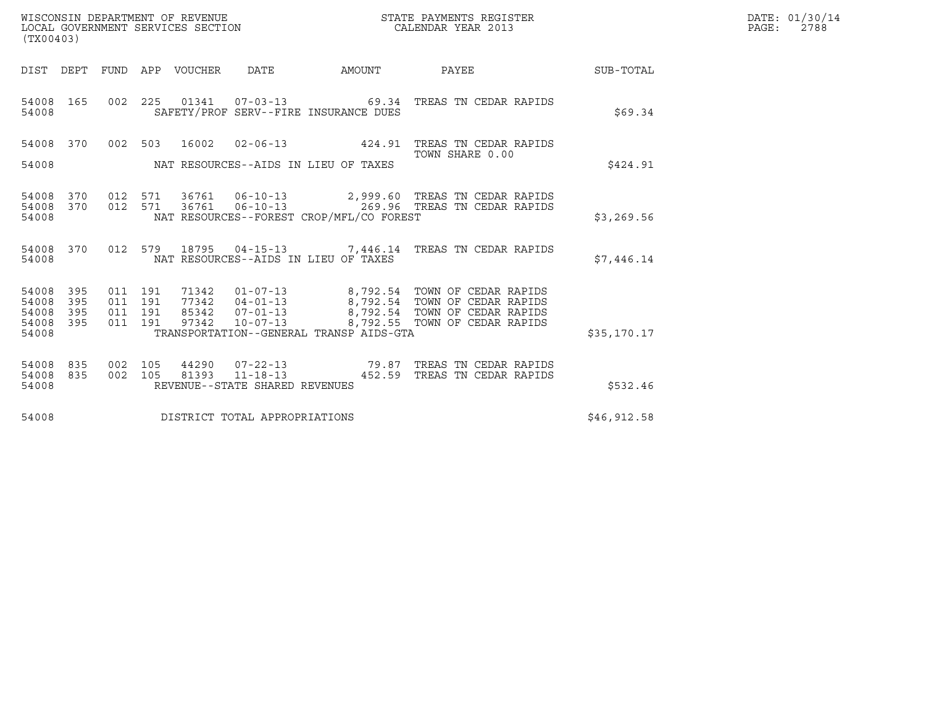| (TX00403)                                                          |     |                                          |                |                                |                                          | STATE PAYMENTS REGISTER                                                                                      |             | DATE: 01/30/14<br>PAGE: 2788 |
|--------------------------------------------------------------------|-----|------------------------------------------|----------------|--------------------------------|------------------------------------------|--------------------------------------------------------------------------------------------------------------|-------------|------------------------------|
| DIST DEPT FUND APP VOUCHER                                         |     |                                          |                | DATE                           | AMOUNT                                   | PAYEE SUB-TOTAL                                                                                              |             |                              |
| 54008 165<br>54008                                                 |     |                                          |                |                                | SAFETY/PROF SERV--FIRE INSURANCE DUES    | 002  225  01341  07-03-13  69.34  TREAS TN CEDAR RAPIDS                                                      | \$69.34     |                              |
| 54008 370                                                          |     |                                          | 002 503 16002  |                                |                                          | 02-06-13 424.91 TREAS TN CEDAR RAPIDS<br>TOWN SHARE 0.00                                                     |             |                              |
| 54008                                                              |     |                                          |                |                                | NAT RESOURCES--AIDS IN LIEU OF TAXES     |                                                                                                              | \$424.91    |                              |
| 54008 370<br>54008 370<br>54008                                    |     |                                          |                |                                | NAT RESOURCES--FOREST CROP/MFL/CO FOREST | 012 571 36761 06-10-13 2,999.60 TREAS TN CEDAR RAPIDS<br>012 571 36761 06-10-13 269.96 TREAS TN CEDAR RAPIDS | \$3,269.56  |                              |
| 54008 370<br>54008                                                 |     |                                          |                |                                | NAT RESOURCES--AIDS IN LIEU OF TAXES     | 012 579 18795 04-15-13 7,446.14 TREAS TN CEDAR RAPIDS                                                        | \$7,446.14  |                              |
| 54008<br>395<br>395<br>54008<br>54008<br>395<br>54008 395<br>54008 |     | 011 191<br>011 191<br>011 191<br>011 191 |                |                                | TRANSPORTATION--GENERAL TRANSP AIDS-GTA  |                                                                                                              | \$35,170.17 |                              |
| 835<br>54008<br>54008 835<br>54008                                 | 002 | 105<br>002 105                           | 44290<br>81393 | REVENUE--STATE SHARED REVENUES |                                          | 07-22-13 79.87 TREAS TN CEDAR RAPIDS<br>11-18-13 452.59 TREAS TN CEDAR RAPIDS                                | \$532.46    |                              |
| 54008                                                              |     |                                          |                | DISTRICT TOTAL APPROPRIATIONS  |                                          |                                                                                                              | \$46,912.58 |                              |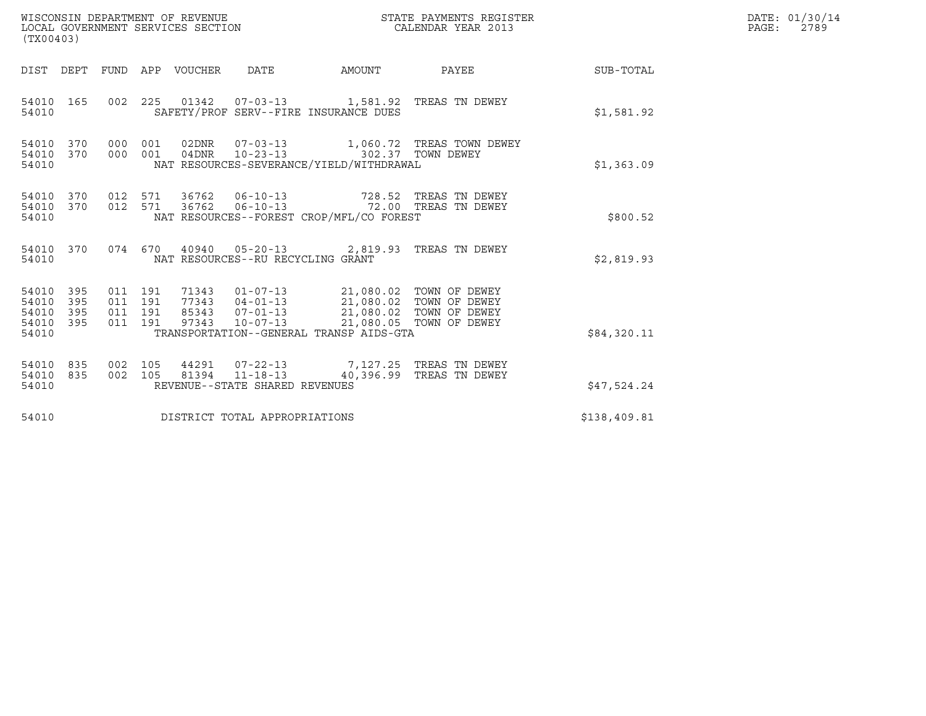| WISCONSIN DEPARTMENT OF REVENUE<br>LOCAL GOVERNMENT SERVICES SECTION<br>(TX00403) |                                          |            |                  |                                                                    | STATE PAYMENTS REGISTER<br>CALENDAR YEAR 2013                                                                                                                                                                                                                                                                                                                 |                                                     | DATE: 01/30/14<br>PAGE:<br>2789 |  |
|-----------------------------------------------------------------------------------|------------------------------------------|------------|------------------|--------------------------------------------------------------------|---------------------------------------------------------------------------------------------------------------------------------------------------------------------------------------------------------------------------------------------------------------------------------------------------------------------------------------------------------------|-----------------------------------------------------|---------------------------------|--|
| DIST DEPT                                                                         |                                          |            | FUND APP VOUCHER | DATE                                                               | AMOUNT                                                                                                                                                                                                                                                                                                                                                        | PAYEE                                               | SUB-TOTAL                       |  |
| 54010 165<br>54010                                                                |                                          | 002 225    |                  |                                                                    | SAFETY/PROF SERV--FIRE INSURANCE DUES                                                                                                                                                                                                                                                                                                                         |                                                     | \$1,581.92                      |  |
| 54010<br>370<br>54010 370<br>54010                                                | 000<br>000                               | 001<br>001 |                  |                                                                    | NAT RESOURCES-SEVERANCE/YIELD/WITHDRAWAL                                                                                                                                                                                                                                                                                                                      | 02DNR  07-03-13   1,060.72   TREAS TOWN DEWEY       | \$1,363.09                      |  |
| 54010 370<br>370<br>54010<br>54010                                                | 012 571<br>012 571                       |            | 36762<br>36762   | $06 - 10 - 13$<br>$06 - 10 - 13$                                   | NAT RESOURCES--FOREST CROP/MFL/CO FOREST                                                                                                                                                                                                                                                                                                                      | 728.52 TREAS TN DEWEY<br>72.00 TREAS TN DEWEY       | \$800.52                        |  |
| 54010 370<br>54010                                                                |                                          | 074 670    |                  | NAT RESOURCES--RU RECYCLING GRANT                                  | 40940  05-20-13  2,819.93  TREAS TN DEWEY                                                                                                                                                                                                                                                                                                                     |                                                     | \$2,819.93                      |  |
| 54010<br>395<br>54010<br>395<br>395<br>54010<br>395<br>54010<br>54010             | 011 191<br>011 191<br>011 191<br>011 191 |            |                  |                                                                    | $\begin{array}{cccc} 71343 & 01\hbox{-}07\hbox{-}13 & 21,080.02 & \text{TOMN OF DEWEY} \\ 77343 & 04\hbox{-}01\hbox{-}13 & 21,080.02 & \text{TOMN OF DEWEY} \\ 85343 & 07\hbox{-}01\hbox{-}13 & 21,080.02 & \text{TOMN OF DEWEY} \\ 97343 & 10\hbox{-}07\hbox{-}13 & 21,080.05 & \text{TOMN OF DEWEY} \end{array}$<br>TRANSPORTATION--GENERAL TRANSP AIDS-GTA | 21,080.05 TOWN OF DEWEY                             | \$84,320.11                     |  |
| 54010<br>835<br>835<br>54010<br>54010                                             | 002 105<br>002 105                       |            |                  | 44291 07-22-13<br>81394 11-18-13<br>REVENUE--STATE SHARED REVENUES |                                                                                                                                                                                                                                                                                                                                                               | 7,127.25 TREAS TN DEWEY<br>40,396.99 TREAS TN DEWEY | \$47,524.24                     |  |
| 54010                                                                             |                                          |            |                  | DISTRICT TOTAL APPROPRIATIONS                                      |                                                                                                                                                                                                                                                                                                                                                               |                                                     | \$138,409.81                    |  |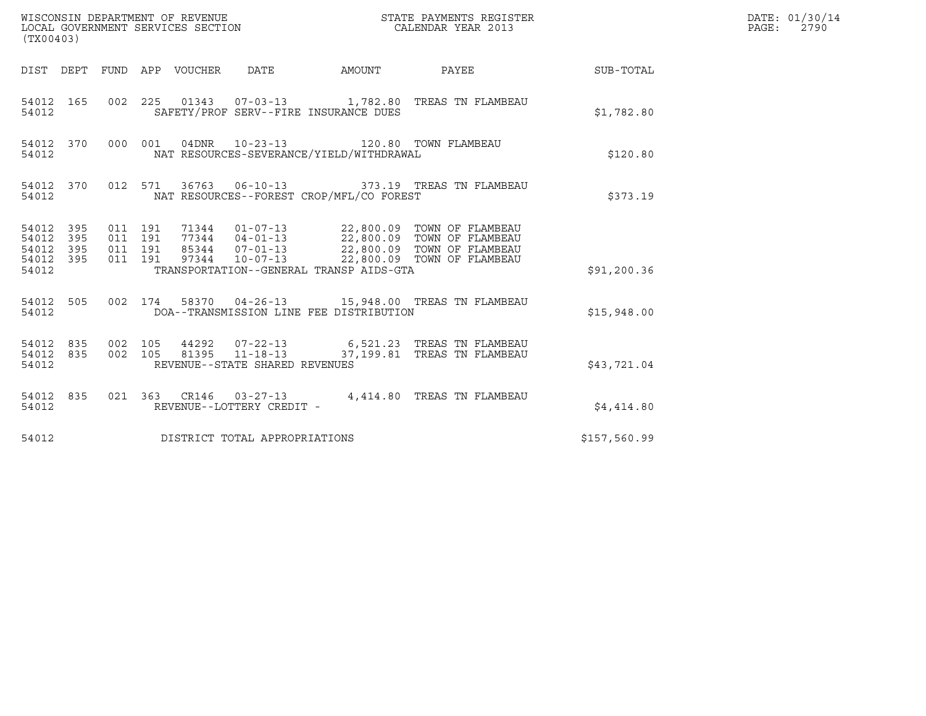| (TX00403)                                             |           |                                          |  |                                 |                                |                                          |                                                                                                   |              | DATE: 01/30/14<br>PAGE: 2790 |
|-------------------------------------------------------|-----------|------------------------------------------|--|---------------------------------|--------------------------------|------------------------------------------|---------------------------------------------------------------------------------------------------|--------------|------------------------------|
|                                                       |           |                                          |  | DIST DEPT FUND APP VOUCHER DATE |                                | AMOUNT                                   | PAYEE                                                                                             | SUB-TOTAL    |                              |
| 54012                                                 | 54012 165 |                                          |  |                                 |                                | SAFETY/PROF SERV--FIRE INSURANCE DUES    | 002  225  01343  07-03-13  1,782.80 TREAS TN FLAMBEAU                                             | \$1,782.80   |                              |
| 54012                                                 | 54012 370 |                                          |  |                                 | 000 001 04DNR 10-23-13         | NAT RESOURCES-SEVERANCE/YIELD/WITHDRAWAL | 120.80 TOWN FLAMBEAU                                                                              | \$120.80     |                              |
| 54012                                                 | 54012 370 |                                          |  |                                 |                                | NAT RESOURCES--FOREST CROP/MFL/CO FOREST | 012 571 36763 06-10-13 373.19 TREAS TN FLAMBEAU                                                   | \$373.19     |                              |
| 54012 395<br>54012 395<br>54012<br>54012 395<br>54012 | 395       | 011 191<br>011 191<br>011 191<br>011 191 |  |                                 |                                | TRANSPORTATION--GENERAL TRANSP AIDS-GTA  | 85344  07-01-13  22,800.09  TOWN OF FLAMBEAU<br>97344  10-07-13  22,800.09  TOWN OF FLAMBEAU      | \$91, 200.36 |                              |
| 54012                                                 | 54012 505 |                                          |  |                                 |                                | DOA--TRANSMISSION LINE FEE DISTRIBUTION  | 002 174 58370 04-26-13 15,948.00 TREAS TN FLAMBEAU                                                | \$15,948.00  |                              |
| 54012 835<br>54012                                    | 54012 835 | 002 105<br>002 105                       |  |                                 | REVENUE--STATE SHARED REVENUES |                                          | 44292  07-22-13    6,521.23    TREAS TN FLAMBEAU<br>81395  11-18-13  37,199.81  TREAS TN FLAMBEAU | \$43,721.04  |                              |
| 54012                                                 | 54012 835 |                                          |  |                                 | REVENUE--LOTTERY CREDIT -      |                                          | 021 363 CR146 03-27-13 4,414.80 TREAS TN FLAMBEAU                                                 | \$4,414.80   |                              |
| 54012                                                 |           |                                          |  |                                 | DISTRICT TOTAL APPROPRIATIONS  |                                          |                                                                                                   | \$157,560.99 |                              |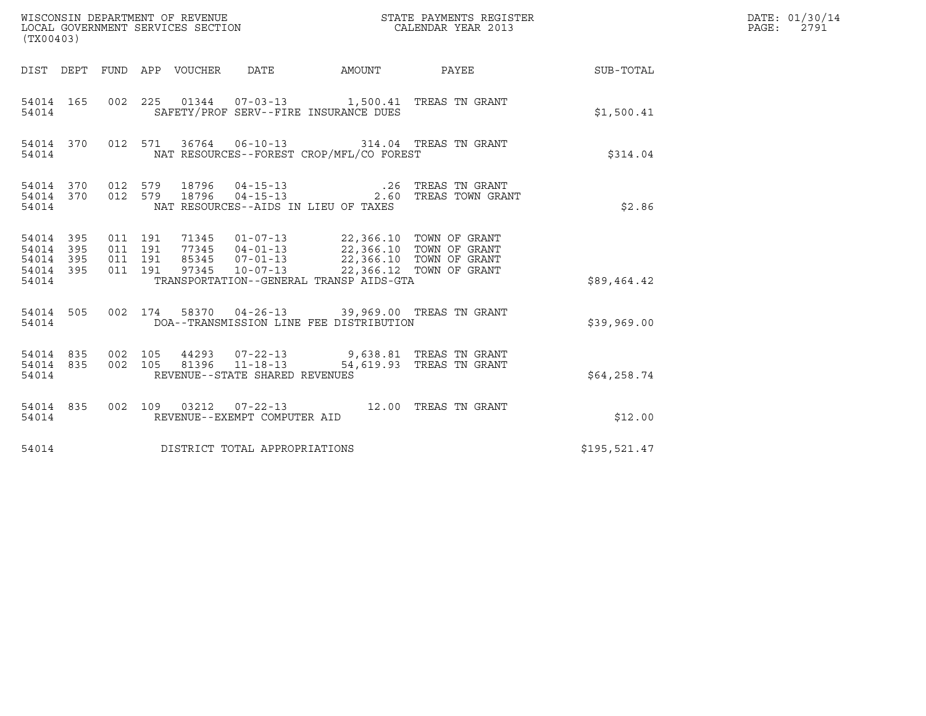| (TX00403)                               |                    |         |                                                      |                                                                                                                                                 |                                                           |              | DATE: 01/30/14<br>PAGE: 2791 |
|-----------------------------------------|--------------------|---------|------------------------------------------------------|-------------------------------------------------------------------------------------------------------------------------------------------------|-----------------------------------------------------------|--------------|------------------------------|
|                                         |                    |         |                                                      |                                                                                                                                                 | DIST DEPT FUND APP VOUCHER DATE AMOUNT PAYEE TO SUB-TOTAL |              |                              |
| 54014 165<br>54014                      |                    |         |                                                      | 002 225 01344 07-03-13 1,500.41 TREAS TN GRANT<br>SAFETY/PROF SERV--FIRE INSURANCE DUES                                                         |                                                           | \$1,500.41   |                              |
| 54014                                   |                    |         |                                                      | 54014 370 012 571 36764 06-10-13 314.04 TREAS TN GRANT<br>NAT RESOURCES--FOREST CROP/MFL/CO FOREST                                              |                                                           | \$314.04     |                              |
| 54014                                   |                    |         |                                                      | NAT RESOURCES--AIDS IN LIEU OF TAXES                                                                                                            |                                                           | \$2.86       |                              |
| 54014 395<br>54014 395<br>54014 395     | 011 191<br>011 191 | 011 191 |                                                      | 71345  01-07-13  22,366.10  TOWN OF GRANT<br>77345 04-01-13<br>85345 07-01-13 22,366.10 TOWN OF GRANT<br>97345 10-07-13 22,366.10 TOWN OF GRANT |                                                           |              |                              |
| 54014 395<br>54014                      |                    | 011 191 |                                                      | TRANSPORTATION--GENERAL TRANSP AIDS-GTA                                                                                                         |                                                           | \$89,464.42  |                              |
| 54014 505<br>54014                      |                    |         |                                                      | 002 174 58370 04-26-13 39,969.00 TREAS TN GRANT<br>DOA--TRANSMISSION LINE FEE DISTRIBUTION                                                      |                                                           | \$39,969.00  |                              |
| 54014 835 002 105<br>54014 835<br>54014 | 002 105            |         | $81396$ $11-18-13$<br>REVENUE--STATE SHARED REVENUES | 44293  07-22-13  9,638.81  TREAS TN GRANT                                                                                                       | 54,619.93 TREAS TN GRANT                                  | \$64,258.74  |                              |
| 54014 835<br>54014                      |                    |         | REVENUE--EXEMPT COMPUTER AID                         | 002 109 03212 07-22-13 12.00 TREAS TN GRANT                                                                                                     |                                                           | \$12.00      |                              |
| 54014                                   |                    |         | DISTRICT TOTAL APPROPRIATIONS                        |                                                                                                                                                 |                                                           | \$195,521.47 |                              |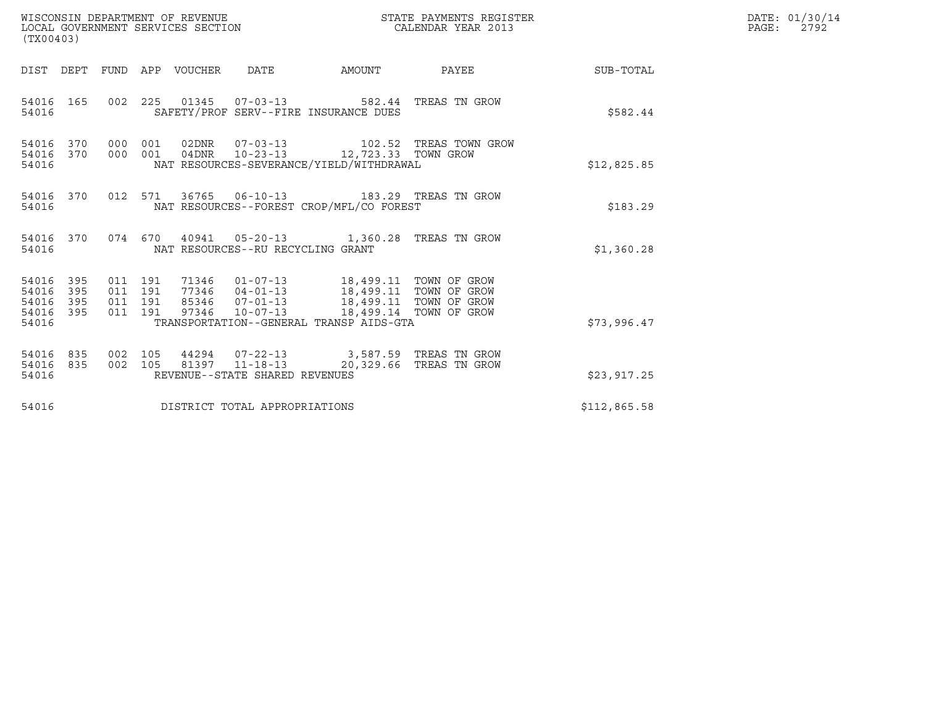| (TX00403)                                                       | WISCONSIN DEPARTMENT OF REVENUE<br>LOCAL GOVERNMENT SERVICES SECTION |                                                                                                                                                                                                                               | STATE PAYMENTS REGISTER<br>CALENDAR YEAR 2013 |              |  |  |  |
|-----------------------------------------------------------------|----------------------------------------------------------------------|-------------------------------------------------------------------------------------------------------------------------------------------------------------------------------------------------------------------------------|-----------------------------------------------|--------------|--|--|--|
|                                                                 | DIST DEPT FUND APP VOUCHER DATE                                      |                                                                                                                                                                                                                               |                                               |              |  |  |  |
| 54016 165<br>54016                                              |                                                                      | 002  225  01345  07-03-13  582.44  TREAS TN GROW<br>SAFETY/PROF SERV--FIRE INSURANCE DUES                                                                                                                                     |                                               | \$582.44     |  |  |  |
| 54016 370 000 001<br>54016<br>370<br>54016                      | 000 001                                                              | 02DNR  07-03-13    102.52 TREAS TOWN GROW<br>04DNR  10-23-13  12,723.33  TOWN GROW<br>NAT RESOURCES-SEVERANCE/YIELD/WITHDRAWAL                                                                                                |                                               | \$12,825.85  |  |  |  |
| 54016 370<br>54016                                              |                                                                      | 012 571 36765 06-10-13 183.29 TREAS TN GROW<br>NAT RESOURCES--FOREST CROP/MFL/CO FOREST                                                                                                                                       |                                               | \$183.29     |  |  |  |
| 54016 370<br>54016                                              |                                                                      | 074  670  40941  05-20-13   1,360.28  TREAS TN GROW<br>NAT RESOURCES--RU RECYCLING GRANT                                                                                                                                      |                                               | \$1,360.28   |  |  |  |
| 54016 395<br>54016<br>395<br>54016<br>395<br>54016 395<br>54016 | 011 191<br>011 191<br>011 191<br>011 191                             | 71346   01-07-13   18,499.11   TOWN OF GROW<br>77346   04-01-13   18,499.11   TOWN OF GROW<br>85346  07-01-13  18,499.11  TOWN OF GROW<br>97346  10-07-13  18,499.14  TOWN OF GROW<br>TRANSPORTATION--GENERAL TRANSP AIDS-GTA |                                               | \$73,996.47  |  |  |  |
| 54016 835<br>54016 835<br>54016                                 | 002 105<br>002 105                                                   | 44294  07-22-13  3,587.59  TREAS TN GROW<br>81397 11-18-13<br>REVENUE--STATE SHARED REVENUES                                                                                                                                  | 20,329.66 TREAS TN GROW                       | \$23,917.25  |  |  |  |
| 54016                                                           | DISTRICT TOTAL APPROPRIATIONS                                        |                                                                                                                                                                                                                               |                                               | \$112,865.58 |  |  |  |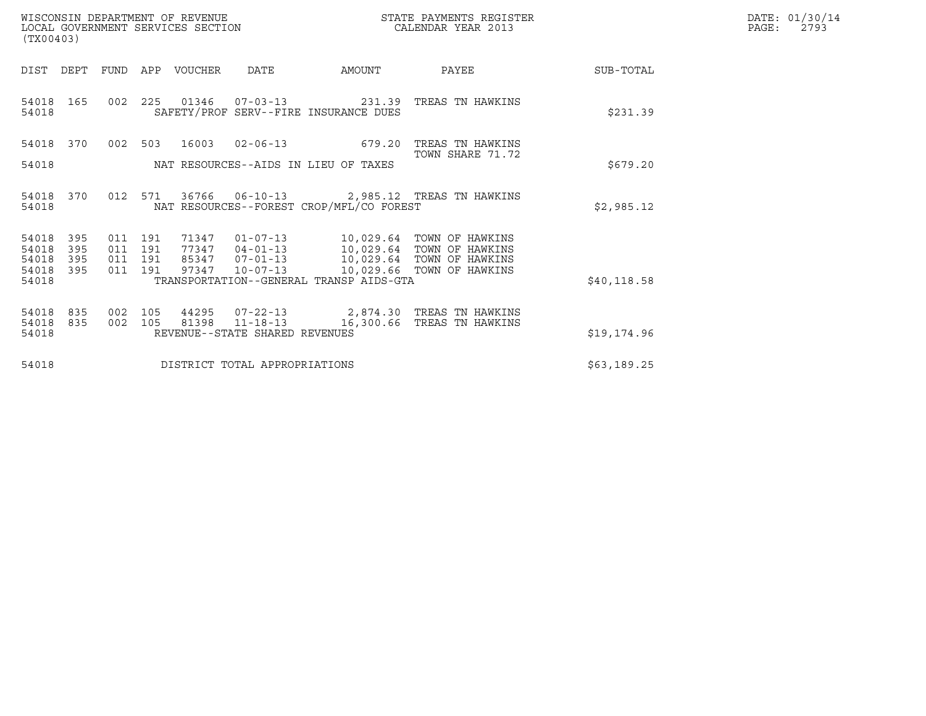| WISCONSIN DEPARTMENT OF REVENUE   | STATE PAYMENTS REGISTER | DATE: 01/30/14 |
|-----------------------------------|-------------------------|----------------|
| LOCAL GOVERNMENT SERVICES SECTION | CALENDAR YEAR 2013      | 2793<br>PAGE:  |

| WISCONSIN DEPARTMENT OF REVENUE<br>LOCAL GOVERNMENT SERVICES SECTION<br>(TX00403) |                               |     |                               |                  |                                | STATE PAYMENTS REGISTER<br>CALENDAR YEAR 2013                      |                                                                                           |              | DATE: 01/30/14<br>$\mathtt{PAGE}$ :<br>2793 |
|-----------------------------------------------------------------------------------|-------------------------------|-----|-------------------------------|------------------|--------------------------------|--------------------------------------------------------------------|-------------------------------------------------------------------------------------------|--------------|---------------------------------------------|
| DIST                                                                              | DEPT                          |     |                               | FUND APP VOUCHER | DATE                           | AMOUNT                                                             | PAYEE                                                                                     | SUB-TOTAL    |                                             |
| 54018<br>54018                                                                    | 165                           | 002 |                               |                  |                                | 225 01346 07-03-13 231.39<br>SAFETY/PROF SERV--FIRE INSURANCE DUES | TREAS TN HAWKINS                                                                          | \$231.39     |                                             |
| 54018 370                                                                         |                               |     |                               |                  |                                |                                                                    | 002 503 16003 02-06-13 679.20 TREAS TN HAWKINS<br>TOWN SHARE 71.72                        |              |                                             |
| 54018                                                                             |                               |     |                               |                  |                                | NAT RESOURCES--AIDS IN LIEU OF TAXES                               |                                                                                           | \$679.20     |                                             |
| 54018<br>54018                                                                    | 370                           |     |                               |                  |                                | NAT RESOURCES--FOREST CROP/MFL/CO FOREST                           | 012 571 36766 06-10-13 2,985.12 TREAS TN HAWKINS                                          | \$2,985.12   |                                             |
| 54018<br>54018<br>54018                                                           | 395<br>395<br>395             |     | 011 191<br>011 191<br>011 191 |                  |                                |                                                                    | 85347  07-01-13  10,029.64  TOWN OF HAWKINS                                               |              |                                             |
| 54018<br>54018                                                                    | 395                           |     |                               |                  |                                | TRANSPORTATION--GENERAL TRANSP AIDS-GTA                            | 011 191 97347 10-07-13 10,029.66 TOWN OF HAWKINS                                          | \$40, 118.58 |                                             |
| 54018<br>54018                                                                    | 835<br>835                    | 002 | 105<br>002 105                |                  | REVENUE--STATE SHARED REVENUES |                                                                    | 44295  07-22-13  2,874.30 TREAS TN HAWKINS<br>81398  11-18-13  16,300.66 TREAS TN HAWKINS |              |                                             |
| 54018                                                                             |                               |     |                               |                  |                                |                                                                    |                                                                                           | \$19,174.96  |                                             |
| 54018                                                                             | DISTRICT TOTAL APPROPRIATIONS |     |                               |                  |                                |                                                                    |                                                                                           | \$63,189.25  |                                             |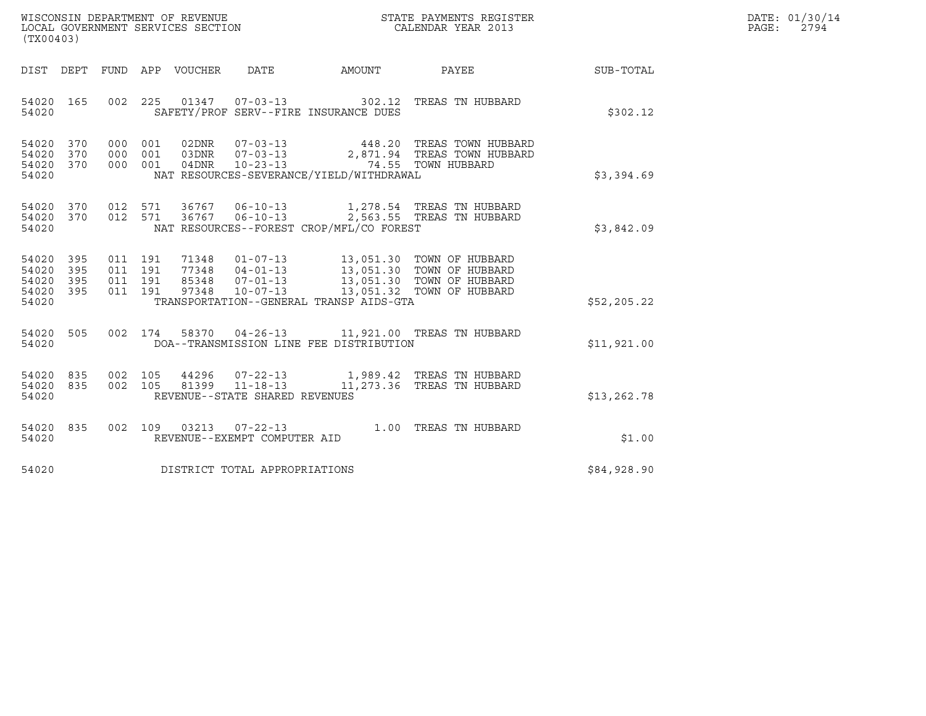| WISCONSIN DEPARTMENT OF REVENUE   | STATE PAYMENTS REGISTER | DATE: 01/30/14 |
|-----------------------------------|-------------------------|----------------|
| LOCAL GOVERNMENT SERVICES SECTION | CALENDAR YEAR 2013      | 2794<br>PAGE:  |

| (TX00403)                                                 |                                                                                                                                                                                                                                                                                                                                                                                                      |  |  | DATE: 01/30/14<br>PAGE:<br>2794 |  |
|-----------------------------------------------------------|------------------------------------------------------------------------------------------------------------------------------------------------------------------------------------------------------------------------------------------------------------------------------------------------------------------------------------------------------------------------------------------------------|--|--|---------------------------------|--|
|                                                           | DIST DEPT FUND APP VOUCHER DATE AMOUNT PAYEE                                                                                                                                                                                                                                                                                                                                                         |  |  | SUB-TOTAL                       |  |
| 54020 165<br>54020                                        | 002 225 01347 07-03-13 302.12 TREAS TN HUBBARD<br>SAFETY/PROF SERV--FIRE INSURANCE DUES                                                                                                                                                                                                                                                                                                              |  |  | \$302.12                        |  |
| 54020 370<br>54020 370<br>54020 370<br>54020              | 000 001 02DNR 07-03-13 448.20 TREAS TOWN HUBBARD<br>000 001 03DNR 07-03-13 2,871.94 TREAS TOWN HUBBARD<br>000 001 04DNR 10-23-13 74.55 TOWN HUBBARD<br>NAT RESOURCES-SEVERANCE/YIELD/WITHDRAWAL                                                                                                                                                                                                      |  |  | \$3,394.69                      |  |
| 54020 370<br>54020 370<br>54020                           | 012 571 36767 06-10-13 1,278.54 TREAS TNHUBBARD<br>012 571 36767 06-10-13 2,563.55 TREAS TNHUBBARD<br>NAT RESOURCES--FOREST CROP/MFL/CO FOREST                                                                                                                                                                                                                                                       |  |  | \$3,842.09                      |  |
| 54020 395<br>54020 395<br>54020 395<br>54020 395<br>54020 | $\begin{array}{cccccc} 011 & 191 & 71348 & 01\texttt{-}07\texttt{-}13 & 13\texttt{,}051.30 & \texttt{TOWN OF HUBBARD} \\ 011 & 191 & 77348 & 04\texttt{-}01\texttt{-}13 & 13\texttt{,}051.30 & \texttt{TOWN OF HUBBARD} \\ 011 & 191 & 85348 & 07\texttt{-}01\texttt{-}13 & 13\texttt{,}051.30 & \texttt{TOWN OF HUBBARD} \\ 011 & 191 & 97348 & 10\text$<br>TRANSPORTATION--GENERAL TRANSP AIDS-GTA |  |  | \$52, 205.22                    |  |
| 54020 505<br>54020                                        | 002 174 58370 04-26-13 11,921.00 TREAS TN HUBBARD<br>DOA--TRANSMISSION LINE FEE DISTRIBUTION                                                                                                                                                                                                                                                                                                         |  |  | \$11,921.00                     |  |
| 54020 835<br>54020 835<br>54020                           | 002 105 44296 07-22-13 1,989.42 TREAS TN HUBBARD<br>002 105 81399 11-18-13 11,273.36 TREAS TN HUBBARD<br>REVENUE--STATE SHARED REVENUES                                                                                                                                                                                                                                                              |  |  | \$13, 262.78                    |  |
| 54020 835<br>54020                                        | 002 109 03213 07-22-13 1.00 TREAS TN HUBBARD<br>REVENUE--EXEMPT COMPUTER AID                                                                                                                                                                                                                                                                                                                         |  |  | \$1.00                          |  |
| 54020                                                     | DISTRICT TOTAL APPROPRIATIONS                                                                                                                                                                                                                                                                                                                                                                        |  |  | \$84,928.90                     |  |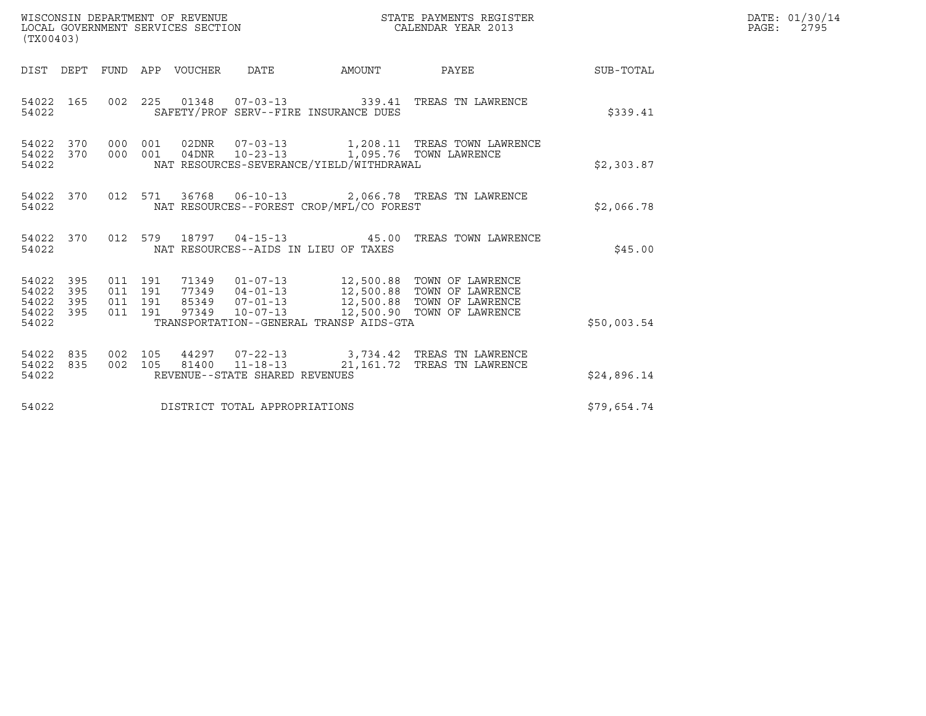| WISCONSIN DEPARTMENT OF REVENUE   | STATE PAYMENTS REGISTER | DATE: 01/30/14 |
|-----------------------------------|-------------------------|----------------|
| LOCAL GOVERNMENT SERVICES SECTION | CALENDAR YEAR 2013      | 2795<br>PAGE:  |

| (TX00403)                                     |                        |  |  |  |                                |                                          |                                                                                                                                                                                                                                                                                                                                                   |             | DATE: 01/30/14<br>$\mathtt{PAGE:}$<br>2795 |
|-----------------------------------------------|------------------------|--|--|--|--------------------------------|------------------------------------------|---------------------------------------------------------------------------------------------------------------------------------------------------------------------------------------------------------------------------------------------------------------------------------------------------------------------------------------------------|-------------|--------------------------------------------|
|                                               |                        |  |  |  |                                |                                          | DIST DEPT FUND APP VOUCHER DATE AMOUNT PAYEE SUB-TOTAL                                                                                                                                                                                                                                                                                            |             |                                            |
| 54022                                         | 54022 165              |  |  |  |                                | SAFETY/PROF SERV--FIRE INSURANCE DUES    | 002  225  01348  07-03-13  339.41  TREAS TN LAWRENCE                                                                                                                                                                                                                                                                                              | \$339.41    |                                            |
| 54022                                         | 54022 370<br>54022 370 |  |  |  |                                | NAT RESOURCES-SEVERANCE/YIELD/WITHDRAWAL | 000 001 02DNR 07-03-13 1,208.11 TREAS TOWN LAWRENCE<br>000 001 04DNR 10-23-13 1,095.76 TOWN LAWRENCE                                                                                                                                                                                                                                              | \$2,303.87  |                                            |
| 54022                                         |                        |  |  |  |                                | NAT RESOURCES--FOREST CROP/MFL/CO FOREST | 54022 370 012 571 36768 06-10-13 2,066.78 TREAS TN LAWRENCE                                                                                                                                                                                                                                                                                       | \$2,066.78  |                                            |
| 54022                                         |                        |  |  |  |                                | NAT RESOURCES--AIDS IN LIEU OF TAXES     | 54022 370 012 579 18797 04-15-13 45.00 TREAS TOWN LAWRENCE                                                                                                                                                                                                                                                                                        | \$45.00     |                                            |
| 54022<br>54022<br>54022<br>54022 395<br>54022 | 395<br>395<br>395      |  |  |  |                                | TRANSPORTATION--GENERAL TRANSP AIDS-GTA  | $\begin{array}{cccccc} 011 & 191 & 71349 & 01\texttt{-}07\texttt{-}13 & 12,500.88 & \texttt{TOWN OF LAWRENCE} \\ 011 & 191 & 77349 & 04\texttt{-}01\texttt{-}13 & 12,500.88 & \texttt{TOWN OF LAWRENCE} \\ 011 & 191 & 85349 & 07\texttt{-}01\texttt{-}13 & 12,500.88 & \texttt{TOWN OF LAWRENCE} \\ 011 & 191 & 97349 & 10\texttt{-}07\texttt{-$ | \$50,003.54 |                                            |
| 54022 835<br>54022 835<br>54022               |                        |  |  |  | REVENUE--STATE SHARED REVENUES |                                          | 002 105 44297 07-22-13 3,734.42 TREAS TN LAWRENCE<br>002 105 81400 11-18-13 21,161.72 TREAS TN LAWRENCE                                                                                                                                                                                                                                           | \$24,896.14 |                                            |
| 54022                                         |                        |  |  |  | DISTRICT TOTAL APPROPRIATIONS  |                                          |                                                                                                                                                                                                                                                                                                                                                   | \$79,654.74 |                                            |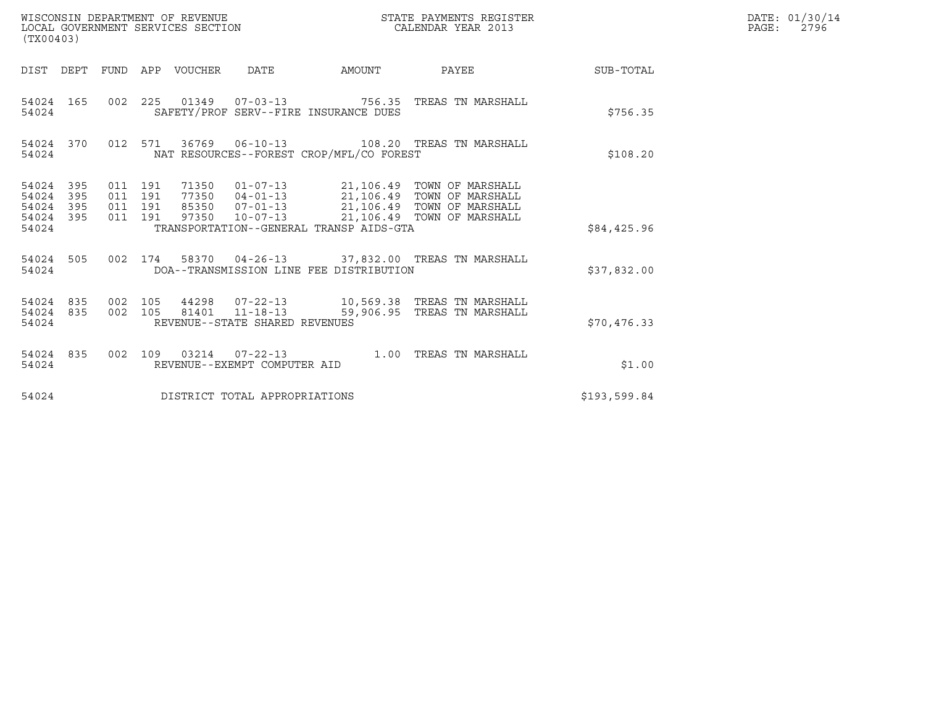| (TX00403)                                                       | WISCONSIN DEPARTMENT OF REVENUE<br>LOCAL GOVERNMENT SERVICES SECTION |                                          |              | STATE PAYMENTS REGISTER<br>CALENDAR YEAR 2013                                                                                                                                       |                  | DATE: 01/30/14<br>$\mathtt{PAGE:}$<br>2796 |
|-----------------------------------------------------------------|----------------------------------------------------------------------|------------------------------------------|--------------|-------------------------------------------------------------------------------------------------------------------------------------------------------------------------------------|------------------|--------------------------------------------|
|                                                                 |                                                                      | DIST DEPT FUND APP VOUCHER DATE          | AMOUNT PAYEE |                                                                                                                                                                                     | <b>SUB-TOTAL</b> |                                            |
| 54024 165<br>54024                                              |                                                                      | SAFETY/PROF SERV--FIRE INSURANCE DUES    |              | 002  225  01349  07-03-13  756.35  TREAS TN MARSHALL                                                                                                                                | \$756.35         |                                            |
| 54024 370<br>54024                                              |                                                                      | NAT RESOURCES--FOREST CROP/MFL/CO FOREST |              | 012 571 36769 06-10-13 108.20 TREAS TN MARSHALL                                                                                                                                     | \$108.20         |                                            |
| 54024 395<br>54024<br>395<br>54024<br>395<br>54024 395<br>54024 | 011 191<br>011 191<br>011 191<br>011 191<br>97350                    | TRANSPORTATION--GENERAL TRANSP AIDS-GTA  |              | 71350  01-07-13  21,106.49  TOWN OF MARSHALL<br>77350  04-01-13  21,106.49  TOWN OF MARSHALL<br>85350  07-01-13  21,106.49  TOWN OF MARSHALL<br>10-07-13 21,106.49 TOWN OF MARSHALL | \$84,425.96      |                                            |
| 54024 505<br>54024                                              |                                                                      | DOA--TRANSMISSION LINE FEE DISTRIBUTION  |              | 002 174 58370 04-26-13 37,832.00 TREAS TN MARSHALL                                                                                                                                  | \$37,832.00      |                                            |
| 54024 835<br>54024 835<br>54024                                 | 002 105                                                              | REVENUE--STATE SHARED REVENUES           |              | 002 105 81401 11-18-13 59,906.95 TREAS TN MARSHALL                                                                                                                                  | \$70,476.33      |                                            |
| 54024 835<br>54024                                              |                                                                      | REVENUE--EXEMPT COMPUTER AID             |              | 002 109 03214 07-22-13 1.00 TREAS TN MARSHALL                                                                                                                                       | \$1.00           |                                            |
| 54024                                                           |                                                                      | DISTRICT TOTAL APPROPRIATIONS            |              |                                                                                                                                                                                     | \$193,599.84     |                                            |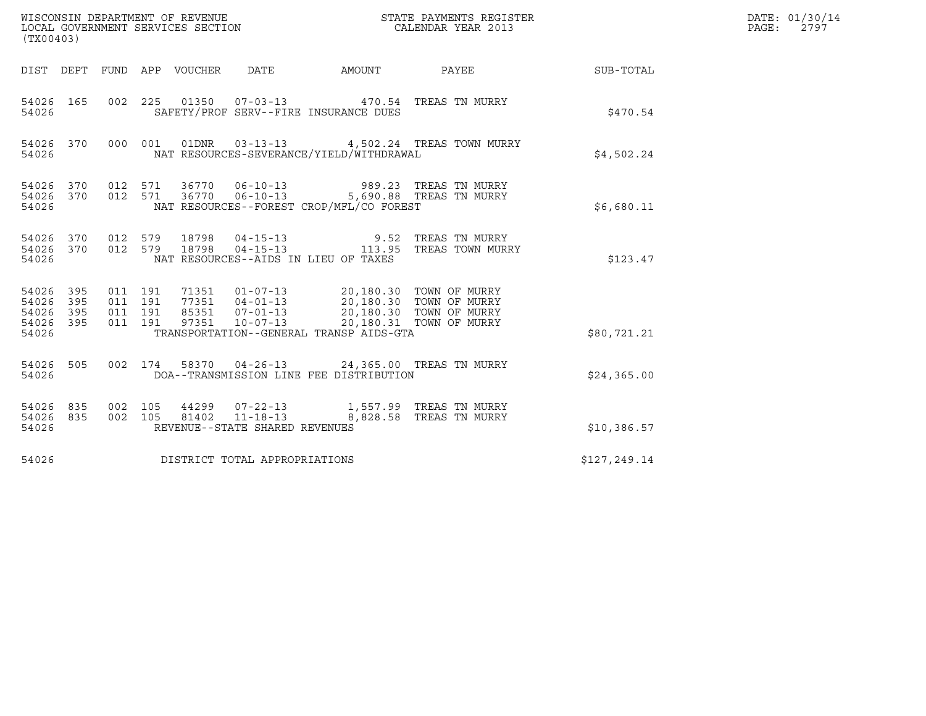| WISCONSIN DEPARTMENT OF REVENUE<br>LOCAL GOVERNMENT SERVICES SECTION<br>(TX00403) |                          |                                          |         |                                 |                                    | STATE PAYMENTS REGISTER<br>CALENDAR YEAR 2013                                              |                                            | DATE: 01/30/14<br>PAGE: 2797 |  |
|-----------------------------------------------------------------------------------|--------------------------|------------------------------------------|---------|---------------------------------|------------------------------------|--------------------------------------------------------------------------------------------|--------------------------------------------|------------------------------|--|
|                                                                                   |                          |                                          |         | DIST DEPT FUND APP VOUCHER DATE |                                    | AMOUNT PAYEE                                                                               |                                            | <b>SUB-TOTAL</b>             |  |
| 54026 165<br>54026                                                                |                          |                                          |         |                                 |                                    | 002  225  01350  07-03-13  470.54  TREAS TN MURRY<br>SAFETY/PROF SERV--FIRE INSURANCE DUES |                                            | \$470.54                     |  |
| 54026 370<br>54026                                                                |                          |                                          | 000 001 |                                 |                                    | NAT RESOURCES-SEVERANCE/YIELD/WITHDRAWAL                                                   | 01DNR  03-13-13  4,502.24 TREAS TOWN MURRY | \$4,502.24                   |  |
| 54026<br>54026<br>54026                                                           | 370                      |                                          | 012 571 |                                 | 370   012   571   36770   06-10-13 | NAT RESOURCES--FOREST CROP/MFL/CO FOREST                                                   | 989.23   TREAS  TN  MURRY                  | \$6,680.11                   |  |
| 54026<br>54026                                                                    | 54026 370 012 579<br>370 | 012 579                                  |         |                                 |                                    | NAT RESOURCES--AIDS IN LIEU OF TAXES                                                       |                                            | \$123.47                     |  |
| 54026<br>54026<br>54026<br>54026<br>54026                                         | 395<br>395<br>395<br>395 | 011 191<br>011 191<br>011 191<br>011 191 |         |                                 |                                    | TRANSPORTATION--GENERAL TRANSP AIDS-GTA                                                    |                                            | \$80,721.21                  |  |
| 54026<br>54026                                                                    | 505                      |                                          |         |                                 |                                    | 002 174 58370 04-26-13 24,365.00 TREAS TN MURRY<br>DOA--TRANSMISSION LINE FEE DISTRIBUTION |                                            | \$24,365.00                  |  |
| 54026<br>54026<br>54026                                                           | 835<br>835               | 002 105<br>002 105                       |         |                                 | REVENUE--STATE SHARED REVENUES     | 81402 11-18-13 8,828.58 TREAS TN MURRY                                                     |                                            | \$10,386.57                  |  |
| 54026                                                                             |                          |                                          |         |                                 | DISTRICT TOTAL APPROPRIATIONS      |                                                                                            |                                            | \$127,249.14                 |  |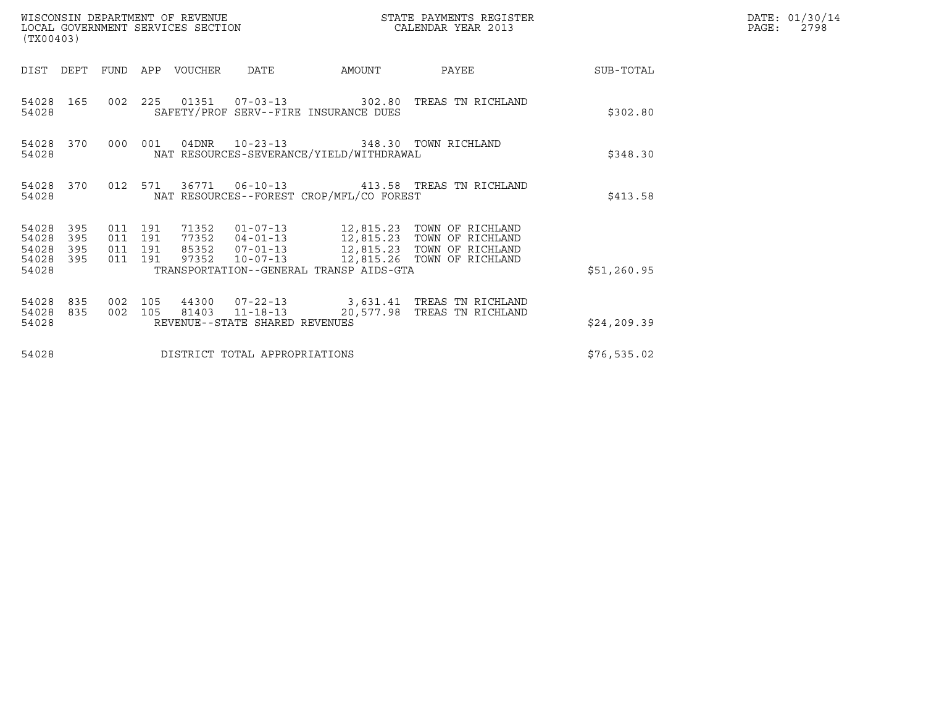| (TX00403)                                 |                          |                                          |         | WISCONSIN DEPARTMENT OF REVENUE<br>LOCAL GOVERNMENT SERVICES SECTION |                                | STATE PAYMENTS REGISTER<br>CALENDAR YEAR 2013 |                                                                                                                            |              | DATE: 01/30/14<br>PAGE:<br>2798 |
|-------------------------------------------|--------------------------|------------------------------------------|---------|----------------------------------------------------------------------|--------------------------------|-----------------------------------------------|----------------------------------------------------------------------------------------------------------------------------|--------------|---------------------------------|
| DIST                                      | DEPT                     | FUND                                     |         | APP VOUCHER                                                          | DATE                           | AMOUNT                                        | PAYEE                                                                                                                      | SUB-TOTAL    |                                 |
| 54028                                     | 54028 165                |                                          |         |                                                                      |                                | SAFETY/PROF SERV--FIRE INSURANCE DUES         | 002  225  01351  07-03-13  302.80  TREAS TN RICHLAND                                                                       | \$302.80     |                                 |
| 54028                                     | 54028 370                | 000 001                                  |         |                                                                      | 04DNR 10-23-13                 | NAT RESOURCES-SEVERANCE/YIELD/WITHDRAWAL      | 348.30 TOWN RICHLAND                                                                                                       | \$348.30     |                                 |
| 54028                                     | 54028 370                |                                          | 012 571 |                                                                      |                                | NAT RESOURCES--FOREST CROP/MFL/CO FOREST      | 36771  06-10-13  413.58  TREAS TN RICHLAND                                                                                 | \$413.58     |                                 |
| 54028<br>54028<br>54028<br>54028<br>54028 | 395<br>395<br>395<br>395 | 011 191<br>011 191<br>011 191<br>011 191 |         | 97352                                                                | $10 - 07 - 13$                 | TRANSPORTATION--GENERAL TRANSP AIDS-GTA       | 77352  04-01-13  12,815.23  TOWN OF RICHLAND<br>85352  07-01-13  12,815.23  TOWN OF RICHLAND<br>12,815.26 TOWN OF RICHLAND | \$51,260.95  |                                 |
| 54028<br>54028<br>54028                   | 835<br>835               | 002<br>002 105                           | 105     |                                                                      | REVENUE--STATE SHARED REVENUES |                                               | 44300  07-22-13  3,631.41 TREAS TN RICHLAND<br>81403   11-18-13   20,577.98   TREAS TN RICHLAND                            | \$24, 209.39 |                                 |
| 54028                                     |                          |                                          |         |                                                                      | DISTRICT TOTAL APPROPRIATIONS  |                                               |                                                                                                                            | \$76,535.02  |                                 |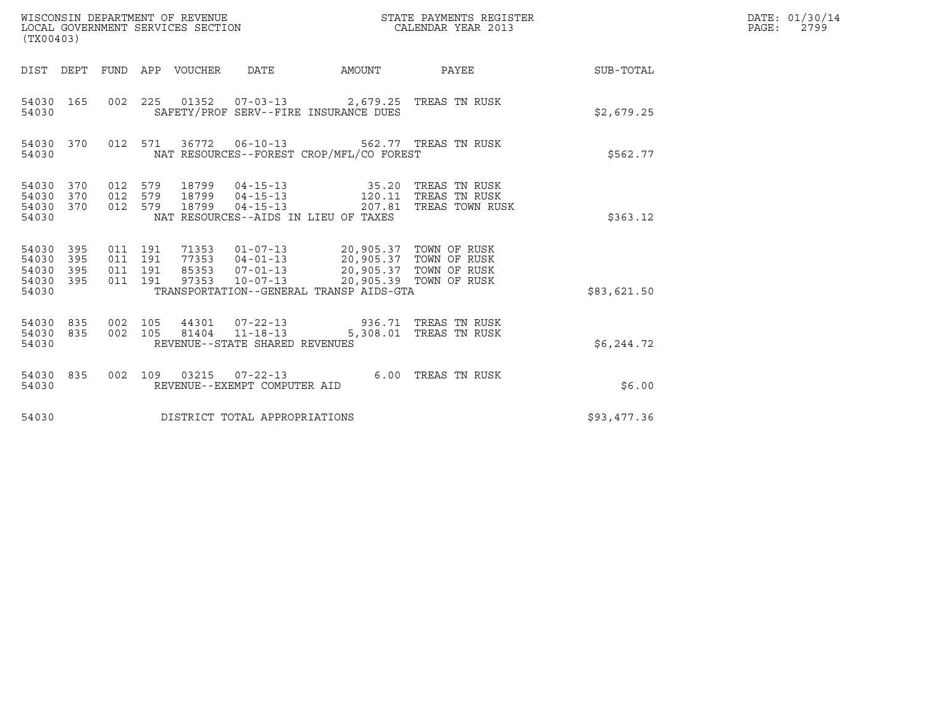| WISCONSIN DEPARTMENT OF REVENUE<br>LOCAL GOVERNMENT SERVICES SECTION<br>(TX00403) |                          |                                          |     |                                  |                                                    |                                                                                                      | STATE PAYMENTS REGISTER<br>CALENDAR YEAR 2013     |             | DATE: 01/30/14<br>PAGE:<br>2799 |
|-----------------------------------------------------------------------------------|--------------------------|------------------------------------------|-----|----------------------------------|----------------------------------------------------|------------------------------------------------------------------------------------------------------|---------------------------------------------------|-------------|---------------------------------|
| DIST DEPT                                                                         |                          |                                          |     | FUND APP VOUCHER                 | <b>DATE</b>                                        | AMOUNT                                                                                               | PAYEE                                             | SUB-TOTAL   |                                 |
| 54030 165<br>54030                                                                |                          | 002 225                                  |     |                                  |                                                    | 01352  07-03-13  2,679.25  TREAS TN RUSK<br>SAFETY/PROF SERV--FIRE INSURANCE DUES                    |                                                   | \$2,679.25  |                                 |
| 54030 370<br>54030                                                                |                          | 012 571                                  |     | 36772                            |                                                    | 06-10-13 562.77 TREAS TN RUSK<br>NAT RESOURCES--FOREST CROP/MFL/CO FOREST                            |                                                   | \$562.77    |                                 |
| 54030<br>54030<br>54030<br>54030                                                  | 370<br>370<br>370        | 012 579<br>012<br>012 579                | 579 | 18799<br>18799<br>18799          | $04 - 15 - 13$<br>$04 - 15 - 13$<br>$04 - 15 - 13$ | 35.20<br>120.11<br>207.81<br>NAT RESOURCES--AIDS IN LIEU OF TAXES                                    | TREAS TN RUSK<br>TREAS TN RUSK<br>TREAS TOWN RUSK | \$363.12    |                                 |
| 54030<br>54030<br>54030<br>54030<br>54030                                         | 395<br>395<br>395<br>395 | 011 191<br>011 191<br>011 191<br>011 191 |     | 71353<br>77353<br>85353<br>97353 | $04 - 01 - 13$<br>$07 - 01 - 13$<br>$10 - 07 - 13$ | 01-07-13 20,905.37 TOWN OF RUSK<br>20,905.37 TOWN OF RUSK<br>TRANSPORTATION--GENERAL TRANSP AIDS-GTA | 20,905.37 TOWN OF RUSK<br>20,905.39 TOWN OF RUSK  | \$83,621.50 |                                 |
| 54030<br>54030<br>54030                                                           | 835<br>835               | 002 105<br>002 105                       |     | 81404                            | $11 - 18 - 13$<br>REVENUE--STATE SHARED REVENUES   | 44301  07-22-13  936.71 TREAS TN RUSK                                                                | 5,308.01 TREAS TN RUSK                            | \$6,244.72  |                                 |
| 54030<br>54030                                                                    | 835                      | 002 109                                  |     | 03215                            | $07 - 22 - 13$<br>REVENUE--EXEMPT COMPUTER AID     |                                                                                                      | 6.00 TREAS TN RUSK                                | \$6.00      |                                 |
| 54030                                                                             |                          |                                          |     |                                  | DISTRICT TOTAL APPROPRIATIONS                      |                                                                                                      |                                                   | \$93,477.36 |                                 |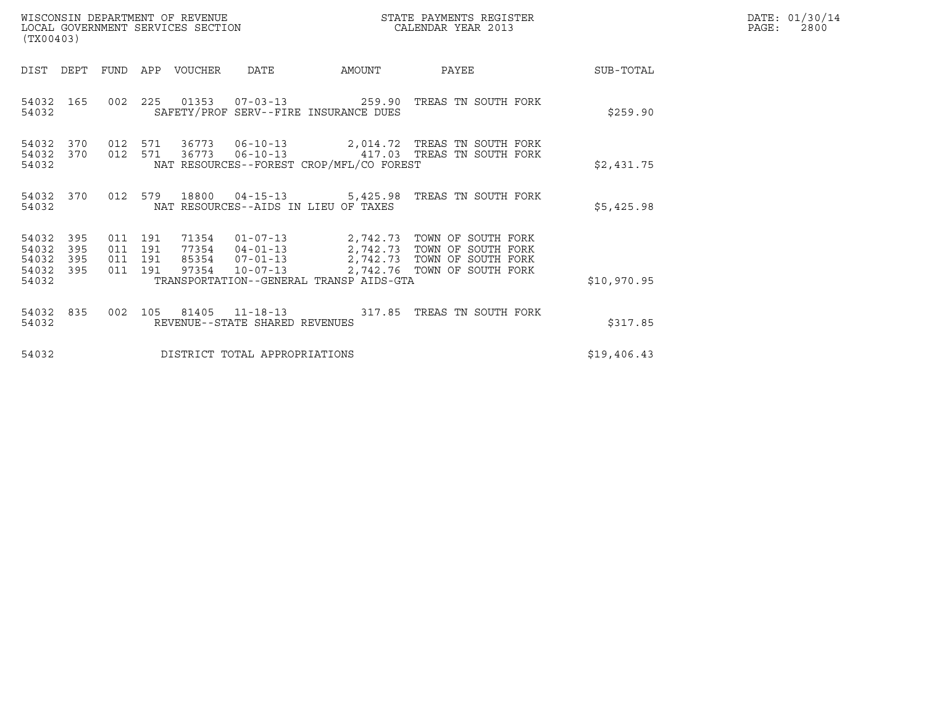| WISCONSIN DEPARTMENT OF REVENUE<br>LOCAL GOVERNMENT SERVICES SECTION | STATE PAYMENTS REGISTER<br>CALENDAR YEAR 2013 | DATE: 01/30/14<br>PAGE:<br>2800 |
|----------------------------------------------------------------------|-----------------------------------------------|---------------------------------|

| (TX00403)                                                                                         |                                                                                       |                                                                              |             |
|---------------------------------------------------------------------------------------------------|---------------------------------------------------------------------------------------|------------------------------------------------------------------------------|-------------|
| DEPT<br>DIST<br><b>FUND</b>                                                                       | VOUCHER DATE<br>APP                                                                   | AMOUNT<br>PAYEE                                                              | SUB-TOTAL   |
| 165<br>002<br>54032<br>54032                                                                      | SAFETY/PROF SERV--FIRE INSURANCE DUES                                                 | 225  01353  07-03-13  259.90  TREAS TN SOUTH FORK                            | \$259.90    |
| 54032<br>370<br>012<br>54032<br>370 012<br>54032                                                  | NAT RESOURCES--FOREST CROP/MFL/CO FOREST                                              |                                                                              | \$2,431.75  |
| 012<br>370<br>54032<br>54032                                                                      | NAT RESOURCES--AIDS IN LIEU OF TAXES                                                  | 579 18800 04-15-13 5,425.98 TREAS TN SOUTH FORK                              | \$5,425.98  |
| 54032<br>395<br>011<br>54032<br>395<br>011<br>395<br>54032<br>011<br>54032<br>395<br>011<br>54032 | 191<br>71354 01-07-13<br>191<br>191<br>191<br>TRANSPORTATION--GENERAL TRANSP AIDS-GTA | 2,742.73 TOWN OF SOUTH FORK<br>77354  04-01-13  2,742.73  TOWN OF SOUTH FORK | \$10,970.95 |
| 002<br>54032<br>835<br>54032                                                                      | 81405<br>105<br>REVENUE--STATE SHARED REVENUES                                        | 11-18-13 317.85 TREAS TN SOUTH FORK                                          | \$317.85    |
| 54032                                                                                             | DISTRICT TOTAL APPROPRIATIONS                                                         |                                                                              | \$19,406.43 |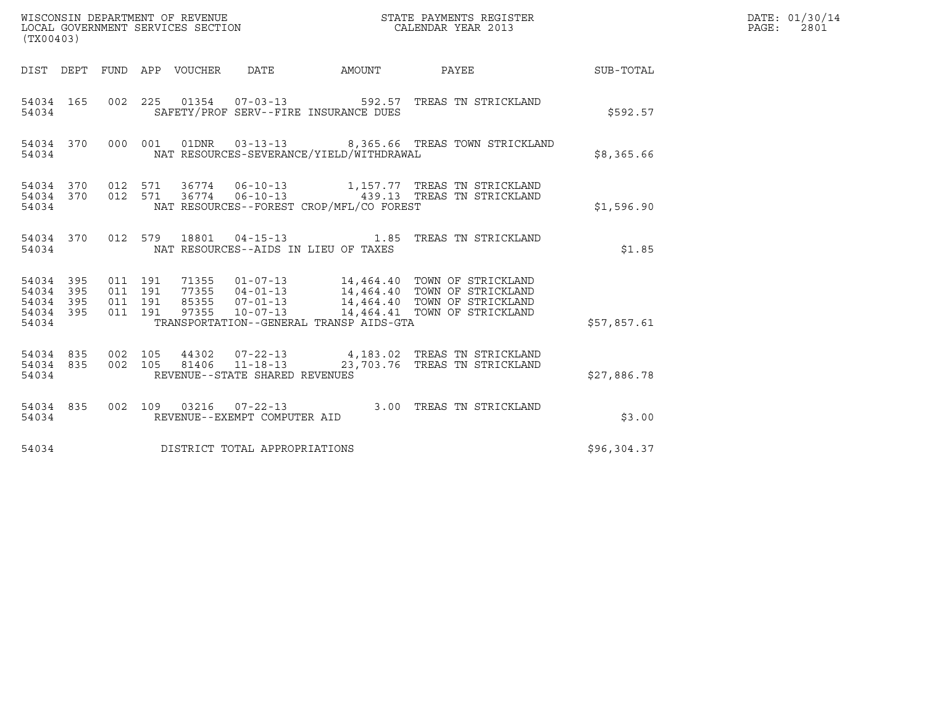| WISCONSIN DEPARTMENT OF REVENUE<br>LOCAL GOVERNMENT SERVICES SECTION<br>(TX00403)                                                            |                                                                                                                                                                                                        | STATE PAYMENTS REGISTER<br>CALENDAR YEAR 2013 |                  | DATE: 01/30/14<br>$\mathtt{PAGE:}$<br>2801 |
|----------------------------------------------------------------------------------------------------------------------------------------------|--------------------------------------------------------------------------------------------------------------------------------------------------------------------------------------------------------|-----------------------------------------------|------------------|--------------------------------------------|
| DIST DEPT FUND APP VOUCHER DATE                                                                                                              | AMOUNT                                                                                                                                                                                                 | <b>PAYEE</b>                                  | <b>SUB-TOTAL</b> |                                            |
| 002 225 01354 07-03-13 592.57 TREAS TN STRICKLAND<br>54034 165<br>54034                                                                      | SAFETY/PROF SERV--FIRE INSURANCE DUES                                                                                                                                                                  |                                               | \$592.57         |                                            |
| 54034 370<br>000 001 01DNR 03-13-13 8,365.66 TREAS TOWN STRICKLAND<br>54034                                                                  | NAT RESOURCES-SEVERANCE/YIELD/WITHDRAWAL                                                                                                                                                               |                                               | \$8,365.66       |                                            |
| 54034 370<br>012 571<br>012 571<br>370<br>54034<br>54034                                                                                     | 36774   06-10-13   1,157.77   TREAS TN STRICKLAND<br>36774   06-10-13   439.13   TREAS TN STRICKLAND<br>NAT RESOURCES--FOREST CROP/MFL/CO FOREST                                                       |                                               | \$1,596.90       |                                            |
| 54034 370<br>012 579 18801 04-15-13 1.85 TREAS TN STRICKLAND<br>54034                                                                        | NAT RESOURCES--AIDS IN LIEU OF TAXES                                                                                                                                                                   |                                               | \$1.85           |                                            |
| 011 191<br>54034<br>395<br>395<br>011 191<br>54034<br>011 191<br>54034<br>395<br>395<br>011 191<br>97355<br>$10 - 07 - 13$<br>54034<br>54034 | 71355   01-07-13   14,464.40   TOWN OF STRICKLAND<br>77355   04-01-13   14,464.40   TOWN OF STRICKLAND<br>85355   07-01-13   14,464.40   TOWN OF STRICKLAND<br>TRANSPORTATION--GENERAL TRANSP AIDS-GTA | 14,464.41 TOWN OF STRICKLAND                  | \$57,857.61      |                                            |
| 54034 835<br>002 105<br>002 105<br>81406<br>54034 835<br>REVENUE--STATE SHARED REVENUES<br>54034                                             | 44302  07-22-13  4,183.02  TREAS TN STRICKLAND<br>$11 - 18 - 13$                                                                                                                                       | 23,703.76 TREAS TN STRICKLAND                 | \$27,886.78      |                                            |
| 54034 835<br>002 109 03216 07-22-13 3.00 TREAS TN STRICKLAND<br>REVENUE--EXEMPT COMPUTER AID<br>54034                                        |                                                                                                                                                                                                        |                                               | \$3.00           |                                            |
| DISTRICT TOTAL APPROPRIATIONS<br>54034                                                                                                       |                                                                                                                                                                                                        |                                               | \$96,304.37      |                                            |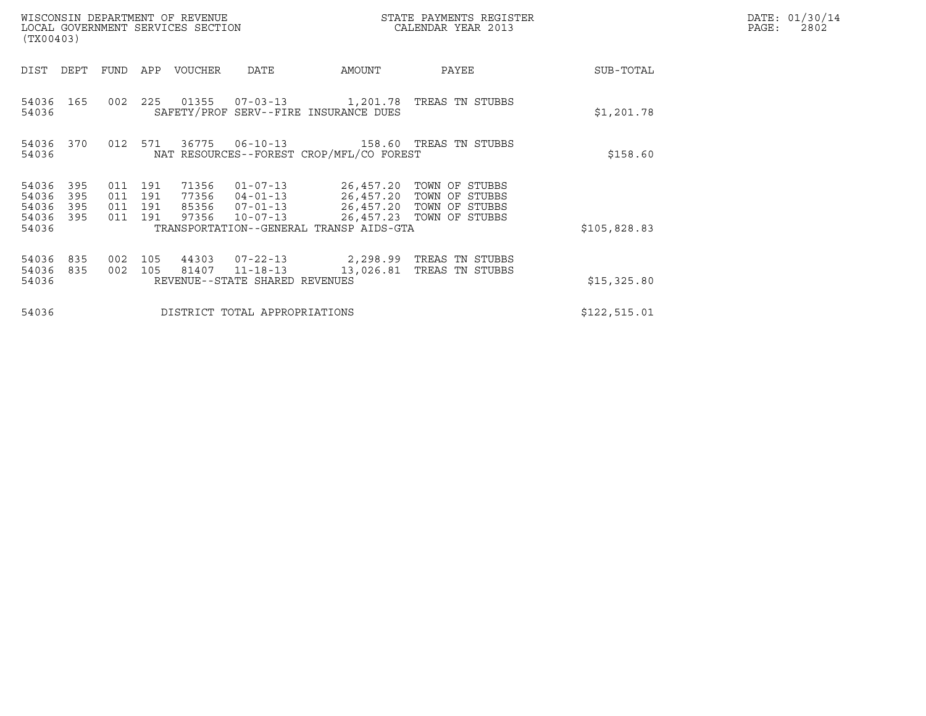| WISCONSIN DEPARTMENT OF REVENUE<br>LOCAL GOVERNMENT SERVICES SECTION<br>(TX00403)                                 |                                                                                                 |           | STATE PAYMENTS REGISTER<br>CALENDAR YEAR 2013                                                                |              | DATE: 01/30/14<br>PAGE:<br>2802 |
|-------------------------------------------------------------------------------------------------------------------|-------------------------------------------------------------------------------------------------|-----------|--------------------------------------------------------------------------------------------------------------|--------------|---------------------------------|
| FUND<br>APP<br>DIST<br>DEPT                                                                                       | DATE<br>VOUCHER                                                                                 | AMOUNT    | PAYEE                                                                                                        | SUB-TOTAL    |                                 |
| 002<br>225<br>54036 165<br>54036                                                                                  | 01355  07-03-13  1,201.78  TREAS TN STUBBS<br>SAFETY/PROF SERV--FIRE INSURANCE DUES             |           |                                                                                                              | \$1,201.78   |                                 |
| 012 571<br>54036<br>370<br>54036                                                                                  | 36775<br>$06 - 10 - 13$<br>NAT RESOURCES--FOREST CROP/MFL/CO FOREST                             |           | 158.60 TREAS TN STUBBS                                                                                       | \$158.60     |                                 |
| 191<br>54036<br>395<br>011<br>54036<br>011<br>395<br>191<br>395<br>191<br>54036<br>011<br>395<br>011 191<br>54036 | 71356<br>$01 - 07 - 13$<br>77356 04-01-13<br>85356<br>$07 - 01 - 13$<br>97356<br>$10 - 07 - 13$ |           | 26,457.20 TOWN OF STUBBS<br>26,457.20 TOWN OF STUBBS<br>26,457.20 TOWN OF STUBBS<br>26,457.23 TOWN OF STUBBS |              |                                 |
| 54036                                                                                                             | TRANSPORTATION--GENERAL TRANSP AIDS-GTA                                                         |           |                                                                                                              | \$105,828.83 |                                 |
| 002<br>105<br>54036<br>835<br>54036<br>835<br>002<br>105<br>54036                                                 | 44303<br>$07 - 22 - 13$<br>81407<br>$11 - 18 - 13$<br>REVENUE--STATE SHARED REVENUES            | 13,026.81 | 2,298.99 TREAS TN STUBBS<br>TREAS TN STUBBS                                                                  | \$15,325.80  |                                 |
| 54036                                                                                                             | DISTRICT TOTAL APPROPRIATIONS                                                                   |           |                                                                                                              | \$122,515.01 |                                 |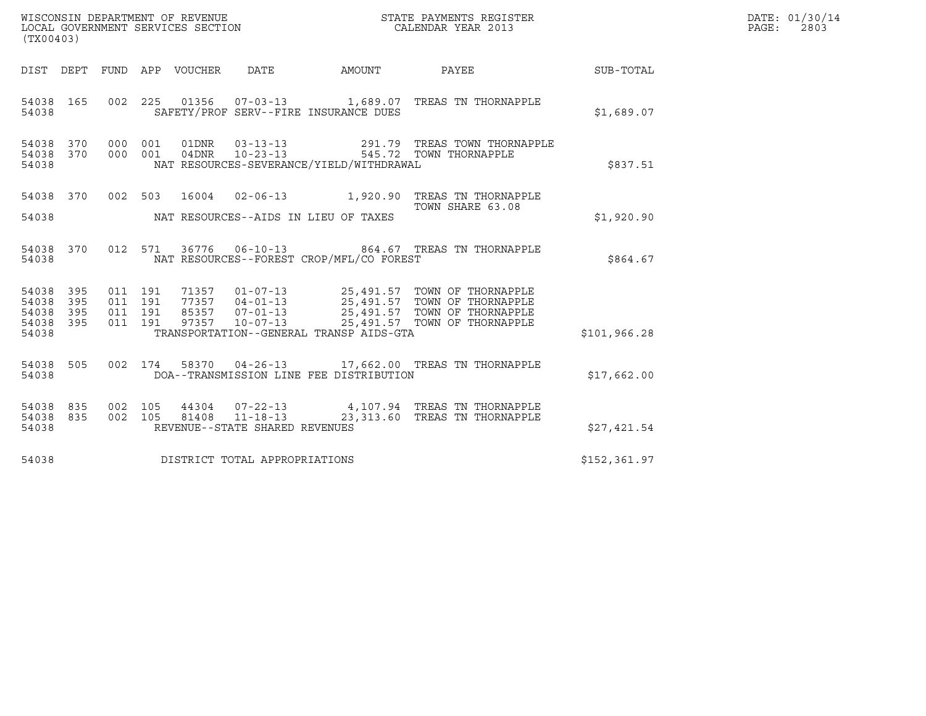| WISCONSIN DEPARTMENT OF REVENUE<br>LOCAL GOVERNMENT SERVICES SECTION<br>(TX00403) |                                          |                                |                                          | STATE PAYMENTS REGISTER<br>CALENDAR YEAR 2013                                                                                                                                                        |                  | DATE: 01/30/14<br>$\mathtt{PAGE:}$<br>2803 |
|-----------------------------------------------------------------------------------|------------------------------------------|--------------------------------|------------------------------------------|------------------------------------------------------------------------------------------------------------------------------------------------------------------------------------------------------|------------------|--------------------------------------------|
| DIST DEPT FUND APP VOUCHER DATE                                                   |                                          |                                | AMOUNT PAYEE                             |                                                                                                                                                                                                      | <b>SUB-TOTAL</b> |                                            |
| 54038 165<br>54038                                                                |                                          |                                | SAFETY/PROF SERV--FIRE INSURANCE DUES    | 002 225 01356 07-03-13 1,689.07 TREAS TN THORNAPPLE                                                                                                                                                  | \$1,689.07       |                                            |
| 54038<br>370<br>370<br>54038<br>54038                                             | 000 001<br>000 001                       |                                | NAT RESOURCES-SEVERANCE/YIELD/WITHDRAWAL | 01DNR  03-13-13  291.79 TREAS TOWN THORNAPPLE<br>04DNR  10-23-13  545.72  TOWN THORNAPPLE                                                                                                            | \$837.51         |                                            |
| 54038 370<br>54038                                                                | 002 503                                  |                                | NAT RESOURCES--AIDS IN LIEU OF TAXES     | 16004  02-06-13  1,920.90 TREAS TN THORNAPPLE<br>TOWN SHARE 63.08                                                                                                                                    | \$1,920.90       |                                            |
| 54038 370<br>54038                                                                | 012 571                                  |                                | NAT RESOURCES--FOREST CROP/MFL/CO FOREST | 36776  06-10-13  864.67  TREAS TN THORNAPPLE                                                                                                                                                         | \$864.67         |                                            |
| 54038<br>395<br>54038<br>395<br>395<br>54038<br>54038<br>395<br>54038             | 011 191<br>011 191<br>011 191<br>011 191 |                                | TRANSPORTATION--GENERAL TRANSP AIDS-GTA  | 71357  01-07-13  25,491.57  TOWN OF THORNAPPLE<br>77357  04-01-13  25,491.57  TOWN OF THORNAPPLE<br>85357  07-01-13  25,491.57  TOWN OF THORNAPPLE<br>97357  10-07-13  25,491.57  TOWN OF THORNAPPLE | \$101, 966.28    |                                            |
| 54038 505<br>54038                                                                | 002 174                                  |                                | DOA--TRANSMISSION LINE FEE DISTRIBUTION  | 58370  04-26-13   17,662.00   TREAS TN THORNAPPLE                                                                                                                                                    | \$17,662.00      |                                            |
| 54038 835<br>835<br>54038<br>54038                                                |                                          | REVENUE--STATE SHARED REVENUES |                                          | 002 105  44304  07-22-13  4,107.94 TREAS TN THORNAPPLE<br>002  105  81408  11-18-13  23,313.60 TREAS TN THORNAPPLE                                                                                   | \$27,421.54      |                                            |
| 54038                                                                             |                                          | DISTRICT TOTAL APPROPRIATIONS  |                                          |                                                                                                                                                                                                      | \$152,361.97     |                                            |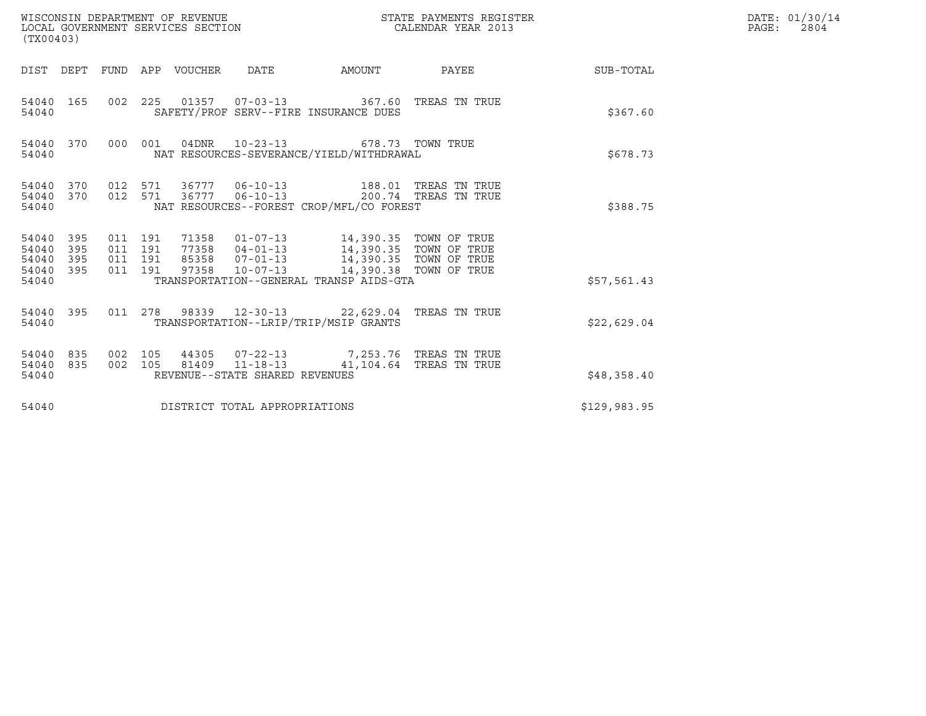| WISCONSIN DEPARTMENT OF REVENUE<br>LOCAL GOVERNMENT SERVICES SECTION<br>(TX00403) |                                              |     |  |                    |                                 |                                                          |                                                                                                                          | STATE PAYMENTS REGISTER<br>CALENDAR YEAR 2013 |                  | DATE: 01/30/14<br>$\mathtt{PAGE:}$<br>2804 |
|-----------------------------------------------------------------------------------|----------------------------------------------|-----|--|--------------------|---------------------------------|----------------------------------------------------------|--------------------------------------------------------------------------------------------------------------------------|-----------------------------------------------|------------------|--------------------------------------------|
|                                                                                   |                                              |     |  |                    | DIST DEPT FUND APP VOUCHER DATE |                                                          | AMOUNT                                                                                                                   | PAYEE                                         | <b>SUB-TOTAL</b> |                                            |
|                                                                                   | 54040 165<br>54040                           |     |  |                    |                                 |                                                          | 002 225 01357 07-03-13 367.60 TREAS TN TRUE<br>SAFETY/PROF SERV--FIRE INSURANCE DUES                                     |                                               | \$367.60         |                                            |
|                                                                                   | 54040 370<br>54040                           |     |  |                    |                                 |                                                          | 000 001 04DNR 10-23-13 678.73 TOWN TRUE<br>NAT RESOURCES-SEVERANCE/YIELD/WITHDRAWAL                                      |                                               | \$678.73         |                                            |
|                                                                                   | 54040 370<br>54040 370<br>54040              |     |  |                    | 012 571 36777                   |                                                          | 012 571 36777 06-10-13 188.01 TREAS TN TRUE<br>06-10-13 200.74 TREAS TN TRUE<br>NAT RESOURCES--FOREST CROP/MFL/CO FOREST |                                               | \$388.75         |                                            |
|                                                                                   | 54040 395<br>54040<br>54040 395<br>54040 395 | 395 |  | 011 191<br>011 191 |                                 | 011 191 97358 10-07-13                                   | 011 191 71358 01-07-13 14,390.35 TOWN OF TRUE                                                                            |                                               |                  |                                            |
|                                                                                   | 54040                                        |     |  |                    |                                 |                                                          | TRANSPORTATION--GENERAL TRANSP AIDS-GTA                                                                                  |                                               | \$57,561.43      |                                            |
|                                                                                   | 54040 395<br>54040                           |     |  |                    |                                 |                                                          | 011  278  98339  12-30-13  22,629.04  TREAS TN TRUE<br>TRANSPORTATION--LRIP/TRIP/MSIP GRANTS                             |                                               | \$22,629.04      |                                            |
|                                                                                   | 54040 835<br>54040 835<br>54040              |     |  |                    |                                 | 002 105 81409 11-18-13<br>REVENUE--STATE SHARED REVENUES | 002 105 44305 07-22-13 7,253.76 TREAS TN TRUE<br>41,104.64 TREAS TN TRUE                                                 |                                               | \$48,358.40      |                                            |
|                                                                                   | 54040                                        |     |  |                    |                                 | DISTRICT TOTAL APPROPRIATIONS                            |                                                                                                                          |                                               | \$129,983.95     |                                            |
|                                                                                   |                                              |     |  |                    |                                 |                                                          |                                                                                                                          |                                               |                  |                                            |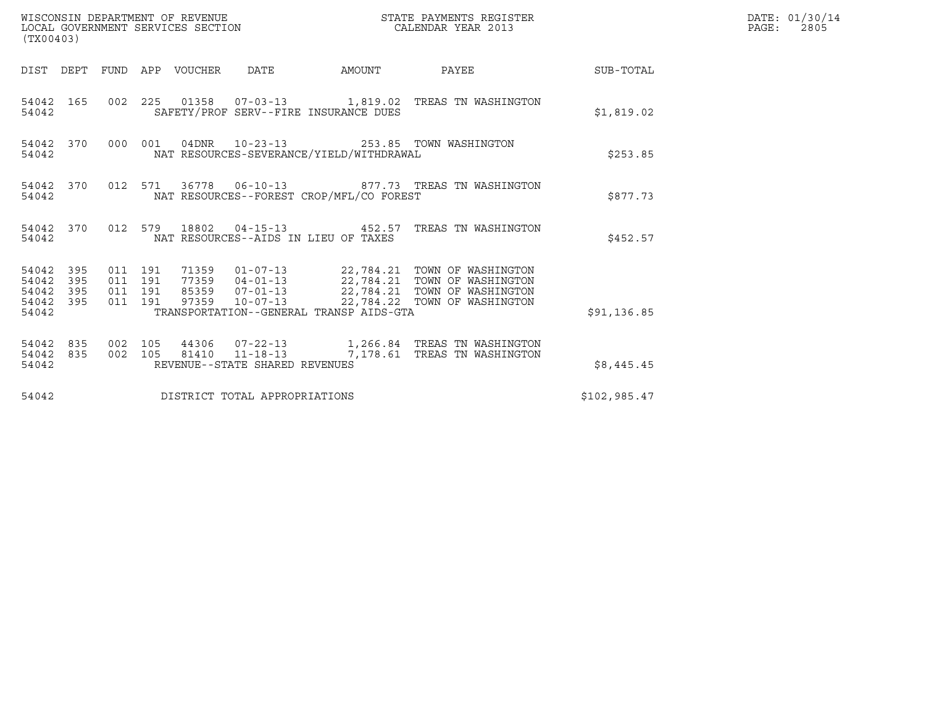| (TX00403)                                                          | WISCONSIN DEPARTMENT OF REVENUE<br>LOCAL GOVERNMENT SERVICES SECTION                                                                                       | STATE PAYMENTS REGISTER<br>CALENDAR YEAR 2013 | DATE: 01/30/14<br>PAGE:<br>2805 |
|--------------------------------------------------------------------|------------------------------------------------------------------------------------------------------------------------------------------------------------|-----------------------------------------------|---------------------------------|
|                                                                    | DIST DEPT FUND APP VOUCHER DATE                                                                                                                            | AMOUNT PAYEE SUB-TOTAL                        |                                 |
| 54042 165<br>54042                                                 | 002 225 01358 07-03-13 1,819.02 TREAS TN WASHINGTON<br>SAFETY/PROF SERV--FIRE INSURANCE DUES                                                               | \$1,819.02                                    |                                 |
| 54042 370<br>54042                                                 | 000 001 04DNR 10-23-13 253.85 TOWN WASHINGTON<br>NAT RESOURCES-SEVERANCE/YIELD/WITHDRAWAL                                                                  |                                               | \$253.85                        |
| 54042 370<br>54042                                                 | 012 571 36778 06-10-13 877.73 TREAS TN WASHINGTON<br>NAT RESOURCES--FOREST CROP/MFL/CO FOREST                                                              |                                               | \$877.73                        |
| 54042 370<br>54042                                                 | 012 579 18802 04-15-13 452.57 TREAS TN WASHINGTON<br>NAT RESOURCES--AIDS IN LIEU OF TAXES                                                                  |                                               | \$452.57                        |
| 54042<br>395<br>54042<br>395<br>54042<br>395<br>54042 395<br>54042 | 011 191<br>011 191<br>011 191<br>011 191<br>TRANSPORTATION--GENERAL TRANSP AIDS-GTA                                                                        | \$91, 136.85                                  |                                 |
| 54042 835<br>54042 835<br>54042                                    | 002 105<br>44306  07-22-13   1,266.84   TREAS TN WASHINGTON<br>002 105<br>81410  11-18-13  7,178.61  TREAS TN WASHINGTON<br>REVENUE--STATE SHARED REVENUES | \$8,445.45                                    |                                 |
| 54042                                                              | DISTRICT TOTAL APPROPRIATIONS                                                                                                                              | \$102,985.47                                  |                                 |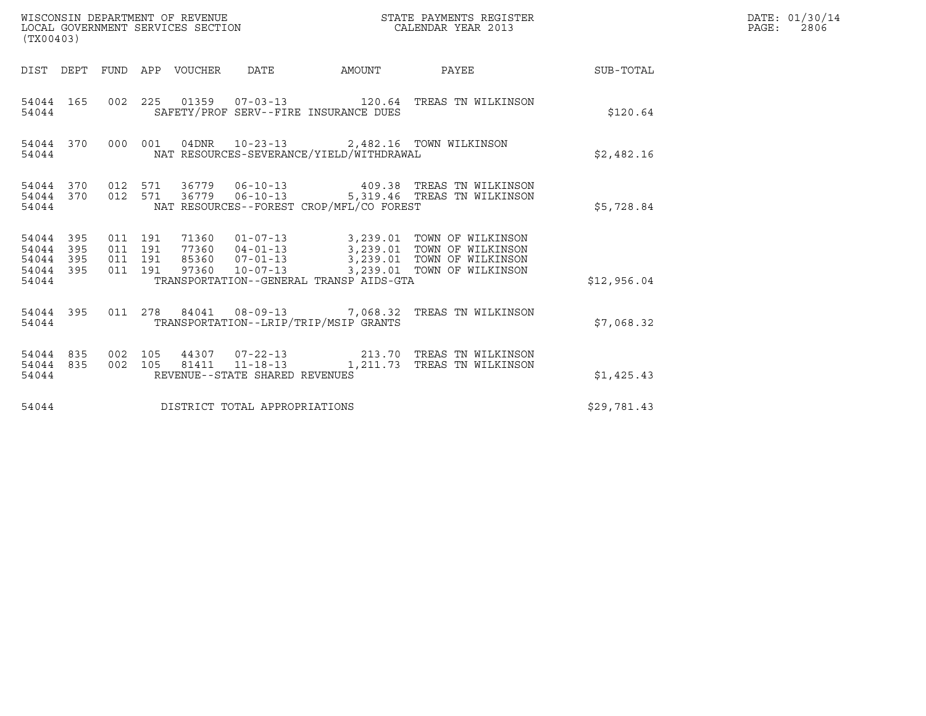| (TX00403)                                              |                                          |                                                                                                      |                                                                                                                                                                                              |             | DATE: 01/30/14<br>PAGE:<br>2806 |
|--------------------------------------------------------|------------------------------------------|------------------------------------------------------------------------------------------------------|----------------------------------------------------------------------------------------------------------------------------------------------------------------------------------------------|-------------|---------------------------------|
|                                                        | DIST DEPT FUND APP VOUCHER DATE          |                                                                                                      | AMOUNT PAYEE SUB-TOTAL                                                                                                                                                                       |             |                                 |
| 54044 165<br>54044                                     |                                          | SAFETY/PROF SERV--FIRE INSURANCE DUES                                                                | 002 225 01359 07-03-13 120.64 TREAS TN WILKINSON                                                                                                                                             | \$120.64    |                                 |
| 54044                                                  |                                          | 54044 370 000 001 04DNR 10-23-13 2,482.16 TOWN WILKINSON<br>NAT RESOURCES-SEVERANCE/YIELD/WITHDRAWAL |                                                                                                                                                                                              | \$2,482.16  |                                 |
| 54044                                                  |                                          | NAT RESOURCES--FOREST CROP/MFL/CO FOREST                                                             | 54044 370 012 571 36779 06-10-13 409.38 TREAS TN WILKINSON<br>54044 370 012 571 36779 06-10-13 5,319.46 TREAS TN WILKINSON                                                                   | \$5,728.84  |                                 |
| 54044 395<br>54044<br>395<br>395<br>54044<br>54044 395 | 011 191<br>011 191<br>011 191<br>011 191 |                                                                                                      | 71360  01-07-13  3,239.01  TOWN OF WILKINSON<br>77360  04-01-13  3,239.01  TOWN OF WILKINSON<br>85360  07-01-13  3,239.01  TOWN OF WILKINSON<br>97360  10-07-13  3,239.01  TOWN OF WILKINSON |             |                                 |
| 54044                                                  |                                          | TRANSPORTATION--GENERAL TRANSP AIDS-GTA                                                              |                                                                                                                                                                                              | \$12,956.04 |                                 |
| 54044 395<br>54044                                     |                                          | TRANSPORTATION--LRIP/TRIP/MSIP GRANTS                                                                | 011  278  84041  08-09-13  7,068.32  TREAS TN WILKINSON                                                                                                                                      | \$7,068.32  |                                 |
| 54044 835 002 105<br>54044 835<br>54044                | 002 105                                  | REVENUE--STATE SHARED REVENUES                                                                       | 44307  07-22-13  213.70  TREAS TN WILKINSON<br>81411  11-18-13  1,211.73  TREAS TN WILKINSON                                                                                                 | \$1,425.43  |                                 |
| 54044                                                  |                                          | DISTRICT TOTAL APPROPRIATIONS                                                                        |                                                                                                                                                                                              | \$29,781.43 |                                 |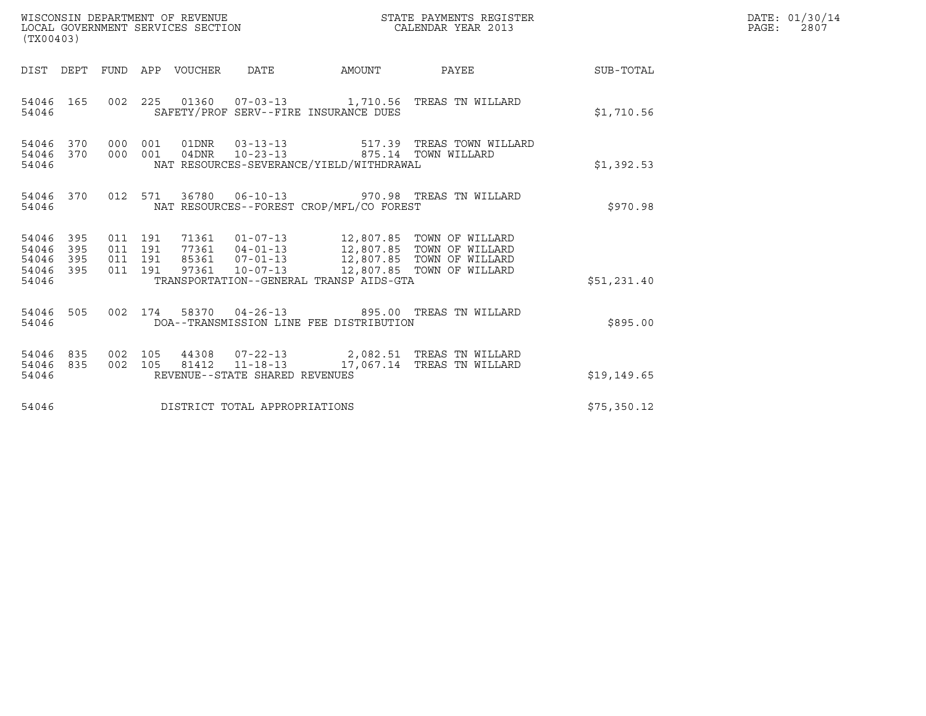| (TX00403)                                                          | WISCONSIN DEPARTMENT OF REVENUE<br>LOCAL GOVERNMENT SERVICES SECTION |                                                                                        | STATE PAYMENTS REGISTER<br>CALENDAR YEAR 2013                                                                                    |             | DATE: 01/30/14<br>$\mathtt{PAGE:}$<br>2807 |
|--------------------------------------------------------------------|----------------------------------------------------------------------|----------------------------------------------------------------------------------------|----------------------------------------------------------------------------------------------------------------------------------|-------------|--------------------------------------------|
|                                                                    | DIST DEPT FUND APP VOUCHER DATE                                      |                                                                                        |                                                                                                                                  |             |                                            |
| 54046 165<br>54046                                                 | 002  225  01360  07-03-13  1,710.56  TREAS TN WILLARD                | SAFETY/PROF SERV--FIRE INSURANCE DUES                                                  |                                                                                                                                  | \$1,710.56  |                                            |
| 54046 370 000 001<br>54046 370<br>54046                            | 000 001                                                              | 04DNR 10-23-13<br>NAT RESOURCES-SEVERANCE/YIELD/WITHDRAWAL                             | 01DNR  03-13-13  517.39 TREAS TOWN WILLARD<br>875.14 TOWN WILLARD                                                                | \$1,392.53  |                                            |
| 54046 370<br>54046                                                 | 012 571 36780 06-10-13 970.98 TREAS TN WILLARD                       | NAT RESOURCES--FOREST CROP/MFL/CO FOREST                                               |                                                                                                                                  | \$970.98    |                                            |
| 54046 395<br>54046<br>395<br>395<br>54046<br>395<br>54046<br>54046 | 011 191<br>011 191<br>011 191<br>011 191                             | 71361  01-07-13  12,807.85  TOWN OF WILLARD<br>TRANSPORTATION--GENERAL TRANSP AIDS-GTA | 77361 04-01-13 12,807.85 TOWN OF WILLARD<br>85361 07-01-13 12,807.85 TOWN OF WILLARD<br>97361 10-07-13 12,807.85 TOWN OF WILLARD | \$51,231.40 |                                            |
| 54046 505<br>54046                                                 | 002 174 58370 04-26-13 895.00 TREAS TN WILLARD                       | DOA--TRANSMISSION LINE FEE DISTRIBUTION                                                |                                                                                                                                  | \$895.00    |                                            |
| 54046 835<br>54046 835<br>54046                                    | 002 105<br>002 105                                                   | REVENUE--STATE SHARED REVENUES                                                         | 44308  07-22-13  2,082.51  TREAS TN WILLARD<br>81412  11-18-13  17,067.14  TREAS TN WILLARD                                      | \$19,149.65 |                                            |
| 54046                                                              | DISTRICT TOTAL APPROPRIATIONS                                        |                                                                                        |                                                                                                                                  | \$75,350.12 |                                            |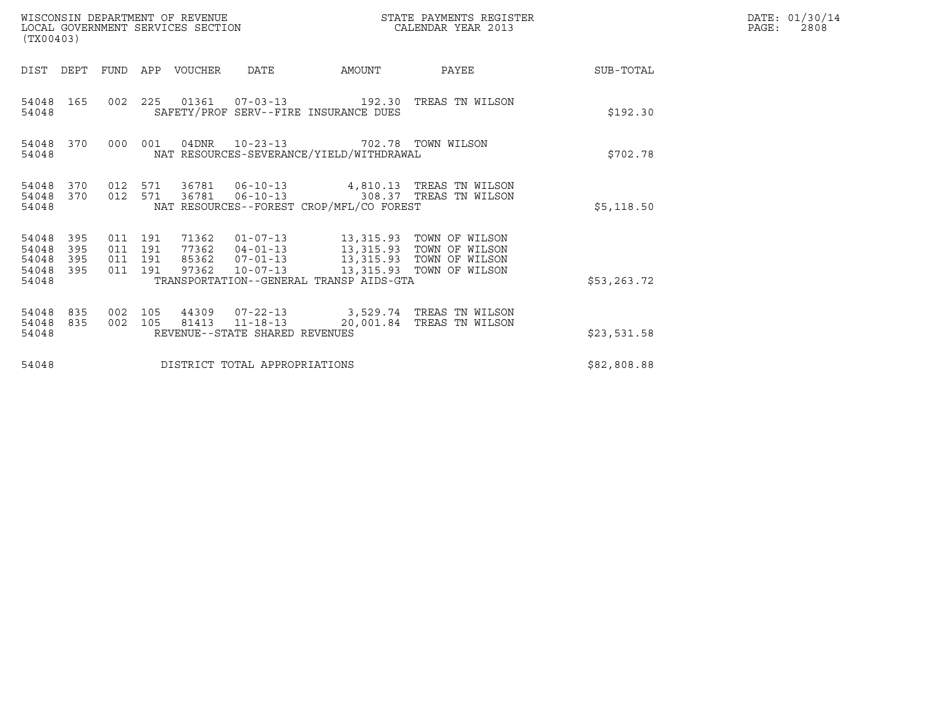| (TX00403)                                 |                          |                                          |     | WISCONSIN DEPARTMENT OF REVENUE<br>LOCAL GOVERNMENT SERVICES SECTION |                                  | STATE PAYMENTS REGISTER<br>CALENDAR YEAR 2013                           |                                                                                                                                           |              | DATE: 01/30/14<br>PAGE:<br>2808 |
|-------------------------------------------|--------------------------|------------------------------------------|-----|----------------------------------------------------------------------|----------------------------------|-------------------------------------------------------------------------|-------------------------------------------------------------------------------------------------------------------------------------------|--------------|---------------------------------|
| DIST DEPT                                 |                          | FUND                                     |     | APP VOUCHER                                                          | DATE                             | AMOUNT                                                                  | PAYEE                                                                                                                                     | SUB-TOTAL    |                                 |
| 54048 165<br>54048                        |                          | 002 225                                  |     |                                                                      |                                  | 01361  07-03-13  192.30<br>SAFETY/PROF SERV--FIRE INSURANCE DUES        | TREAS TN WILSON                                                                                                                           | \$192.30     |                                 |
| 54048                                     | 54048 370                | 000                                      | 001 | 04DNR                                                                |                                  | 10-23-13 702.78 TOWN WILSON<br>NAT RESOURCES-SEVERANCE/YIELD/WITHDRAWAL |                                                                                                                                           | \$702.78     |                                 |
| 54048<br>54048<br>54048                   | 370<br>370               | 012 571<br>012 571                       |     | 36781                                                                |                                  | NAT RESOURCES--FOREST CROP/MFL/CO FOREST                                | 36781  06-10-13  4,810.13  TREAS TN WILSON<br>06-10-13 308.37 TREAS TN WILSON                                                             | \$5,118.50   |                                 |
| 54048<br>54048<br>54048<br>54048<br>54048 | 395<br>395<br>395<br>395 | 011 191<br>011 191<br>011 191<br>011 191 |     | 71362<br>97362                                                       | 85362 07-01-13<br>$10 - 07 - 13$ | TRANSPORTATION--GENERAL TRANSP AIDS-GTA                                 | 01-07-13 13,315.93 TOWN OF WILSON<br>77362  04-01-13   13,315.93   TOWN OF WILSON<br>13,315.93 TOWN OF WILSON<br>13,315.93 TOWN OF WILSON | \$53, 263.72 |                                 |
| 54048<br>54048<br>54048                   | 835<br>835               | 002<br>002 105                           | 105 | 44309<br>81413                                                       | REVENUE--STATE SHARED REVENUES   |                                                                         | 07-22-13 3,529.74 TREAS TN WILSON<br>11-18-13    20,001.84 TREAS TN WILSON                                                                | \$23,531.58  |                                 |
| 54048                                     |                          |                                          |     |                                                                      | DISTRICT TOTAL APPROPRIATIONS    |                                                                         |                                                                                                                                           | \$82,808.88  |                                 |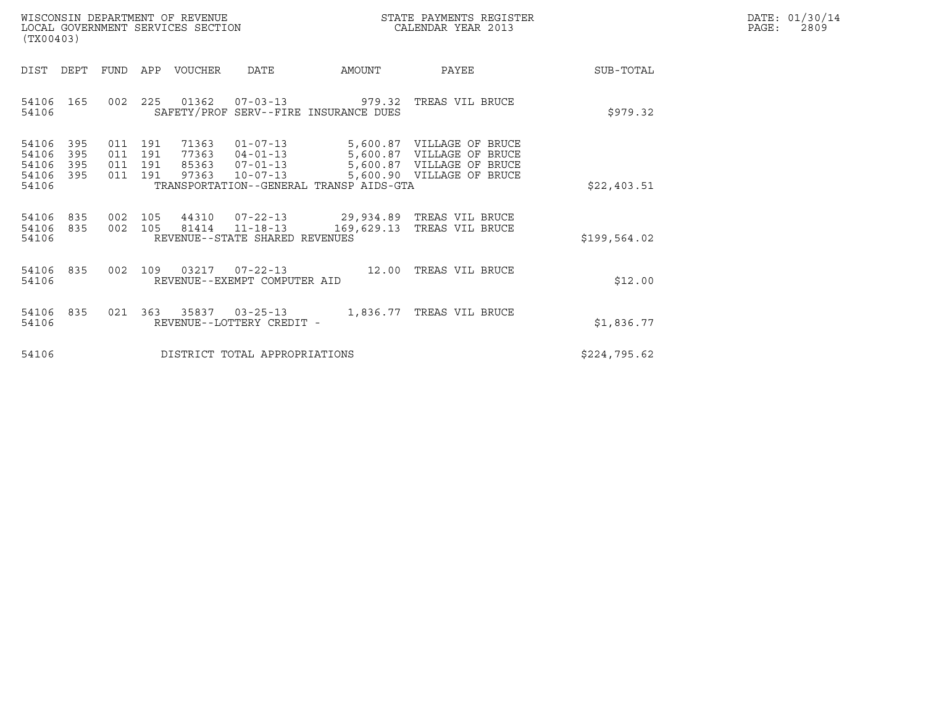| WISCONSIN DEPARTMENT OF REVENUE   | STATE PAYMENTS REGISTER | DATE: 01/30/14 |
|-----------------------------------|-------------------------|----------------|
| LOCAL GOVERNMENT SERVICES SECTION | CALENDAR YEAR 2013      | 2809<br>PAGE : |

| WISCONSIN DEPARTMENT OF REVENUE<br>LOCAL GOVERNMENT SERVICES SECTION<br>(TX00403) |                   |                                                                  |                                                                      |                                                                        | STATE PAYMENTS REGISTER<br>CALENDAR YEAR 2013                                                           |              | DATE: 01/30/14<br>PAGE:<br>2809 |
|-----------------------------------------------------------------------------------|-------------------|------------------------------------------------------------------|----------------------------------------------------------------------|------------------------------------------------------------------------|---------------------------------------------------------------------------------------------------------|--------------|---------------------------------|
| DIST<br>DEPT                                                                      |                   | FUND APP VOUCHER                                                 | DATE                                                                 | AMOUNT                                                                 | PAYEE                                                                                                   | SUB-TOTAL    |                                 |
| 54106 165<br>54106                                                                |                   |                                                                  |                                                                      | 002 225 01362 07-03-13 979.32<br>SAFETY/PROF SERV--FIRE INSURANCE DUES | TREAS VIL BRUCE                                                                                         | \$979.32     |                                 |
| 395<br>54106<br>54106<br>395<br>54106<br>395<br>395<br>54106<br>54106             | 011<br>011<br>011 | 011 191<br>71363<br>191<br>77363<br>191<br>85363<br>191<br>97363 | $01 - 07 - 13$<br>$04 - 01 - 13$<br>$07 - 01 - 13$<br>$10 - 07 - 13$ | 5,600.87<br>TRANSPORTATION--GENERAL TRANSP AIDS-GTA                    | 5,600.87 VILLAGE OF BRUCE<br>VILLAGE OF BRUCE<br>5,600.87 VILLAGE OF BRUCE<br>5,600.90 VILLAGE OF BRUCE | \$22,403.51  |                                 |
| 54106<br>835<br>54106<br>835<br>54106                                             |                   | 002 105 44310<br>002 105 81414 11-18-13                          | $07 - 22 - 13$<br>REVENUE--STATE SHARED REVENUES                     | 169,629.13                                                             | 29,934.89   TREAS VIL BRUCE<br>TREAS VIL BRUCE                                                          | \$199,564.02 |                                 |
| 54106 835<br>54106                                                                |                   | 002 109 03217 07-22-13                                           | REVENUE--EXEMPT COMPUTER AID                                         |                                                                        | 12.00 TREAS VIL BRUCE                                                                                   | \$12.00      |                                 |
| 54106 835<br>54106                                                                |                   | 021 363 35837 03-25-13                                           | REVENUE--LOTTERY CREDIT -                                            |                                                                        | 1,836.77 TREAS VIL BRUCE                                                                                | \$1,836.77   |                                 |
| 54106                                                                             |                   |                                                                  | DISTRICT TOTAL APPROPRIATIONS                                        |                                                                        |                                                                                                         | \$224,795.62 |                                 |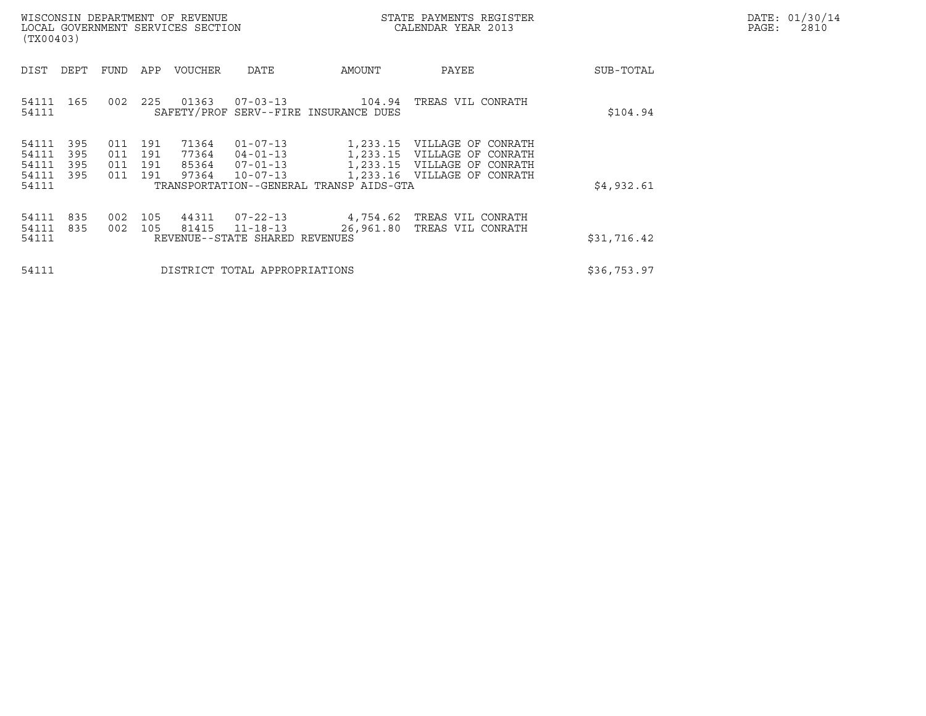|       | DATE: 01/30/14 |
|-------|----------------|
| PAGE: | 2810           |

| WISCONSIN DEPARTMENT OF REVENUE<br>LOCAL GOVERNMENT SERVICES SECTION<br>(TX00403) |                                           |                          |                          |                          |                                  |                                                                      |                                                                             | STATE PAYMENTS REGISTER<br>CALENDAR YEAR 2013                                                 |             | DATE: 01/30/14<br>PAGE:<br>2810 |
|-----------------------------------------------------------------------------------|-------------------------------------------|--------------------------|--------------------------|--------------------------|----------------------------------|----------------------------------------------------------------------|-----------------------------------------------------------------------------|-----------------------------------------------------------------------------------------------|-------------|---------------------------------|
|                                                                                   | DIST                                      | DEPT                     | FUND                     | APP                      | VOUCHER                          | DATE                                                                 | AMOUNT                                                                      | PAYEE                                                                                         | SUB-TOTAL   |                                 |
|                                                                                   | 54111<br>54111                            | 165                      | 002                      | 225                      | 01363                            | $07 - 03 - 13$                                                       | 104.94<br>SAFETY/PROF SERV--FIRE INSURANCE DUES                             | TREAS VIL CONRATH                                                                             | \$104.94    |                                 |
|                                                                                   | 54111<br>54111<br>54111<br>54111<br>54111 | 395<br>395<br>395<br>395 | 011<br>011<br>011<br>011 | 191<br>191<br>191<br>191 | 71364<br>77364<br>85364<br>97364 | $01 - 07 - 13$<br>$04 - 01 - 13$<br>$07 - 01 - 13$<br>$10 - 07 - 13$ | 1,233.15<br>1,233.15<br>1,233.15<br>TRANSPORTATION--GENERAL TRANSP AIDS-GTA | VILLAGE OF CONRATH<br>VILLAGE OF CONRATH<br>VILLAGE OF CONRATH<br>1,233.16 VILLAGE OF CONRATH | \$4,932.61  |                                 |
|                                                                                   | 54111<br>54111<br>54111                   | 835<br>835               | 002<br>002               | 105<br>105               | 44311<br>81415                   | $07 - 22 - 13$<br>$11 - 18 - 13$<br>REVENUE--STATE SHARED REVENUES   | 4,754.62<br>26,961.80                                                       | TREAS VIL CONRATH<br>TREAS VIL CONRATH                                                        | \$31,716.42 |                                 |
|                                                                                   | 54111                                     |                          |                          |                          |                                  | DISTRICT TOTAL APPROPRIATIONS                                        |                                                                             |                                                                                               | \$36,753.97 |                                 |
|                                                                                   |                                           |                          |                          |                          |                                  |                                                                      |                                                                             |                                                                                               |             |                                 |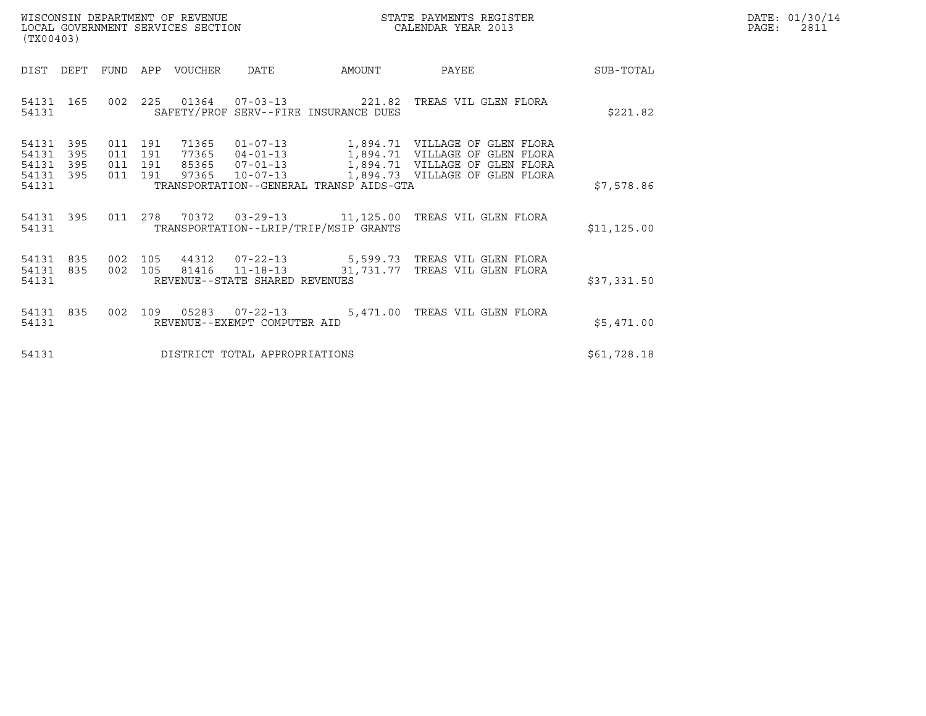| WISCONSIN DEPARTMENT OF REVENUE   | STATE PAYMENTS REGISTER | DATE: 01/30/14 |
|-----------------------------------|-------------------------|----------------|
| LOCAL GOVERNMENT SERVICES SECTION | CALENDAR YEAR 2013      | 2811<br>PAGE:  |

|                                  | WISCONSIN DEPARTMENT OF REVENUE<br>STATE PAYMENTS REGISTER<br>LOCAL GOVERNMENT SERVICES SECTION<br>CALENDAR YEAR 2013<br>(TX00403) |                                            |                                         |                                                                                                                                                                                      |              |  |  |
|----------------------------------|------------------------------------------------------------------------------------------------------------------------------------|--------------------------------------------|-----------------------------------------|--------------------------------------------------------------------------------------------------------------------------------------------------------------------------------------|--------------|--|--|
| DIST                             | DEPT<br><b>FUND</b>                                                                                                                | VOUCHER<br>APP                             | DATE<br>AMOUNT                          | PAYEE                                                                                                                                                                                | SUB-TOTAL    |  |  |
| 54131                            | 54131 165 002                                                                                                                      |                                            | SAFETY/PROF SERV--FIRE INSURANCE DUES   | 225  01364  07-03-13  221.82  TREAS VIL GLEN FLORA                                                                                                                                   | \$221.82     |  |  |
| 54131<br>54131<br>54131<br>54131 | 395<br>011<br>395<br>011<br>395<br>011<br>395<br>011                                                                               | 71365<br>191<br>191<br>191<br>191<br>97365 |                                         | 01-07-13 1,894.71 VILLAGE OF GLEN FLORA<br>77365 04-01-13 1,894.71 VILLAGE OF GLEN FLORA<br>85365 07-01-13 1,894.71 VILLAGE OF GLEN FLORA<br>10-07-13 1,894.73 VILLAGE OF GLEN FLORA |              |  |  |
| 54131                            |                                                                                                                                    |                                            | TRANSPORTATION--GENERAL TRANSP AIDS-GTA |                                                                                                                                                                                      | \$7,578.86   |  |  |
| 54131                            |                                                                                                                                    |                                            | TRANSPORTATION--LRIP/TRIP/MSIP GRANTS   | 54131 395 011 278 70372 03-29-13 11,125.00 TREAS VIL GLEN FLORA                                                                                                                      | \$11, 125.00 |  |  |
| 54131<br>54131<br>54131          | 835<br>002<br>835<br>002                                                                                                           | 105<br>105                                 | REVENUE--STATE SHARED REVENUES          |                                                                                                                                                                                      | \$37,331.50  |  |  |
| 54131 835<br>54131               | 002                                                                                                                                | REVENUE--EXEMPT COMPUTER AID               |                                         | 5,471.00 TREAS VIL GLEN FLORA                                                                                                                                                        | \$5,471.00   |  |  |
| 54131                            |                                                                                                                                    |                                            | DISTRICT TOTAL APPROPRIATIONS           |                                                                                                                                                                                      | \$61,728.18  |  |  |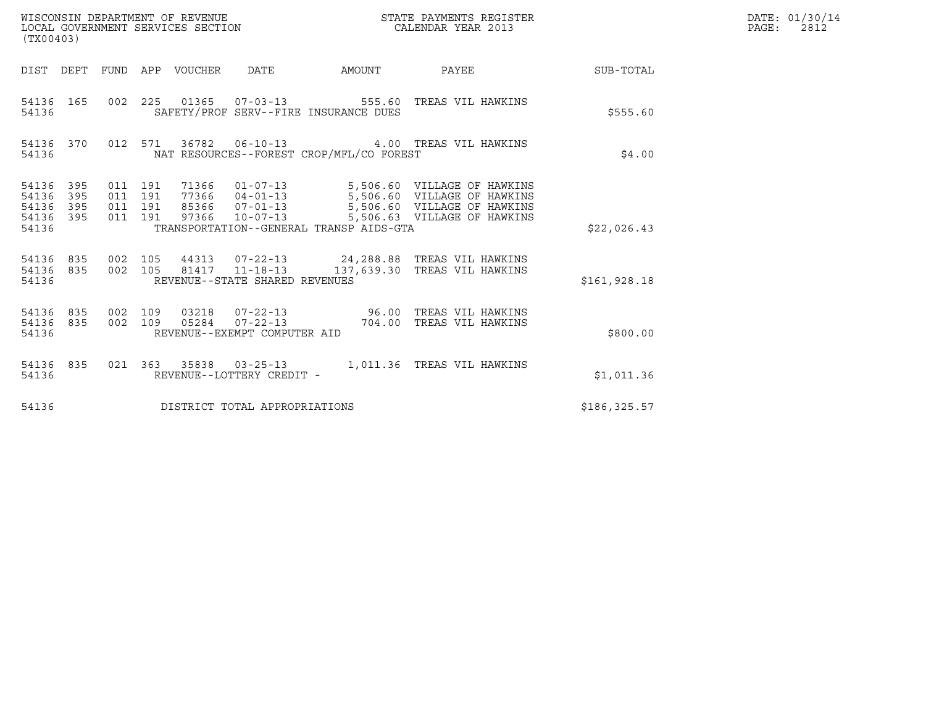| (TX00403)                                                       |                                                                                                                                                                                                                                                          | STATE PAYMENTS REGISTER |                             |               | DATE: 01/30/14<br>$\mathtt{PAGE:}$<br>2812 |
|-----------------------------------------------------------------|----------------------------------------------------------------------------------------------------------------------------------------------------------------------------------------------------------------------------------------------------------|-------------------------|-----------------------------|---------------|--------------------------------------------|
|                                                                 | DIST DEPT FUND APP VOUCHER DATE                                                                                                                                                                                                                          |                         | AMOUNT PAYEE SUB-TOTAL      |               |                                            |
| 54136 165<br>54136                                              | 002  225  01365  07-03-13  555.60  TREAS VIL HAWKINS<br>SAFETY/PROF SERV--FIRE INSURANCE DUES                                                                                                                                                            |                         |                             | \$555.60      |                                            |
| 54136                                                           | 54136 370 012 571 36782 06-10-13 4.00 TREAS VIL HAWKINS<br>NAT RESOURCES--FOREST CROP/MFL/CO FOREST                                                                                                                                                      |                         |                             | \$4.00        |                                            |
| 54136 395<br>54136<br>395<br>54136<br>395<br>54136 395<br>54136 | 71366  01-07-13  5,506.60  VILLAGE OF HAWKINS<br>77366  04-01-13  5,506.60  VILLAGE OF HAWKINS<br>85366  07-01-13  5,506.60  VILLAGE OF HAWKINS<br>011 191<br>011 191<br>011 191<br>011 191<br>97366 10-07-13<br>TRANSPORTATION--GENERAL TRANSP AIDS-GTA |                         | 5,506.63 VILLAGE OF HAWKINS | \$22,026.43   |                                            |
| 54136                                                           | 54136 835 002 105 44313 07-22-13 24,288.88 TREAS VIL HAWKINS<br>54136 835 002 105 81417 11-18-13 137,639.30 TREAS VIL HAWKINS<br>REVENUE--STATE SHARED REVENUES                                                                                          |                         |                             | \$161,928.18  |                                            |
| 54136 835<br>54136 835<br>54136                                 | 002 109<br>002 109<br>REVENUE--EXEMPT COMPUTER AID                                                                                                                                                                                                       |                         |                             | \$800.00      |                                            |
| 54136 835<br>54136                                              | 021 363 35838 03-25-13 1,011.36 TREAS VIL HAWKINS<br>REVENUE--LOTTERY CREDIT -                                                                                                                                                                           |                         |                             | \$1,011.36    |                                            |
| 54136                                                           | DISTRICT TOTAL APPROPRIATIONS                                                                                                                                                                                                                            |                         |                             | \$186, 325.57 |                                            |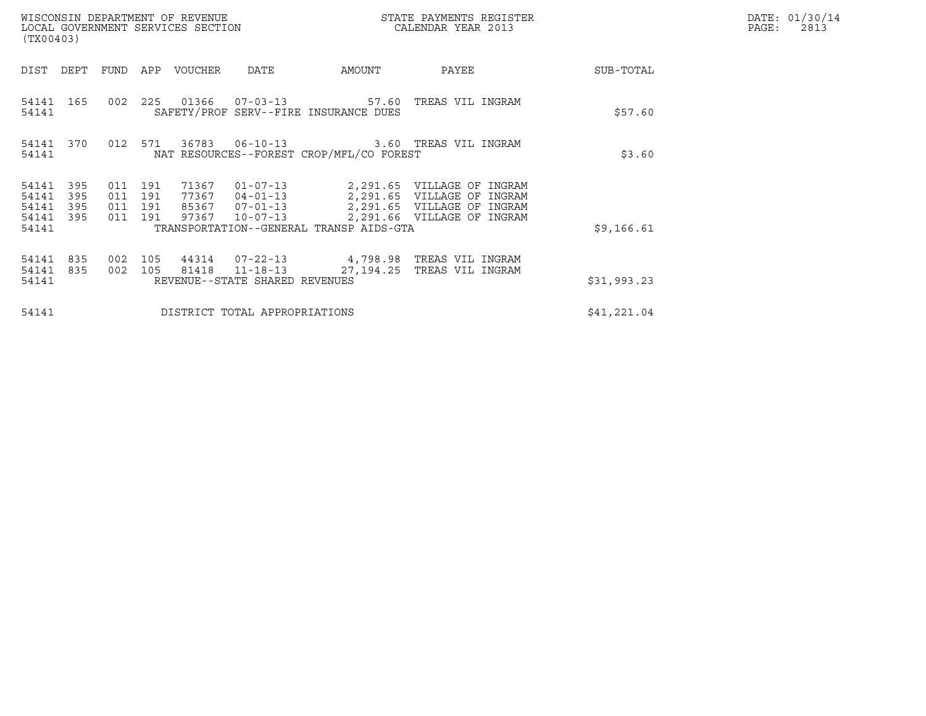| WISCONSIN DEPARTMENT OF REVENUE<br>STATE PAYMENTS REGISTER<br>LOCAL GOVERNMENT SERVICES SECTION<br>CALENDAR YEAR 2013<br>(TX00403) |                          |                                      |            |             |                                                                    |                                                |                                                                                                                                        | DATE: 01/30/14<br>$\mathtt{PAGE}$ :<br>2813 |  |
|------------------------------------------------------------------------------------------------------------------------------------|--------------------------|--------------------------------------|------------|-------------|--------------------------------------------------------------------|------------------------------------------------|----------------------------------------------------------------------------------------------------------------------------------------|---------------------------------------------|--|
| DIST                                                                                                                               | DEPT                     | FUND                                 |            | APP VOUCHER | DATE                                                               | AMOUNT                                         | PAYEE                                                                                                                                  | SUB-TOTAL                                   |  |
| 54141 165<br>54141                                                                                                                 |                          | 002 225                              |            |             | 01366   07-03-13                                                   | 57.60<br>SAFETY/PROF SERV--FIRE INSURANCE DUES | TREAS VIL INGRAM                                                                                                                       | \$57.60                                     |  |
| 54141<br>54141                                                                                                                     | 370                      | 012 571                              |            |             |                                                                    | NAT RESOURCES--FOREST CROP/MFL/CO FOREST       | 36783  06-10-13  3.60  TREAS VIL INGRAM                                                                                                | \$3.60                                      |  |
| 54141<br>54141<br>54141<br>54141                                                                                                   | 395<br>395<br>395<br>395 | 011<br>011 191<br>011 191<br>011 191 | 191        | 97367       | 71367 01-07-13<br>85367 07-01-13<br>$10 - 07 - 13$                 |                                                | 2,291.65 VILLAGE OF INGRAM<br>77367  04-01-13  2,291.65  VILLAGE OF INGRAM<br>2,291.65 VILLAGE OF INGRAM<br>2,291.66 VILLAGE OF INGRAM |                                             |  |
| 54141                                                                                                                              |                          |                                      |            |             |                                                                    | TRANSPORTATION--GENERAL TRANSP AIDS-GTA        |                                                                                                                                        | \$9,166.61                                  |  |
| 54141<br>54141<br>54141                                                                                                            | 835<br>835               | 002<br>002                           | 105<br>105 | 81418       | 44314 07-22-13<br>$11 - 18 - 13$<br>REVENUE--STATE SHARED REVENUES |                                                | 4,798.98 TREAS VIL INGRAM<br>27,194.25 TREAS VIL INGRAM                                                                                | \$31,993.23                                 |  |
| 54141                                                                                                                              |                          |                                      |            |             | DISTRICT TOTAL APPROPRIATIONS                                      |                                                |                                                                                                                                        | \$41,221.04                                 |  |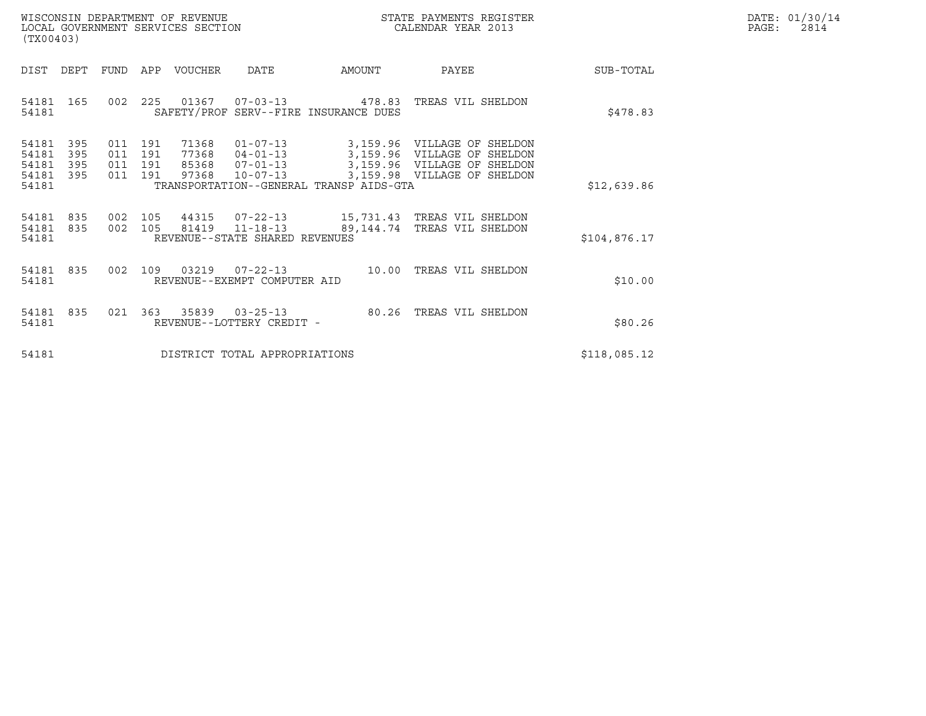| WISCONSIN DEPARTMENT OF REVENUE   | STATE PAYMENTS REGISTER | DATE: 01/30/14 |
|-----------------------------------|-------------------------|----------------|
| LOCAL GOVERNMENT SERVICES SECTION | CALENDAR YEAR 2013      | 2814<br>PAGE:  |

| WISCONSIN DEPARTMENT OF REVENUE<br>LOCAL GOVERNMENT SERVICES SECTION<br>(TX00403) |                          |                                   |                                                                       |                                                     | STATE PAYMENTS REGISTER<br>CALENDAR YEAR 2013                                                                   |              | DATE: 01/30/14<br>PAGE:<br>2814 |
|-----------------------------------------------------------------------------------|--------------------------|-----------------------------------|-----------------------------------------------------------------------|-----------------------------------------------------|-----------------------------------------------------------------------------------------------------------------|--------------|---------------------------------|
| DIST DEPT                                                                         |                          | FUND APP VOUCHER                  | DATE                                                                  | AMOUNT                                              | PAYEE                                                                                                           | SUB-TOTAL    |                                 |
| 54181 165<br>54181                                                                |                          |                                   |                                                                       | SAFETY/PROF SERV--FIRE INSURANCE DUES               | 002 225 01367 07-03-13 478.83 TREAS VIL SHELDON                                                                 | \$478.83     |                                 |
| 54181<br>395<br>395<br>54181<br>54181<br>395<br>54181<br>395<br>54181             | 011<br>011<br>011<br>011 | 191<br>191<br>191<br>191<br>97368 | 71368 01-07-13<br>77368  04-01-13<br>85368 07-01-13<br>$10 - 07 - 13$ | 3,159.96<br>TRANSPORTATION--GENERAL TRANSP AIDS-GTA | 3,159.96 VILLAGE OF SHELDON<br>VILLAGE OF SHELDON<br>3,159.96 VILLAGE OF SHELDON<br>3,159.98 VILLAGE OF SHELDON | \$12,639.86  |                                 |
| 54181<br>835<br>54181<br>835<br>54181                                             |                          | 002 105<br>002 105                | 44315 07-22-13<br>81419 11-18-13<br>REVENUE--STATE SHARED REVENUES    |                                                     | 15,731.43 TREAS VIL SHELDON<br>89,144.74 TREAS VIL SHELDON                                                      | \$104,876.17 |                                 |
| 54181 835<br>54181                                                                |                          | 002 109 03219 07-22-13            | REVENUE--EXEMPT COMPUTER AID                                          |                                                     | 10.00 TREAS VIL SHELDON                                                                                         | \$10.00      |                                 |
| 54181 835<br>54181                                                                |                          | 021 363 35839 03-25-13            | REVENUE--LOTTERY CREDIT -                                             |                                                     | 80.26 TREAS VIL SHELDON                                                                                         | \$80.26      |                                 |
| 54181                                                                             |                          |                                   | DISTRICT TOTAL APPROPRIATIONS                                         |                                                     |                                                                                                                 | \$118,085.12 |                                 |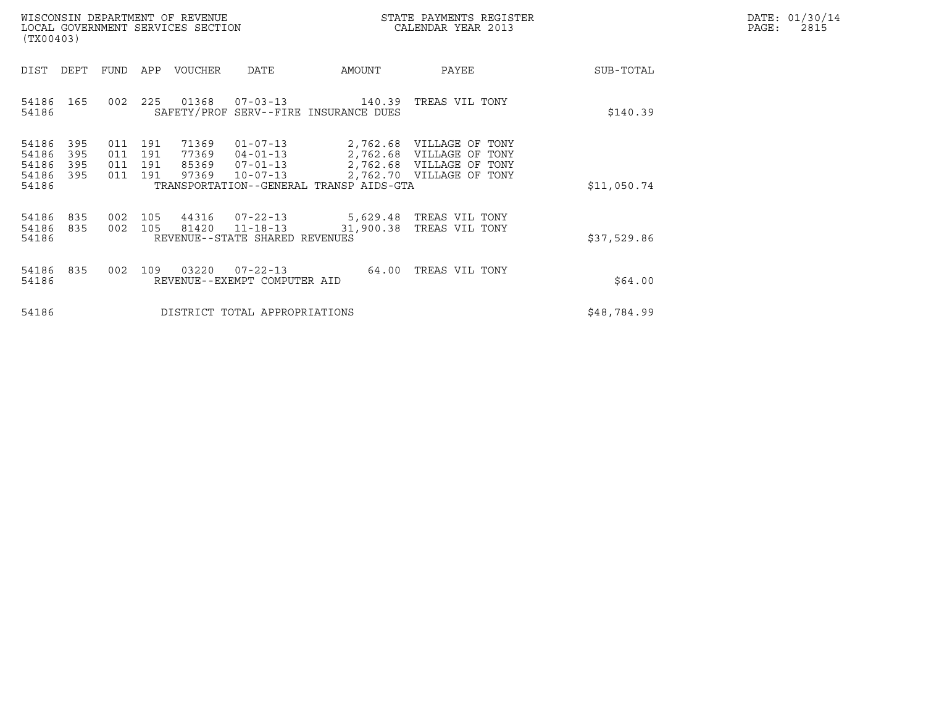|       | DATE: 01/30/14 |
|-------|----------------|
| PAGE: | 2815           |

| WISCONSIN DEPARTMENT OF REVENUE<br>LOCAL GOVERNMENT SERVICES SECTION<br>(TX00403)                                                                                 |                                                                                                                 | STATE PAYMENTS REGISTER<br>CALENDAR YEAR 2013                                                                |             | DATE: 01/30/14<br>$\mathtt{PAGE}$ :<br>2815 |
|-------------------------------------------------------------------------------------------------------------------------------------------------------------------|-----------------------------------------------------------------------------------------------------------------|--------------------------------------------------------------------------------------------------------------|-------------|---------------------------------------------|
| DIST<br>DEPT<br>APP VOUCHER<br>FUND                                                                                                                               | AMOUNT<br>DATE                                                                                                  | PAYEE                                                                                                        | SUB-TOTAL   |                                             |
| 225 01368<br>54186<br>165<br>002<br>54186                                                                                                                         | $07 - 03 - 13$ 140.39<br>SAFETY/PROF SERV--FIRE INSURANCE DUES                                                  | TREAS VIL TONY                                                                                               | \$140.39    |                                             |
| 54186<br>395<br>71369<br>011<br>191<br>54186<br>395<br>011<br>191<br>77369<br>54186<br>395<br>191<br>85369<br>011<br>97369<br>54186<br>395<br>011<br>191<br>54186 | $01 - 07 - 13$<br>$04 - 01 - 13$<br>$07 - 01 - 13$<br>$10 - 07 - 13$<br>TRANSPORTATION--GENERAL TRANSP AIDS-GTA | 2,762.68 VILLAGE OF TONY<br>2,762.68 VILLAGE OF TONY<br>2,762.68 VILLAGE OF TONY<br>2,762.70 VILLAGE OF TONY | \$11,050.74 |                                             |
| 44316<br>54186<br>835<br>105<br>002<br>54186<br>002 105<br>81420<br>835<br>54186                                                                                  | $07 - 22 - 13$<br>5,629.48 TREAS VIL TONY<br>31,900.38<br>$11 - 18 - 13$<br>REVENUE--STATE SHARED REVENUES      | TREAS VIL TONY                                                                                               | \$37,529.86 |                                             |
| 03220<br>54186<br>835<br>002<br>109<br>54186                                                                                                                      | $07 - 22 - 13$<br>64.00<br>REVENUE--EXEMPT COMPUTER AID                                                         | TREAS VIL TONY                                                                                               | \$64.00     |                                             |
| 54186                                                                                                                                                             | DISTRICT TOTAL APPROPRIATIONS                                                                                   |                                                                                                              | \$48,784.99 |                                             |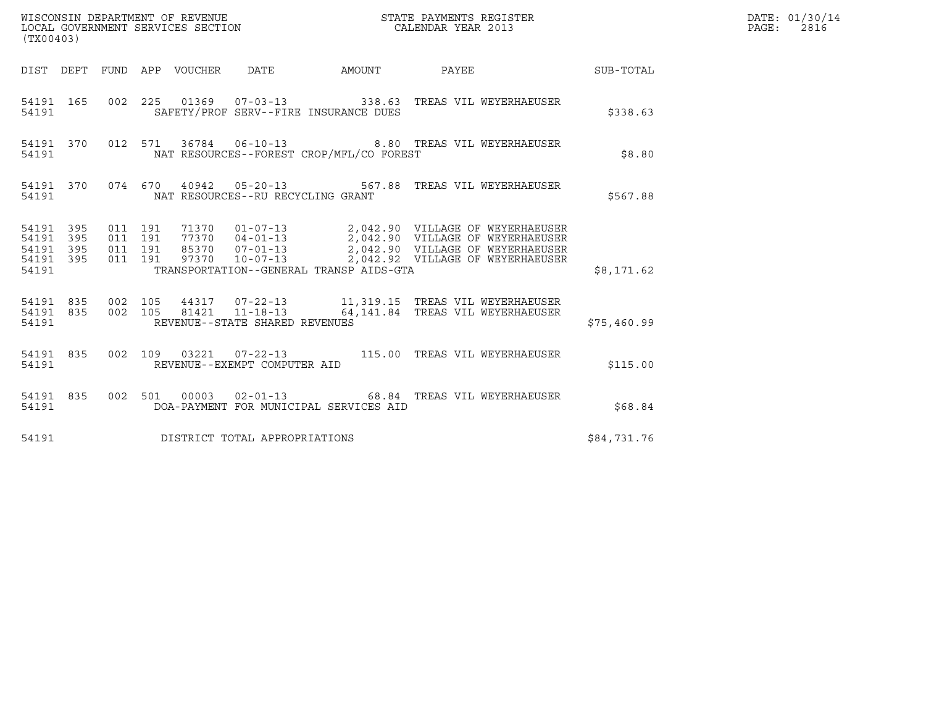| WISCONSIN DEPARTMENT OF REVENUE ${\small \begin{array}{ll} \texttt{STATE} \texttt{ PAYMENTS} \texttt{ REGISTER} \\ \texttt{COLEDAR} \texttt{YEAR} \texttt{2013} \end{array}}$<br>(TX00403) |                  |  |  |  |                                      |                                          |                                                                                                                                                                                                                                         |             | DATE: 01/30/14<br>PAGE: 2816 |
|--------------------------------------------------------------------------------------------------------------------------------------------------------------------------------------------|------------------|--|--|--|--------------------------------------|------------------------------------------|-----------------------------------------------------------------------------------------------------------------------------------------------------------------------------------------------------------------------------------------|-------------|------------------------------|
|                                                                                                                                                                                            |                  |  |  |  |                                      |                                          | DIST DEPT FUND APP VOUCHER DATE AMOUNT PAYEE SUB-TOTAL                                                                                                                                                                                  |             |                              |
| 54191                                                                                                                                                                                      |                  |  |  |  |                                      | SAFETY/PROF SERV--FIRE INSURANCE DUES    | 54191 165 002 225 01369 07-03-13 338.63 TREAS VIL WEYERHAEUSER                                                                                                                                                                          | \$338.63    |                              |
| 54191                                                                                                                                                                                      |                  |  |  |  |                                      | NAT RESOURCES--FOREST CROP/MFL/CO FOREST | 54191 370 012 571 36784 06-10-13 8.80 TREAS VIL WEYERHAEUSER                                                                                                                                                                            | \$8.80      |                              |
|                                                                                                                                                                                            |                  |  |  |  |                                      | 54191 NAT RESOURCES--RU RECYCLING GRANT  | 54191 370 074 670 40942 05-20-13 567.88 TREAS VIL WEYERHAEUSER                                                                                                                                                                          | \$567.88    |                              |
| 54191 395<br>54191 395<br>54191<br>54191                                                                                                                                                   | 395<br>54191 395 |  |  |  |                                      | TRANSPORTATION--GENERAL TRANSP AIDS-GTA  | 011 191 71370 01-07-13 2,042.90 VILLAGE OF WEYERHAEUSER<br>011 191 77370 04-01-13 2,042.90 VILLAGE OF WEYERHAEUSER<br>011 191 85370 07-01-13 2,042.90 VILLAGE OF WEYERHAEUSER<br>011 191 97370 10-07-13 2,042.92 VILLAGE OF WEYERHAEUSE | \$8,171.62  |                              |
|                                                                                                                                                                                            |                  |  |  |  | 54191 REVENUE--STATE SHARED REVENUES |                                          | 54191 835 002 105 44317 07-22-13 11,319.15 TREAS VIL WEYERHAEUSER<br>54191 835 002 105 81421 11-18-13 64,141.84 TREAS VIL WEYERHAEUSER                                                                                                  | \$75,460.99 |                              |
| 54191                                                                                                                                                                                      |                  |  |  |  | REVENUE--EXEMPT COMPUTER AID         |                                          | 54191 835 002 109 03221 07-22-13 115.00 TREAS VIL WEYERHAEUSER                                                                                                                                                                          | \$115.00    |                              |
| 54191                                                                                                                                                                                      |                  |  |  |  |                                      | DOA-PAYMENT FOR MUNICIPAL SERVICES AID   | 54191 835 002 501 00003 02-01-13 68.84 TREAS VIL WEYERHAEUSER                                                                                                                                                                           | \$68.84     |                              |
| 54191                                                                                                                                                                                      |                  |  |  |  | DISTRICT TOTAL APPROPRIATIONS        |                                          |                                                                                                                                                                                                                                         | \$84,731.76 |                              |